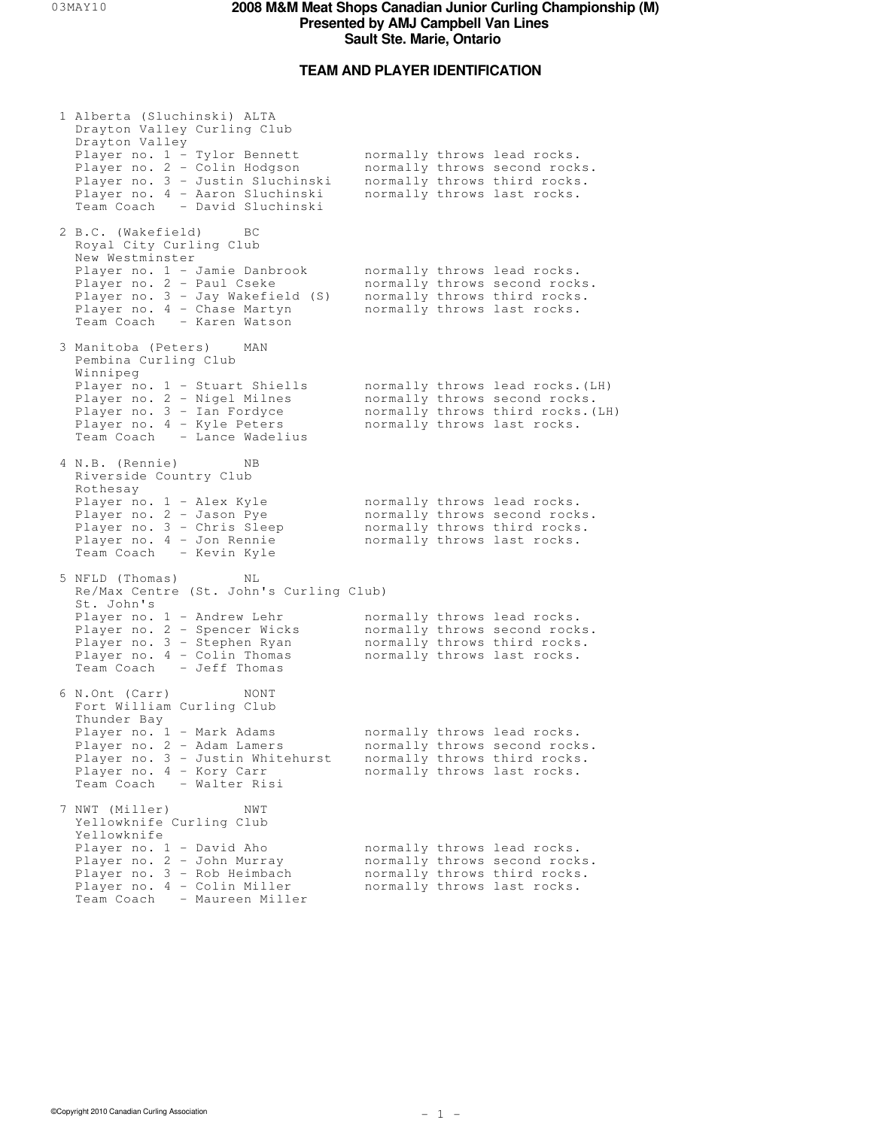## **TEAM AND PLAYER IDENTIFICATION**

| 1 Alberta (Sluchinski) ALTA<br>Drayton Valley Curling Club                                                                                                                             |  |                                                                                                                                       |
|----------------------------------------------------------------------------------------------------------------------------------------------------------------------------------------|--|---------------------------------------------------------------------------------------------------------------------------------------|
| Drayton Valley<br>Player no. 1 - Tylor Bennett<br>Player no. 2 - Colin Hodgson<br>Player no. 3 - Justin Sluchinski<br>Player no. 4 - Aaron Sluchinski<br>Team Coach - David Sluchinski |  | normally throws lead rocks.<br>normally throws second rocks.<br>normally throws third rocks.<br>normally throws last rocks.           |
| 2 B.C. (Wakefield) BC<br>Royal City Curling Club<br>New Westminster                                                                                                                    |  |                                                                                                                                       |
| Player no. 1 - Jamie Danbrook<br>Player no. 2 - Paul Cseke<br>Player no. 3 - Jay Wakefield (S)<br>Player no. 4 - Chase Martyn<br>Team Coach - Karen Watson                             |  | normally throws lead rocks.<br>normally throws second rocks.<br>normally throws third rocks.<br>normally throws last rocks.           |
| 3 Manitoba (Peters) MAN<br>Pembina Curling Club<br>Winnipeg                                                                                                                            |  |                                                                                                                                       |
| Player no. 1 - Stuart Shiells<br>Player no. 2 - Nigel Milnes<br>Player no. 3 - Ian Fordyce<br>Player no. 4 - Kyle Peters<br>Team Coach - Lance Wadelius                                |  | normally throws lead rocks. (LH)<br>normally throws second rocks.<br>normally throws third rocks. (LH)<br>normally throws last rocks. |
| 4 N.B. (Rennie)<br>ΝB<br>Riverside Country Club<br>Rothesay                                                                                                                            |  |                                                                                                                                       |
| Player no. 1 - Alex Kyle<br>Player no. 2 - Jason Pye<br>Player no. 3 - Chris Sleep<br>Player no. 4 - Jon Rennie<br>Team Coach - Kevin Kyle                                             |  | normally throws lead rocks.<br>normally throws second rocks.<br>normally throws third rocks.<br>normally throws last rocks.           |
| 5 NFLD (Thomas)<br>ΝL<br>Re/Max Centre (St. John's Curling Club)<br>St. John's                                                                                                         |  |                                                                                                                                       |
| Player no. 1 - Andrew Lehr<br>Player no. 2 - Spencer Wicks<br>Player no. 3 - Stephen Ryan<br>Player no. 4 - Colin Thomas<br>Team Coach - Jeff Thomas                                   |  | normally throws lead rocks.<br>normally throws second rocks.<br>normally throws third rocks.<br>normally throws last rocks.           |
| 6 N.Ont (Carr)<br>NONT<br>Fort William Curling Club<br>Thunder Bay                                                                                                                     |  |                                                                                                                                       |
| Player no. 1 - Mark Adams<br>Player no. 2 - Adam Lamers<br>Player no. 3 - Justin Whitehurst<br>Player no. 4 - Kory Carr<br>Team Coach - Walter Risi                                    |  | normally throws lead rocks.<br>normally throws second rocks.<br>normally throws third rocks.<br>normally throws last rocks.           |
| 7 NWT (Miller)<br>NWT<br>Yellowknife Curling Club<br>Yellowknife                                                                                                                       |  |                                                                                                                                       |
| Player no. 1 - David Aho<br>Player no. 2 - John Murray<br>Player no. 3 - Rob Heimbach<br>Player no. 4 - Colin Miller<br>Team Coach - Maureen Miller                                    |  | normally throws lead rocks.<br>normally throws second rocks.<br>normally throws third rocks.<br>normally throws last rocks.           |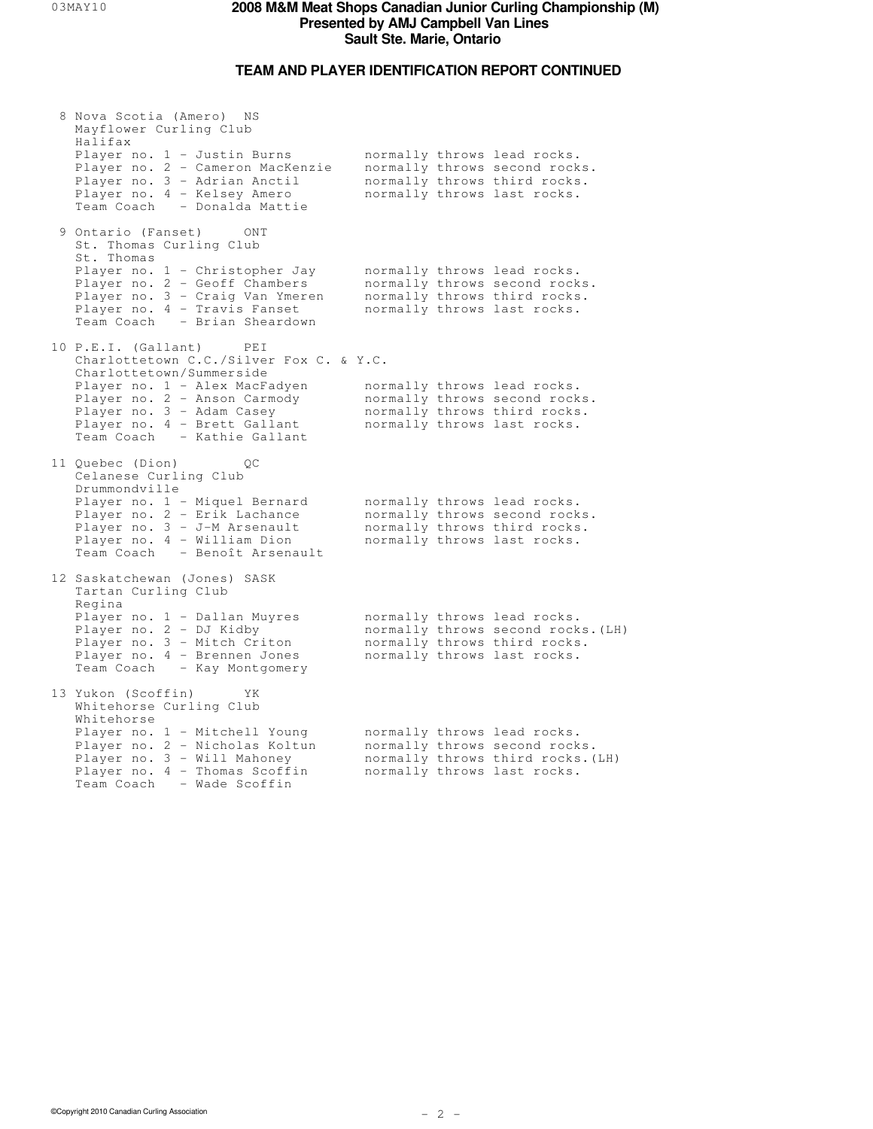# **TEAM AND PLAYER IDENTIFICATION REPORT CONTINUED**

| 8 Nova Scotia (Amero) NS<br>Mayflower Curling Club<br>Halifax                                                                                                                         |  |                                                                                                                                  |
|---------------------------------------------------------------------------------------------------------------------------------------------------------------------------------------|--|----------------------------------------------------------------------------------------------------------------------------------|
| Player no. 1 - Justin Burns<br>Player no. 2 - Cameron MacKenzie<br>Player no. 3 - Adrian Anctil<br>Player no. 4 - Kelsey Amero<br>Team Coach - Donalda Mattie                         |  | normally throws lead rocks.<br>normally throws second rocks.<br>normally throws third rocks.<br>normally throws last rocks.      |
| 9 Ontario (Fanset)<br>ONT<br>St. Thomas Curling Club<br>St. Thomas                                                                                                                    |  |                                                                                                                                  |
| Player no. 1 - Christopher Jay<br>Player no. 2 - Geoff Chambers<br>Player no. 3 - Craig Van Ymeren<br>Player no. 4 - Travis Fanset<br>Team Coach - Brian Sheardown                    |  | normally throws lead rocks.<br>normally throws second rocks.<br>normally throws third rocks.<br>normally throws last rocks.      |
| 10 P.E.I. (Gallant)<br>PEI<br>Charlottetown C.C./Silver Fox C. & Y.C.                                                                                                                 |  |                                                                                                                                  |
| Charlottetown/Summerside<br>Player no. 1 - Alex MacFadyen<br>Player no. 2 - Anson Carmody<br>Player no. 3 - Adam Casey<br>Player no. 4 - Brett Gallant<br>Team Coach - Kathie Gallant |  | normally throws lead rocks.<br>normally throws second rocks.<br>normally throws third rocks.<br>normally throws last rocks.      |
| 11 Quebec (Dion)<br>QС<br>Celanese Curling Club                                                                                                                                       |  |                                                                                                                                  |
| Drummondville<br>Player no. 1 - Miquel Bernard<br>Player no. 2 - Erik Lachance<br>Player no. 3 - J-M Arsenault<br>Player no. 4 - William Dion<br>Team Coach - Benoît Arsenault        |  | normally throws lead rocks.<br>normally throws second rocks.<br>normally throws third rocks.<br>normally throws last rocks.      |
| 12 Saskatchewan (Jones) SASK<br>Tartan Curling Club                                                                                                                                   |  |                                                                                                                                  |
| Regina<br>Player no. 1 - Dallan Muyres<br>Player no. 2 - DJ Kidby<br>Player no. 3 - Mitch Criton<br>Player no. 4 - Brennen Jones<br>Team Coach - Kay Montgomery                       |  | normally throws lead rocks.<br>normally throws second rocks. (LH)<br>normally throws third rocks.<br>normally throws last rocks. |
| 13 Yukon (Scoffin)<br>ΥK<br>Whitehorse Curling Club                                                                                                                                   |  |                                                                                                                                  |
| Whitehorse<br>Player no. 1 - Mitchell Young<br>Player no. 2 - Nicholas Koltun<br>Player no. 3 - Will Mahoney<br>Player no. 4 - Thomas Scoffin<br>Team Coach<br>- Wade Scoffin         |  | normally throws lead rocks.<br>normally throws second rocks.<br>normally throws third rocks. (LH)<br>normally throws last rocks. |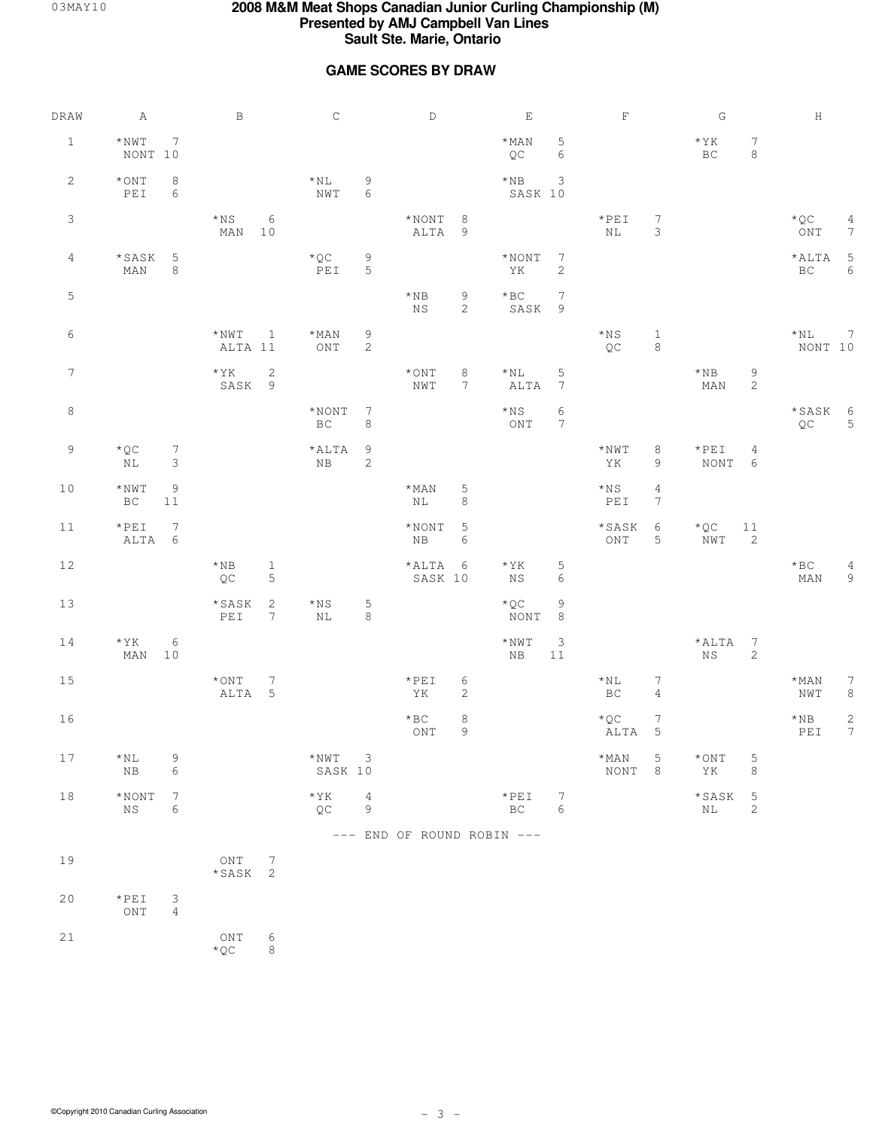## **GAME SCORES BY DRAW**

| $\mathtt{DRAW}$ | A                                                                               | $\, {\bf B}$                           |                               | $\,$ C                                           |                                  | $\mathbb D$                |                               | $\mathbf{E}% _{0}$            |                                | $\mathbf F$                                                            |                                   | ${\mathbb G}$              |                     | $\,$ H                           |                              |
|-----------------|---------------------------------------------------------------------------------|----------------------------------------|-------------------------------|--------------------------------------------------|----------------------------------|----------------------------|-------------------------------|-------------------------------|--------------------------------|------------------------------------------------------------------------|-----------------------------------|----------------------------|---------------------|----------------------------------|------------------------------|
| $\mathbf{1}$    | $^\star$ NWT<br>$7\phantom{.0}$<br>NONT 10                                      |                                        |                               |                                                  |                                  |                            |                               | $*$ MAN<br>QC                 | $\mathbf 5$<br>6               |                                                                        |                                   | $*YK$<br>$_{\rm BC}$       | $\tau$<br>$\,8\,$   |                                  |                              |
| 2               | $^\star$ ONT<br>8<br>$\ensuremath{\mathop{\rm PE}}\ensuremath{\mathbbm 1}$<br>6 |                                        |                               | $\star_\mathrm{NL}$<br>$\ensuremath{\text{NWT}}$ | $\mathsf 9$<br>$\epsilon$        |                            |                               | $*$ NB<br>SASK 10             | 3                              |                                                                        |                                   |                            |                     |                                  |                              |
| $\mathsf 3$     |                                                                                 | $\star{}_{\rm NS}$<br>$MAN$ 10         | 6                             |                                                  |                                  | $*$ NONT 8<br>ALTA 9       |                               |                               |                                | $*PEI$<br>$\rm NL$                                                     | $7\phantom{.0}$<br>$\mathfrak{Z}$ |                            |                     | $\star$ QC<br>ONT                | 4<br>$7\phantom{.0}$         |
| 4               | * SASK<br>$5\phantom{.0}$<br>MAN<br>8                                           |                                        |                               | $\star$ QC<br>PEI                                | 9<br>$\overline{5}$              |                            |                               | $*NONT$ 7<br>ΥK               | $\sqrt{2}$                     |                                                                        |                                   |                            |                     | $*ALTA$ 5<br>$\operatorname{BC}$ | 6                            |
| $\mathsf S$     |                                                                                 |                                        |                               |                                                  |                                  | $\star$ NB<br>$_{\rm NS}$  | 9<br>2                        | $*$ BC<br>SASK 9              | $7\phantom{.0}$                |                                                                        |                                   |                            |                     |                                  |                              |
| 6               |                                                                                 | $*NWT$<br>ALTA 11                      | $\overline{\phantom{a}}$      | $\star$ MAN<br>$\mathop{\rm ONT}\nolimits$       | $\overline{9}$<br>$\overline{c}$ |                            |                               |                               |                                | $\star{}_{\rm NS}$<br>$\mathbb{Q}\mathbb{C}$                           | $\mathbf{1}$<br>$\,8\,$           |                            |                     | $\star$ NL<br>NONT 10            | $7\phantom{.0}$              |
| $7\phantom{.0}$ |                                                                                 | $*YK$<br>SASK <sub>9</sub>             | 2                             |                                                  |                                  | $\star$ ONT<br>NWT         | $\,8\,$<br>$7\phantom{.0}$    | $\star$ NL<br>ALTA            | $\mathsf S$<br>$7\phantom{.0}$ |                                                                        |                                   | $\star$ NB<br>MAN          | $\,9$<br>$\sqrt{2}$ |                                  |                              |
| $\,8\,$         |                                                                                 |                                        |                               | $*$ NONT<br>$_{\rm BC}$                          | $\overline{7}$<br>$\,8\,$        |                            |                               | $*_{\rm NS}$<br>ONT           | 6<br>$7\phantom{.0}$           |                                                                        |                                   |                            |                     | *SASK 6<br>QC                    | 5                            |
| $\overline{9}$  | $*$ QC<br>$7\phantom{.0}$<br>3<br>ΝL                                            |                                        |                               | $*$ ALTA<br>NB                                   | $\overline{9}$<br>$\sqrt{2}$     |                            |                               |                               |                                | $^{\star}$ NWT<br>YK                                                   | 8<br>9                            | $*PEI$<br>NONT 6           | $\overline{4}$      |                                  |                              |
| $10$            | $^\star$ NWT<br>9<br>$1\,1$<br>BC                                               |                                        |                               |                                                  |                                  | $\star$ MAN<br>$\rm NL$    | 5<br>$\,8\,$                  |                               |                                | $*_{\rm NS}$<br>$\ensuremath{\mathop{\rm PE}}\ensuremath{\mathbbm{1}}$ | $\sqrt{4}$<br>$\boldsymbol{7}$    |                            |                     |                                  |                              |
| 11              | $*PEI$<br>7<br>ALTA 6                                                           |                                        |                               |                                                  |                                  | $*$ NONT<br>${\rm NB}$     | $5\phantom{.0}$<br>$\epsilon$ |                               |                                | $\star$ SASK<br>ONT                                                    | 6<br>5                            | $*$ QC<br>NWT <sub>2</sub> | 11                  |                                  |                              |
| $1\,2$          |                                                                                 | $\star$ NB<br>$\mathbb{Q}\mathbb{C}$   | $\mathbf{1}$<br>$\mathsf S$   |                                                  |                                  | $*ALTA$ 6<br>SASK 10       |                               | $*YK$<br>NS                   | 5<br>$\epsilon$                |                                                                        |                                   |                            |                     | $\star$ BC<br>MAN                | 4<br>9                       |
| $13$            |                                                                                 | $\star$ SASK<br>PEI                    | $\sqrt{2}$<br>$7\overline{ }$ | $\star{}$ N S<br>NL                              | $\mathsf S$<br>$\,8\,$           |                            |                               | $*_{\mathbb{Q}}$ C<br>NONT    | 9<br>$\,8\,$                   |                                                                        |                                   |                            |                     |                                  |                              |
| 14              | $\star$ YK<br>6<br>$MAN$ 10                                                     |                                        |                               |                                                  |                                  |                            |                               | $^\star$ NWT<br>${\rm NB}$    | 3<br>$1\,1$                    |                                                                        |                                   | $*ALTA$ 7<br>NS            | $\overline{c}$      |                                  |                              |
| $1\,5$          |                                                                                 | $*$ ONT<br>ALTA 5                      | $7\phantom{.0}$               |                                                  |                                  | $*PEI$<br>YK               | $\sqrt{6}$<br>2               |                               |                                | ${}^{\star}\mathrm{NL}$<br>$_{\rm BC}$                                 | $\overline{7}$<br>$\overline{4}$  |                            |                     | $\star$ MAN<br>NWT               | $\boldsymbol{7}$<br>$\,8\,$  |
| 16              |                                                                                 |                                        |                               |                                                  |                                  | $*$ BC<br>ONT              | 8<br>9                        |                               |                                | ${}^\star\mathbb{Q}\mathbb{C}$<br>ALTA 5                               | $\overline{7}$                    |                            |                     | $\star$ NB<br>PEI                | $\sqrt{2}$<br>$\overline{7}$ |
| $1\,7$          | $\,9$<br>$*_{\rm NL}$<br>$_{\rm NB}$<br>6                                       |                                        |                               | $^{\star}$ NWT<br>SASK 10                        | $\mathcal{E}$                    |                            |                               |                               |                                | $\star_{\rm MAN}$<br>NONT 8                                            | $\mathsf S$                       | $\star$ ONT<br>YK          | 5<br>$\,8\,$        |                                  |                              |
| 18              | $^\star$ NONT<br>$7\phantom{.0}$<br>$_{\rm NS}$<br>6                            |                                        |                               | $\star$ YK<br>QC                                 | $\overline{4}$<br>$\mathsf 9$    |                            |                               | $*PEI$<br>$\operatorname{BC}$ | 7<br>$\epsilon$                |                                                                        |                                   | $*$ SASK 5<br>$\rm NL$     | $\overline{a}$      |                                  |                              |
|                 |                                                                                 |                                        |                               |                                                  |                                  | --- END OF ROUND ROBIN --- |                               |                               |                                |                                                                        |                                   |                            |                     |                                  |                              |
| 19              |                                                                                 | $\mathop{\rm ONT}\nolimits$<br>*SASK 2 | $\overline{7}$                |                                                  |                                  |                            |                               |                               |                                |                                                                        |                                   |                            |                     |                                  |                              |
| 20              | $\star$ PEI<br>$\mathcal{S}$<br>$\mathop{\rm ONT}\nolimits$<br>$\overline{4}$   |                                        |                               |                                                  |                                  |                            |                               |                               |                                |                                                                        |                                   |                            |                     |                                  |                              |
| $21$            |                                                                                 | ONT<br>$*$ QC                          | 6<br>$\,8\,$                  |                                                  |                                  |                            |                               |                               |                                |                                                                        |                                   |                            |                     |                                  |                              |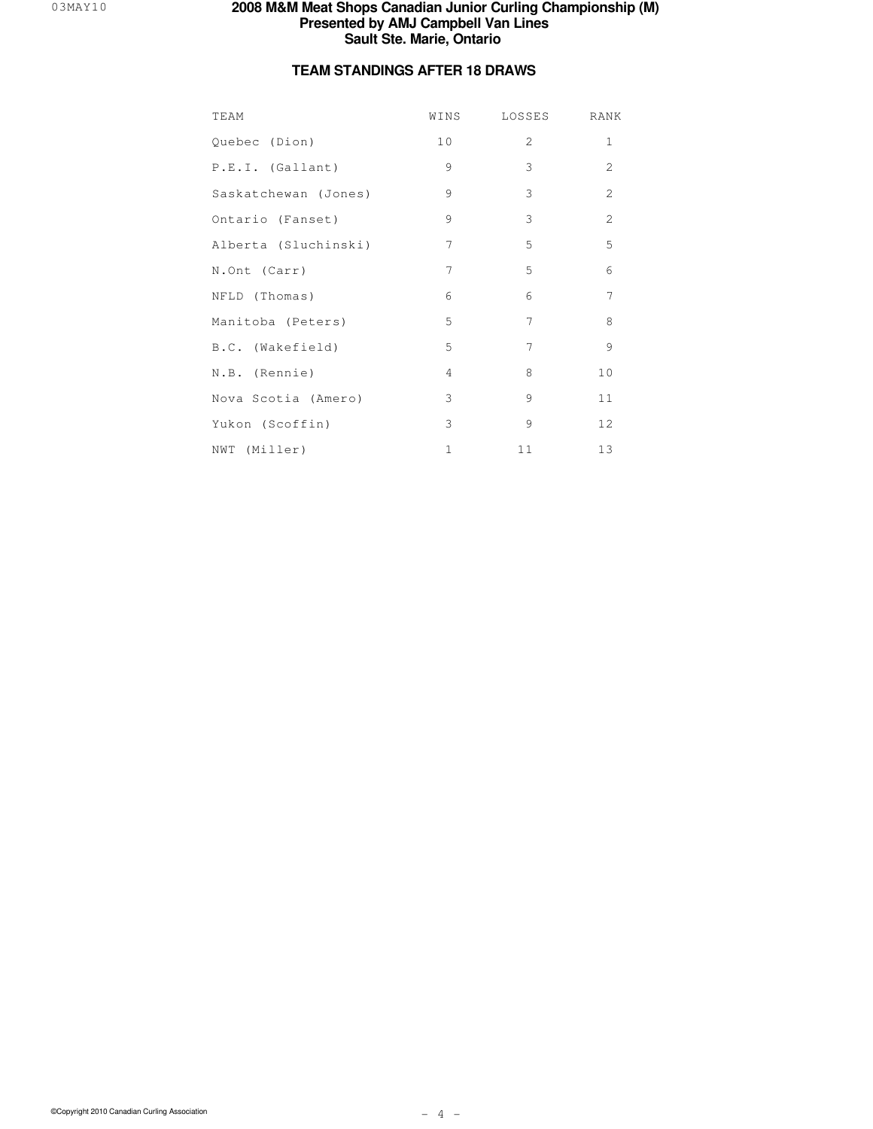## **TEAM STANDINGS AFTER 18 DRAWS**

| TEAM                 | WINS            | LOSSES | RANK           |
|----------------------|-----------------|--------|----------------|
| Quebec (Dion)        | 10 <sub>o</sub> | 2      | $\mathbf 1$    |
| P.E.I. (Gallant)     | 9               | 3      | $\overline{2}$ |
| Saskatchewan (Jones) | 9               | 3      | $\overline{c}$ |
| Ontario (Fanset)     | 9               | 3      | $\overline{c}$ |
| Alberta (Sluchinski) | 7               | 5      | 5              |
| N.Ont (Carr)         | $\overline{7}$  | 5      | 6              |
| NFLD (Thomas)        | 6               | 6      | 7              |
| Manitoba (Peters)    | 5               | 7      | 8              |
| B.C. (Wakefield)     | 5               | 7      | 9              |
| N.B. (Rennie)        | $\overline{4}$  | 8      | 10             |
| Nova Scotia (Amero)  | 3               | 9      | 11             |
| Yukon (Scoffin)      | 3               | 9      | 12             |
| NWT (Miller)         | 1               | 11     | 13             |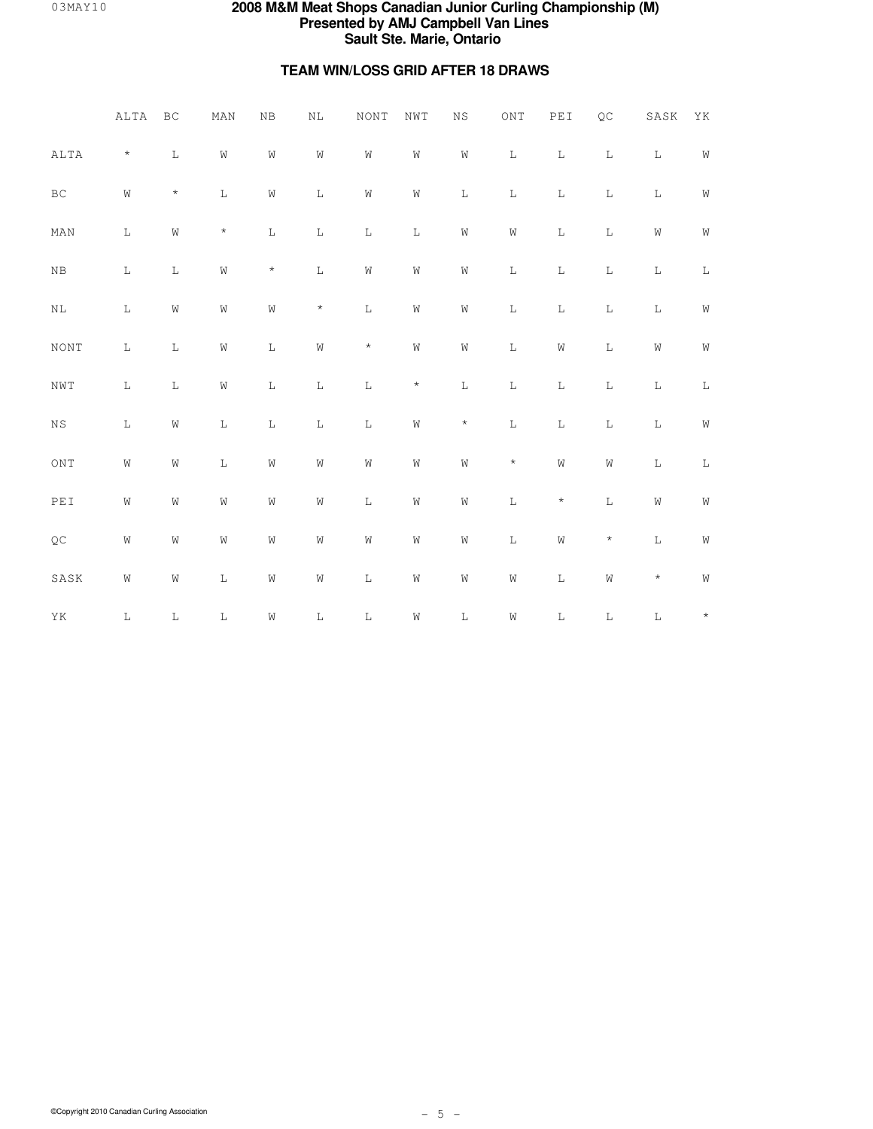## **TEAM WIN/LOSS GRID AFTER 18 DRAWS**

|                                                           | ALTA        | $\operatorname{BC}$ | MAN            | NB             | $\rm NL$       | <b>NONT</b> | NWT            | $_{\rm NS}$    | ONT            | PEI         | QC             | $_{\rm SASK}$  | ΥK             |
|-----------------------------------------------------------|-------------|---------------------|----------------|----------------|----------------|-------------|----------------|----------------|----------------|-------------|----------------|----------------|----------------|
| ALTA                                                      | $\star$     | $\mathbf L$         | $\mathbf W$    | $\mbox{W}$     | $\hbox{\it W}$ | $\mbox{W}$  | $\hbox{W}$     | $\hbox{\it W}$ | $\mathbb L$    | $\mathbb L$ | $\mathbb L$    | $\mathbb L$    | $\mathbf W$    |
| $\operatorname{BC}$                                       | $\mbox{W}$  | $\star$             | $\mathbb L$    | $\mbox{W}$     | $\mathbb L$    | ${\rm W}$   | $\hbox{\it W}$ | $\mathbf L$    | $\mathbb L$    | $\mathbf L$ | $\mathbb L$    | $\mathbf L$    | $\mathbf W$    |
| MAN                                                       | $\mathbf L$ | W                   | $\star$        | $\mathbb L$    | $\mathbb L$    | $\mathbb L$ | $\mathbf L$    | W              | ${\tt W}$      | $\mathbf L$ | $\mathbf L$    | $\hbox{\it W}$ | W              |
| ${\rm NB}$                                                | $\mathbb L$ | $\mathbb L$         | ${\rm W}$      | $\star$        | $\mathbb L$    | $\hbox{W}$  | $\hbox{\it W}$ | $\hbox{\it W}$ | $\mathbb L$    | $\mathbf L$ | $\mathbf L$    | $\mathbb L$    | $\mathbb L$    |
| $\rm NL$                                                  | $\mathbb L$ | W                   | $\hbox{\it W}$ | $\hbox{\it W}$ | $\star$        | $\mathbb L$ | $\hbox{\it W}$ | $\hbox{\it W}$ | $\mathbf L$    | $\mathbf L$ | $\mathbf L$    | $\mathbb L$    | ${\rm W}$      |
| NONT                                                      | $\mathbb L$ | $\mathbb L$         | $\mathbb W$    | $\mathbb L$    | $\hbox{\it W}$ | $\star$     | $\hbox{\bf W}$ | $\hbox{\it W}$ | $\mathbb L$    | $\rm W$     | $\mathbb L$    | $\hbox{\it W}$ | $\mathbb W$    |
| $\mathop{\rm NWT}\nolimits$                               | $\mathbb L$ | $\mathbb L$         | ${\rm W}$      | $\mathbb L$    | $\mathbf L$    | $\mathbb L$ | $\star$        | $\mathbf L$    | $\mathbb L$    | $\mathbf L$ | $\mathbb L$    | $\mathbb L$    | $\mathbb L$    |
| $_{\rm NS}$                                               | $\mathbb L$ | $\rm W$             | $\mathbb L$    | $\mathbb L$    | $\mathbf L$    | $\mathbb L$ | $\hbox{\it W}$ | $\star$        | $\mathbb L$    | $\mathbf L$ | $\mathbb L$    | $\mathbb L$    | $\mathbb W$    |
| ONT                                                       | $\rm W$     | $\rm W$             | $\mathbb L$    | $\mathbb W$    | $\hbox{\it W}$ | $\rm W$     | $\hbox{\it W}$ | $\hbox{\it W}$ | $\star$        | $\rm W$     | $\hbox{\it W}$ | $\mathbb L$    | $\mathbb L$    |
| $\ensuremath{\mathop{\rm PE}}\ensuremath{\mathop{\rm I}}$ | $\rm W$     | $\rm W$             | $\mathbb W$    | $\hbox{\it W}$ | $\hbox{\it W}$ | $\mathbb L$ | $\hbox{\it W}$ | $\hbox{\it W}$ | $\mathbb L$    | $\star$     | $\mathbb L$    | $\hbox{\it W}$ | $\mathbb W$    |
| $\mathbb{Q}\mathbb{C}$                                    | $\rm W$     | $\rm W$             | $\mathbb W$    | $\hbox{\it W}$ | $\hbox{\it W}$ | ${\rm W}$   | $\hbox{\it W}$ | $\hbox{\it W}$ | $\mathbb L$    | $\rm W$     | $\star$        | $\mathbb L$    | $\hbox{\it W}$ |
| SASK                                                      | W           | $\rm W$             | $\mathbb L$    | $\hbox{W}$     | $\hbox{\it W}$ | $\mathbb L$ | $\hbox{\it W}$ | $\hbox{\it W}$ | $\hbox{\it W}$ | $\mathbf L$ | $\hbox{W}$     | $\star$        | $\hbox{W}$     |
| ΥK                                                        | $\mathbb L$ | $\mathbb L$         | $\mathbf L$    | $\hbox{W}$     | $\mathbb L$    | $\mathbb L$ | $\hbox{W}$     | $\mathbb L$    | $\hbox{W}$     | $\mathbf L$ | $\mathbb L$    | $\mathbb L$    | $\star$        |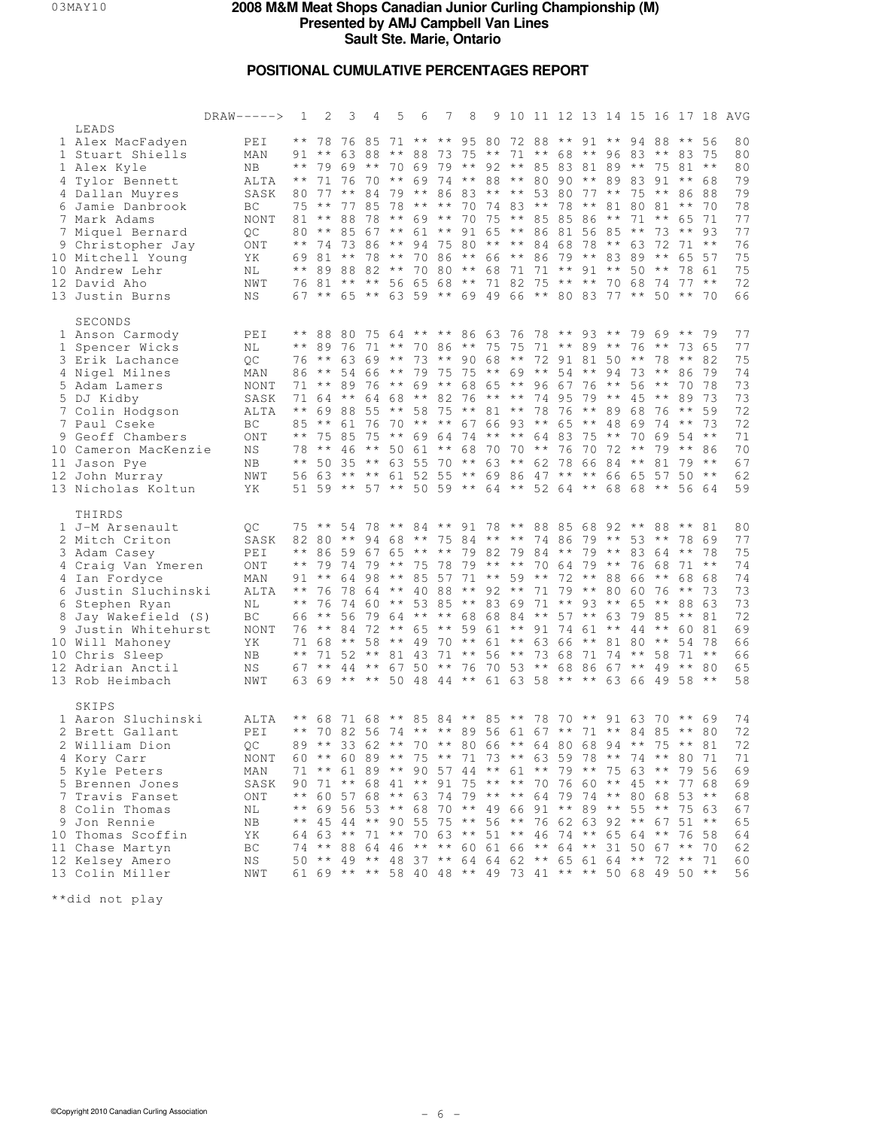## **POSITIONAL CUMULATIVE PERCENTAGES REPORT**

|                                                                                                                                                                                                                                                                       | $DRAW-----$                                                                                  | -1                                                                        | 2                                                                                                   | 3                                                   | 4       | 5                                                                                                                                                                                                                                                                                                                                                                                                                                                                                                                                                                                                                                                           | 6 | 7        | 8                                                                                                                             | 9 10 11 12 13 14 15 16 17 18                          |  |                                  |               |                                                     |                                                  |                                                               |                                                                                          | AVG                                                                        |
|-----------------------------------------------------------------------------------------------------------------------------------------------------------------------------------------------------------------------------------------------------------------------|----------------------------------------------------------------------------------------------|---------------------------------------------------------------------------|-----------------------------------------------------------------------------------------------------|-----------------------------------------------------|---------|-------------------------------------------------------------------------------------------------------------------------------------------------------------------------------------------------------------------------------------------------------------------------------------------------------------------------------------------------------------------------------------------------------------------------------------------------------------------------------------------------------------------------------------------------------------------------------------------------------------------------------------------------------------|---|----------|-------------------------------------------------------------------------------------------------------------------------------|-------------------------------------------------------|--|----------------------------------|---------------|-----------------------------------------------------|--------------------------------------------------|---------------------------------------------------------------|------------------------------------------------------------------------------------------|----------------------------------------------------------------------------|
| LEADS<br>1 Alex MacFadyen<br>1 Stuart Shiells<br>1 Alex Kyle<br>4 Tylor Bennett<br>4 Dallan Muyres<br>6 Jamie Danbrook<br>7 Mark Adams<br>7 Miquel Bernard<br>9 Christopher Jay<br>10 Mitchell Young<br>10 Andrew Lehr<br>12 David Aho<br>13 Justin Burns             | PEI<br>MAN<br>NB.<br>ALTA<br>SASK<br>BC<br><b>NONT</b><br>QC<br>ONT<br>ΥK<br>ΝL<br>NWT<br>ΝS | $\star \star$<br>$\star$ $\star$<br>80.<br>$\star\,\star$                 | 78<br>91 **<br>71<br>80 77<br>$75***$<br>81 ** 88 78<br>74 73 86<br>69 81 ** 78<br>76 81<br>$67$ ** | 76 85<br>76<br>$\star \star$<br>77 85<br>$**$ 85 67 | 70      | 71 ** ** 95 80 72 88 ** 91 ** 94<br>63 88 ** 88 73 75 ** 71 ** 68 ** 96 83 ** 83 75<br>** 79 69 ** 70 69 79 ** 92 ** 85 83 81 89 ** 75 81 **<br>84 79 ** 86 83 ** ** 53 80 77 ** 75 **<br>78 ** **<br>** 69 ** 70 75 ** 85 85 86 ** 71 ** 65 71<br>$\star \star$<br>$\star \star$<br>$\star \star$<br>** 89 88 82 ** 70 80 ** 68 71 71 ** 91 ** 50 **<br>** ** 56 65 68 ** 71 82 75 ** **<br>65 ** 63 59 ** 69 49 66 ** 80 83 77 ** 50 ** 70                                                                                                                                                                                                                |   |          | ** 69 74 ** 88 ** 80 90 **<br>61 ** 91 65 ** 86 81 56 85<br>94 75 80 ** ** 84 68 78 ** 63<br>70 86 ** 66 ** 86 79 ** 83 89 ** | 70 74 83 ** 78 **                                     |  |                                  |               | 89 83 91 **<br>81 80 81<br>$\star\star$<br>70 68 74 | 88 **<br>73<br>72                                | $\star \star$<br>$***$ 93<br>$71 * *$                         | 56<br>68<br>86 88<br>70<br>65 57<br>78 61<br>$77***$                                     | 80<br>80<br>80<br>79<br>79<br>78<br>77<br>77<br>76<br>75<br>75<br>72<br>66 |
| SECONDS<br>1 Anson Carmody<br>1 Spencer Wicks<br>3 Erik Lachance<br>4 Nigel Milnes<br>5 Adam Lamers<br>5 DJ Kidby<br>7 Colin Hodgson<br>7 Paul Cseke<br>9 Geoff Chambers<br>10 Cameron MacKenzie<br>11 Jason Pye<br>12 John Murray<br>13 Nicholas Koltun              | PEI<br>NL<br>QC<br>MAN<br>NONT<br>SASK<br>ALTA<br>BC<br>ONT<br>ΝS<br>ΝB<br>NWT<br>ΥK         | 71<br>$\star \star$<br>$\star\,\star$<br>$\star\star$                     | $76***$<br>$\star \star$<br>71 64 **<br>69 88 55<br>85 **<br>75 85 75                               | 89<br>61 76                                         | 76      | ** 88 80 75 64 ** ** 86 63 76 78 ** 93 ** 79 69 **<br>** 89 76 71 ** 70 86 ** 75 75<br>63 69 ** 73 ** 90 68 ** 72 91 81 50 ** 78 **<br>86 ** 54 66 ** 79 75 75 ** 69 ** 54 **<br>$\star \star$<br>64 68 ** 82<br>** 58 75 ** 81 ** 78 76 ** 89<br>70 ** ** 67 66 93 ** 65 ** 48 69<br>** 69 64 74 ** ** 64 83 75 **<br>78 ** 46 ** 50 61 ** 68 70 70 ** 76 70 72 **<br>50 35 ** 63 55 70 ** 63 ** 62 78 66 84 **<br>56 63 ** ** 61 52 55 ** 69 86 47 ** **<br>51 59 ** 57 ** 50 59 ** 64 ** 52 64 ** 68 68 **                                                                                                                                               |   | 69 **    | 76 ** ** 74 95                                                                                                                | 68 65 ** 96 67 76                                     |  | 71 ** 89 ** 76 ** 73 65<br>79 ** | $\star \star$ | $9473**$<br>56<br>$45***$<br>68<br>70<br>66 65      | $\star \star$<br>76<br>$74***$<br>69<br>81<br>57 | 86<br>70<br>89<br>$\star\star$<br>$79***$                     | 79<br>82<br>79<br>- 78<br>73<br>59<br>73<br>$54***$<br>86<br>$79***$<br>$50***$<br>56 64 | 77<br>77<br>75<br>74<br>73<br>73<br>72<br>72<br>71<br>70<br>67<br>62<br>59 |
| THIRDS<br>1 J-M Arsenault<br>2 Mitch Criton<br>3 Adam Casey<br>4 Craig Van Ymeren<br>4 Ian Fordyce<br>6 Justin Sluchinski<br>6 Stephen Ryan<br>8 Jay Wakefield (S)<br>9 Justin Whitehurst<br>10 Will Mahoney<br>10 Chris Sleep<br>12 Adrian Anctil<br>13 Rob Heimbach | OС<br>SASK<br>PEI<br>ONT<br>MAN<br>ALTA<br>ΝL<br>ВC<br>NONT<br>YK<br>NΒ<br>ΝS<br>NWT         | $\star$ $\star$<br>$\star\,\star$<br>$\star\star$<br>$\star\,\star$<br>67 | ** 86 59 67<br>79<br>76<br>76<br>66 **<br>$76***$<br>71 68 ** 58<br>$\star\star$                    | 7479<br>7864                                        | $44***$ | 75 ** 54 78 ** 84 ** 91 78 ** 88 85 68 92 ** 88 ** 81<br>82 80 ** 94 68 ** 75 84 ** ** 74 86 79 ** 53 **<br>** 75 78 79 ** ** 70 64 79 ** 76 68<br>91 ** 64 98 ** 85 57 71 ** 59 ** 72 ** 88 66<br>** 40 88<br>74 60 ** 53 85 ** 83 69 71 ** 93 **<br>56 79 64 ** **<br>84 72 ** 65 ** 59 61 ** 91 74 61 ** 44 **<br>$\star \star$<br>71 52 ** 81 43 71 ** 56 ** 73 68 71 74 ** 58<br>63 69 ** ** 50 48 44 ** 61 63 58 ** ** 63 66 49 58 **                                                                                                                                                                                                                 |   | $4970**$ | 65 ** ** 79 82 79 84 ** 79 ** 83 64 **<br>** 92 ** 71<br>67 50 ** 76 70 53 ** 68 86 67 **                                     | 68 68 84 ** 57 ** 63 79 85<br>61 ** 63 66 ** 81 80 ** |  | 79 ** 80 60 76                   |               |                                                     | $\star \star$<br>65 **<br>49                     | $71***$<br>$\star\star$<br>88 63<br>** 81<br>60 81<br>$71***$ | 78 69<br>-78<br>68 68<br>- 73<br>54 78<br>$***$ 80                                       | 80<br>77<br>75<br>74<br>74<br>73<br>73<br>72<br>69<br>66<br>66<br>65<br>58 |
| SKIPS<br>1 Aaron Sluchinski<br>2 Brett Gallant<br>2 William Dion<br>4 Kory Carr<br>5 Kyle Peters<br>5 Brennen Jones<br>7 Travis Fanset<br>8 Colin Thomas<br>9 Jon Rennie<br>10 Thomas Scoffin<br>11 Chase Martyn<br>12 Kelsey Amero<br>13 Colin Miller                | ALTA<br>PEI<br>QC<br>NONT<br>MAN<br>SASK<br>ONT<br>ΝL<br>ΝB<br>ΥK<br>ВC<br>ΝS<br>NWT         | $\star \star$<br>$\star\star$<br>$\star \star$                            | ** 68 71 68<br>** 70 82 56<br>89 ** 33 62<br>71 **<br>45                                            |                                                     |         | ** 85 84 ** 85 ** 78 70 ** 91 63 70 ** 69<br>74 ** ** 89 56 61 67 ** 71 ** 84 85 ** 80<br>60 ** 60 89 ** 75 ** 71 73 ** 63 59 78 ** 74 ** 80 71<br>61 89 ** 90 57 44 ** 61 ** 79 ** 75 63 ** 79 56<br>90 71 ** 68 41 ** 91 75 ** ** 70 76 60 ** 45 ** 77 68<br>60 57 68 ** 63 74 79 ** ** 64 79 74 ** 80 68 53 **<br>69 56 53 ** 68 70 ** 49 66 91 ** 89 ** 55 **<br>44 ** 90 55 75<br>64    63    **    71    **    70    63    **    51    **    46    74    **    65    64    **<br>74 ** 88 64 46 ** ** 60 61 66 ** 64 ** 31 50 67 **<br>50 ** 49 ** 48 37 ** 64 64 62 ** 65 61 64 ** 72 ** 71<br>61 69 ** ** 58 40 48 ** 49 73 41 ** ** 50 68 49 50 ** |   |          | ** 70 ** 80 66 ** 64 80 68 94 ** 75 **<br>** 56 ** 76 62 63 92 ** 67                                                          |                                                       |  |                                  |               |                                                     |                                                  | 75 63                                                         | 81<br>$51***$<br>76 58<br>70                                                             | 74<br>72<br>72<br>71<br>69<br>69<br>68<br>67<br>65<br>64<br>62<br>60<br>56 |

\*\*did not play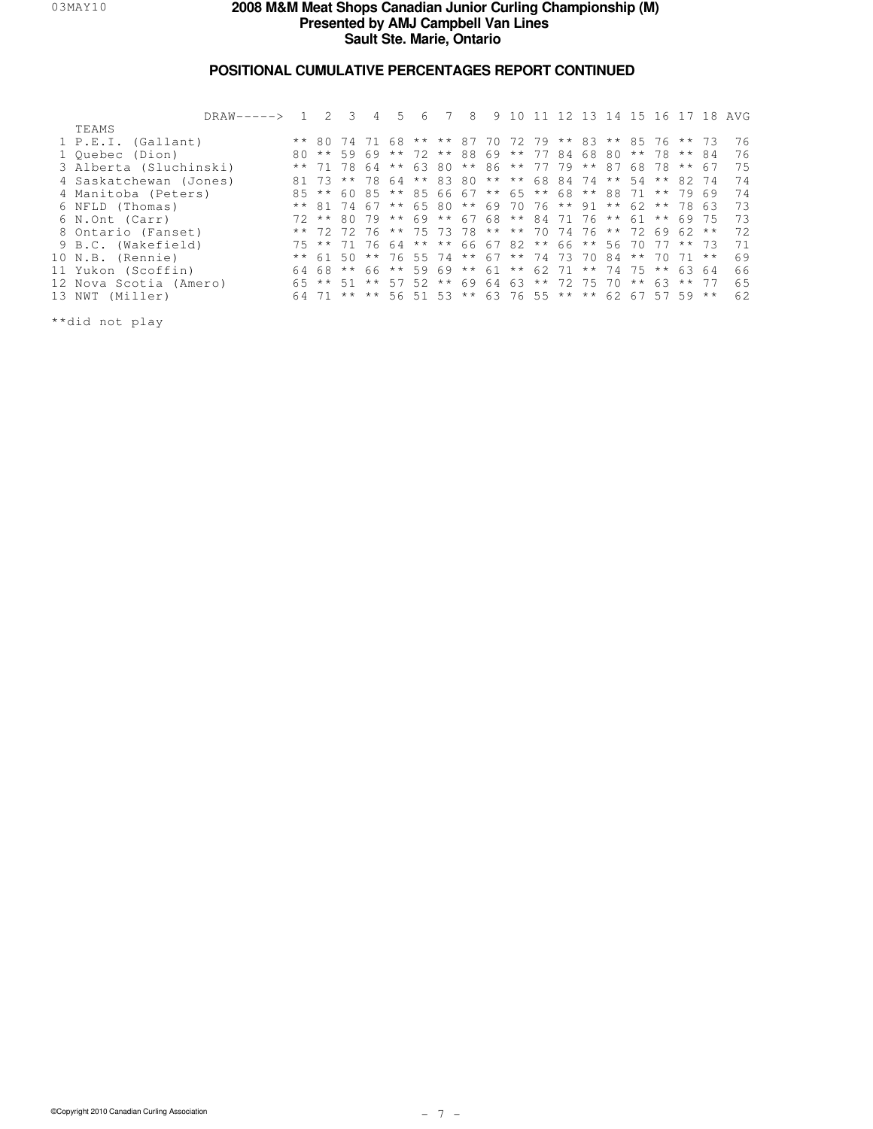## **POSITIONAL CUMULATIVE PERCENTAGES REPORT CONTINUED**

| DRAW-----> 1           |    |                                                       | 4 | 5. | 6 | 8                                               | 9 |  |  |    |          |             |          | 10 11 12 13 14 15 16 17 18 AVG |
|------------------------|----|-------------------------------------------------------|---|----|---|-------------------------------------------------|---|--|--|----|----------|-------------|----------|--------------------------------|
| TEAMS                  |    |                                                       |   |    |   |                                                 |   |  |  |    |          |             |          |                                |
| 1 P.E.I. (Gallant)     |    | ** 80 74 71 68 ** ** 87 70 72 79 ** 83 ** 85 76 ** 73 |   |    |   |                                                 |   |  |  |    |          |             |          | 76                             |
| 1 Ouebec (Dion)        |    | 80 ** 59 69 ** 72 ** 88 69 ** 77 84 68 80             |   |    |   |                                                 |   |  |  |    |          | ** 78 ** 84 |          | 76                             |
| 3 Alberta (Sluchinski) |    | ** 71 78 64                                           |   |    |   | ** 63 80 ** 86 ** 77 79 ** 87 68 78 ** 67       |   |  |  |    |          |             |          | 75                             |
| 4 Saskatchewan (Jones) |    | 81 73                                                 |   |    |   | ** 78 64 ** 83 80 ** ** 68 84 74 ** 54 ** 82 74 |   |  |  |    |          |             |          | 74                             |
| 4 Manitoba (Peters)    | 85 | ** 6085                                               |   |    |   | ** 85 66 67 ** 65 ** 68 ** 88 71                |   |  |  |    |          |             | ** 79 69 | 74                             |
| 6 NFLD (Thomas)        |    | ** 81 74 67 ** 65 80 ** 69 70 76 ** 91 ** 62 **       |   |    |   |                                                 |   |  |  |    |          |             | 78 63    | 73                             |
| 6 N.Ont (Carr)         |    | 72 ** 80 79 ** 69 ** 67 68 ** 84 71 76 ** 61          |   |    |   |                                                 |   |  |  |    |          |             | ** 69 75 | 73                             |
| 8 Ontario (Fanset)     |    | ** 72 72 76 ** 75 73 78 ** ** 70 74 76 ** 72 69 62 ** |   |    |   |                                                 |   |  |  |    |          |             |          | 72                             |
| 9 B.C. (Wakefield)     |    | 75 ** 71 76 64 ** ** 66 67 82 ** 66 ** 56 70 77 ** 73 |   |    |   |                                                 |   |  |  |    |          |             |          | 71                             |
| 10 N.B. (Rennie)       |    | $*$ 61 50                                             |   |    |   | ** 76 55 74 ** 67 ** 74 73 70                   |   |  |  | 84 | ** 70    |             | $71***$  | 69                             |
| 11 Yukon (Scoffin)     |    | 64 68 ** 66 ** 59 69 ** 61 ** 62 71 ** 74 75 ** 63 64 |   |    |   |                                                 |   |  |  |    |          |             |          | 66                             |
| 12 Nova Scotia (Amero) |    | 65 ** 51 ** 57 52 ** 69 64 63 ** 72 75 70             |   |    |   |                                                 |   |  |  |    | $* * 63$ |             | $***$ 77 | 65                             |
| 13 NWT (Miller)        |    | 64 71                                                 |   |    |   | ** ** 56 51 53 ** 63 76 55 ** ** 62 67 57 59 ** |   |  |  |    |          |             |          | 62                             |
|                        |    |                                                       |   |    |   |                                                 |   |  |  |    |          |             |          |                                |

\*\*did not play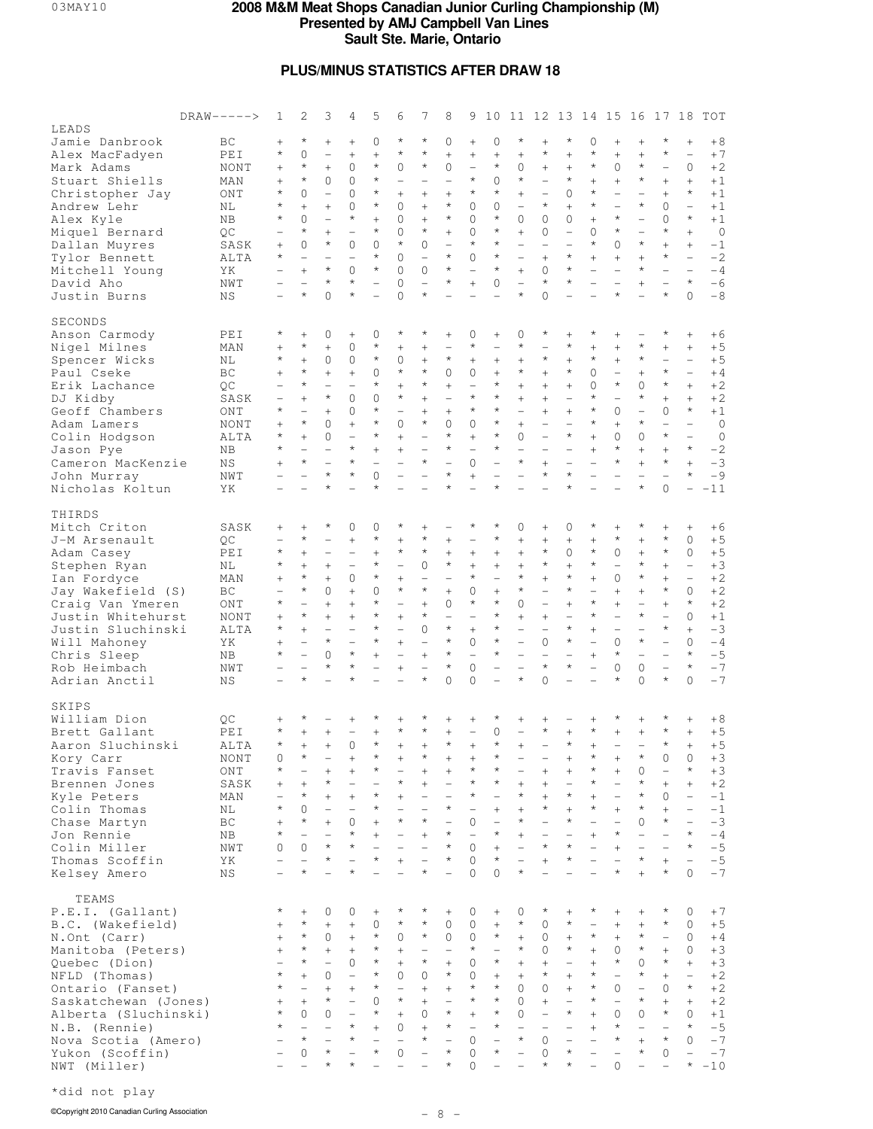## **PLUS/MINUS STATISTICS AFTER DRAW 18**

|                                       | $DRAW-----$ | 1                                                    | 2                                   | 3                                   | 4                                    | 5                                       | 6                                  | 7                                    | 8                                   | 9                                  | 10                       |                                                      |                                      |                                                      |                                            | 11 12 13 14 15 16                    |                                     | 17                                  | 18                                 | TOT                    |
|---------------------------------------|-------------|------------------------------------------------------|-------------------------------------|-------------------------------------|--------------------------------------|-----------------------------------------|------------------------------------|--------------------------------------|-------------------------------------|------------------------------------|--------------------------|------------------------------------------------------|--------------------------------------|------------------------------------------------------|--------------------------------------------|--------------------------------------|-------------------------------------|-------------------------------------|------------------------------------|------------------------|
| LEADS                                 |             |                                                      | $\star$                             |                                     |                                      |                                         | $\star$                            | $\star$                              |                                     |                                    |                          | $\star$                                              |                                      | $\star$                                              | 0                                          |                                      |                                     | $\star$                             |                                    |                        |
| Jamie Danbrook<br>Alex MacFadyen      | BC<br>PEI   | $^{+}$<br>$\star$                                    | $\Omega$                            | $+$<br>$\overline{\phantom{0}}$     | $+$<br>$^{+}$                        | 0<br>$\ddot{}$                          | $\star$                            | $\star$                              | 0<br>$^{+}$                         | $^{+}$<br>$^{+}$                   | $\mathbf 0$<br>$^{+}$    | $^{+}$                                               | $\ddot{}$<br>$\star$                 | $^{+}$                                               | ¥                                          | $^{+}$<br>$^{+}$                     | $^{+}$<br>$^{+}$                    | $\star$                             | $^{+}$<br>$\overline{\phantom{0}}$ | $+8$<br>$+7$           |
| Mark Adams                            | NONT        | $^{+}$                                               | $\star$                             | $+$                                 | $\Omega$                             | $\star$                                 | $\Omega$                           | $\star$                              | 0                                   | $\overline{\phantom{0}}$           | $\star$                  | 0                                                    | $^{+}$                               | $+$                                                  | $\star$                                    | $\mathbf{0}$                         | $\star$                             | $\overline{\phantom{0}}$            | $\mathbf{0}$                       | $+2$                   |
| Stuart Shiells                        | MAN         | $^{+}$                                               | $\star$                             | $\Omega$                            | $\Omega$                             | $\star$                                 | $\overline{\phantom{0}}$           |                                      | $\overline{\phantom{0}}$            | $\star$                            | $\Omega$                 | $^{\star}$                                           | $\overline{\phantom{0}}$             | $\star$                                              | $^{+}$                                     | $^{+}$                               | $\star$                             | $^{+}$                              | $^{+}$                             | $+1$                   |
| Christopher Jay                       | ONT         | $^\star$                                             | $\mathbf{0}$                        | $\overline{\phantom{0}}$            | $\Omega$                             | $\star$                                 | $^{+}$                             | $+$                                  | $^{+}$                              | $^{\star}$                         | $\star$                  | $^{+}$                                               |                                      | $\Omega$                                             | $^{\star}$                                 | $\overline{\phantom{0}}$             | $\overline{\phantom{0}}$            | $^{+}$                              | $\star$                            | $+1$                   |
| Andrew Lehr                           | NL          | $\star$                                              | $^{+}$                              | $+$                                 | $\Omega$                             | $\star$                                 | $\mathbf{0}$                       | $+$                                  | $\star$                             | $\Omega$                           | $\Omega$                 | $\overline{\phantom{0}}$                             | $\star$                              | $^{+}$                                               | $\star$                                    | $\overline{\phantom{0}}$             | $\star$                             | $\circ$                             | $\equiv$                           | $+1$                   |
| Alex Kyle                             | NB          | $\star$                                              | $\Omega$<br>$\star$                 |                                     | $\star$                              | $^{+}$<br>$\star$                       | $\mathbf{0}$                       | $^{+}$<br>$\star$                    | $\star$                             | $\Omega$                           | $\star$<br>$\star$       | 0                                                    | $\circ$                              | 0                                                    | $+$                                        | $\star$<br>$\star$                   | $\overline{\phantom{0}}$            | $\Omega$<br>$\star$                 | $\star$                            | $+1$                   |
| Miquel Bernard<br>Dallan Muyres       | QC<br>SASK  | $^{+}$                                               | $\Omega$                            | $+$<br>$\star$                      | $\overline{\phantom{0}}$<br>$\Omega$ | $\Omega$                                | $\Omega$<br>$\star$                | $\Omega$                             | $^{+}$<br>$\overline{\phantom{0}}$  | $\Omega$<br>$\star$                | $\star$                  | $^{+}$<br>$\overline{\phantom{0}}$                   | $\Omega$<br>$\overline{\phantom{0}}$ | $\overline{\phantom{0}}$<br>$\overline{\phantom{0}}$ | $\Omega$<br>$\star$                        | $\Omega$                             | $\overline{\phantom{0}}$<br>$\star$ | $+$                                 | $^{+}$<br>$^{+}$                   | $\overline{0}$<br>$-1$ |
| Tylor Bennett                         | ALTA        | $^\star$                                             | $\overline{\phantom{0}}$            |                                     |                                      | $\star$                                 | $\Omega$                           | $\overline{\phantom{0}}$             | $\star$                             | $\Omega$                           | $\star$                  | $\overline{\phantom{0}}$                             | $+$                                  | $\star$                                              | $^{+}$                                     | $^{+}$                               | $^{+}$                              | $\star$                             | $\overline{\phantom{0}}$           | $-2$                   |
| Mitchell Young                        | ΥK          |                                                      | $^{+}$                              | $\star$                             | $\Omega$                             | $\star$                                 | $\Omega$                           | $\Omega$                             | $\star$                             | $\equiv$                           | $\star$                  | $^{+}$                                               | $\circ$                              | $\star$                                              | $\overline{\phantom{0}}$                   | $\overline{\phantom{0}}$             | $\star$                             | $\overline{\phantom{0}}$            | $\equiv$                           | $-4$                   |
| David Aho                             | NWT         |                                                      | $\overline{\phantom{0}}$            | $\star$                             | $\star$                              | $\overline{\phantom{0}}$                | $\Omega$                           | $\overline{\phantom{0}}$             | $\star$                             | $^{+}$                             | $\Omega$                 | $\overline{\phantom{0}}$                             | $\star$                              | $\star$                                              | $\overline{a}$                             |                                      | $^{+}$                              | $\overline{\phantom{0}}$            | $\star$                            | $-6$                   |
| Justin Burns                          | NS          |                                                      | $\star$                             | $\Omega$                            | $\star$                              | $\overline{a}$                          | $\Omega$                           |                                      |                                     |                                    |                          | $\star$                                              | $\Omega$                             |                                                      |                                            | $\star$                              |                                     | $\star$                             | $\Omega$                           | $-8$                   |
| SECONDS                               |             |                                                      |                                     |                                     |                                      |                                         |                                    |                                      |                                     |                                    |                          |                                                      |                                      |                                                      |                                            |                                      |                                     |                                     |                                    |                        |
| Anson Carmody                         | PEI         | $^\star$                                             | $^{+}$                              | 0                                   | $+$                                  | 0                                       | $\star$                            | $\star$                              | $^{+}$                              | $\mathbf 0$                        | $+$                      | 0                                                    | $\star$                              | $^{+}$                                               | *                                          | $^{+}$                               |                                     | $\star$                             | $^{+}$                             | $+6$                   |
| Nigel Milnes                          | MAN         | $^{+}$                                               | $\star$                             | $\ddot{}$                           | $\Omega$                             | $\star$                                 | $^{+}$                             | $^{+}$                               | $\overline{\phantom{0}}$            | $^{\star}$                         |                          | $\star$                                              |                                      | $\star$                                              | $^{+}$                                     | $^{+}$                               | $\star$                             | $^{+}$                              | $^{+}$                             | $+5$                   |
| Spencer Wicks                         | ΝL          | $\star$                                              | $^{+}$                              | $\Omega$                            | $\Omega$                             | $\star$                                 | $\mathbf{0}$                       | $^{+}$                               | $\star$                             | $^{+}$                             | $^{+}$                   | $^{+}$                                               | $\star$                              | $+$                                                  | $\star$                                    | $^{+}$                               | $\star$                             | $\overline{\phantom{0}}$            | $\overline{\phantom{0}}$           | $+5$                   |
| Paul Cseke                            | BC          | $^{+}$                                               | $\star$<br>$\star$                  | $\ddot{}$                           | $^{+}$                               | $\mathbf 0$<br>$\star$                  | $\star$                            | $\star$<br>$\star$                   | 0                                   | 0<br>$\overline{\phantom{0}}$      | $^{+}$<br>$\star$        | $\star$                                              | $+$                                  | $\star$                                              | $\circ$<br>0                               | $\qquad \qquad -$<br>$\star$         | $^{+}$<br>0                         | $\star$<br>$\star$                  | $\overline{\phantom{0}}$           | $+4$                   |
| Erik Lachance<br>DJ Kidby             | QC<br>SASK  |                                                      | $^{+}$                              | $\qquad \qquad -$<br>$\star$        | $\qquad \qquad -$<br>$\Omega$        | $\mathbf 0$                             | $^{+}$<br>$\star$                  | $^{+}$                               | $^{+}$<br>$\overline{\phantom{0}}$  | $\star$                            | $\star$                  | $^{+}$<br>$^{+}$                                     | $^{+}$<br>$^{+}$                     | $^{+}$                                               | $^{\star}$                                 | $\overline{\phantom{0}}$             | $\star$                             | $^{+}$                              | $^{+}$<br>$^{+}$                   | $+2$<br>$+2$           |
| Geoff Chambers                        | ONT         | $\star$                                              | $\overline{\phantom{0}}$            | $+$                                 | $\Omega$                             | $\star$                                 | $\overline{\phantom{0}}$           | $+$                                  | $^{+}$                              | $\star$                            | $\star$                  | $\overline{\phantom{0}}$                             | $^{+}$                               | $^{+}$                                               | $\star$                                    | $\Omega$                             | $\overline{\phantom{0}}$            | $\Omega$                            | $\star$                            | $+1$                   |
| Adam Lamers                           | NONT        | $^{+}$                                               | $\star$                             | 0                                   | $^{+}$                               | $\star$                                 | $\mathbf{0}$                       | $\star$                              | 0                                   | $\Omega$                           | $\star$                  | $^{+}$                                               | $\overline{\phantom{0}}$             | $\overline{\phantom{0}}$                             | $^{\star}$                                 | $^{+}$                               | $\star$                             | $\overline{\phantom{0}}$            | $\overline{\phantom{0}}$           | $\circ$                |
| Colin Hodgson                         | ALTA        | $^{\star}$                                           | $^{+}$                              | $\Omega$                            |                                      | $\star$                                 | $^{+}$                             | $\overline{\phantom{0}}$             | $\star$                             | $^{+}$                             | $\star$                  | 0                                                    | $\overline{\phantom{0}}$             | $\star$                                              | $\ddot{}$                                  | $\Omega$                             | $\Omega$                            | $\star$                             | $\qquad \qquad -$                  | $\circ$                |
| Jason Pye                             | NB          | $\star$                                              | $\overline{\phantom{0}}$            |                                     | $\star$                              | $^{+}$                                  | $^{+}$                             |                                      | $\star$                             | $\overline{\phantom{0}}$           | $\star$                  | $\overline{\phantom{0}}$                             |                                      | $\overline{\phantom{0}}$                             | $^{+}$                                     | $\star$                              | $^{+}$                              | $^{+}$                              | $\star$                            | $-2$                   |
| Cameron MacKenzie                     | NS          | $^{+}$                                               | $\star$<br>$\overline{a}$           | $\overline{\phantom{0}}$<br>$\star$ | $\star$<br>$\star$                   | $\overline{\phantom{0}}$<br>$\mathbf 0$ |                                    | $\star$                              | $\overline{a}$<br>$\star$           | $\Omega$<br>$\ddot{}$              | $\overline{\phantom{0}}$ | $\star$<br>$\overline{a}$                            | $^{+}$<br>$\star$                    | $\overline{\phantom{0}}$<br>$\star$                  | $\overline{\phantom{0}}$<br>$\overline{a}$ | $\star$                              | $^{+}$<br>$\overline{\phantom{0}}$  | $\star$                             | $^{+}$<br>$\star$                  | $-3$<br>$-9$           |
| John Murray<br>Nicholas Koltun        | NWT<br>ΥK   |                                                      |                                     | $\star$                             |                                      | $\star$                                 |                                    |                                      | $\star$                             |                                    | $\star$                  | $\overline{a}$                                       |                                      | $\star$                                              |                                            |                                      | $\star$                             | $\Omega$                            | $\equiv$                           | $-11$                  |
|                                       |             |                                                      |                                     |                                     |                                      |                                         |                                    |                                      |                                     |                                    |                          |                                                      |                                      |                                                      |                                            |                                      |                                     |                                     |                                    |                        |
| THIRDS                                |             |                                                      |                                     |                                     |                                      |                                         |                                    |                                      |                                     |                                    |                          |                                                      |                                      |                                                      |                                            |                                      |                                     |                                     |                                    |                        |
| Mitch Criton                          | SASK        | $^{+}$                                               | $^{+}$                              | $\star$                             | $\Omega$                             | 0                                       | $\star$                            | $+$                                  |                                     | $\star$                            | $\star$                  | 0                                                    | $^{+}$                               | 0                                                    | $\star$                                    | $^{+}$                               | $\star$                             | $^{+}$<br>$\star$                   | $\! + \!\!\!\!$                    | $+6$                   |
| J-M Arsenault                         | QC<br>PEI   | $\star$                                              | $\star$<br>$^{+}$                   |                                     | $^{+}$<br>$\qquad \qquad -$          | $\star$<br>$^{+}$                       | $^{+}$<br>$\star$                  | $\star$<br>$\star$                   | $^{+}$<br>$^{+}$                    | $\overline{\phantom{0}}$<br>$^{+}$ | $\star$<br>$^{+}$        | $^{+}$<br>$^{+}$                                     | $^{+}$<br>$\star$                    | $^{+}$<br>$\Omega$                                   | $^{+}$<br>$^{\star}$                       | $\star$<br>$\mathbf{0}$              | $^{+}$<br>$^{+}$                    | $\star$                             | $\Omega$<br>$\Omega$               | $+5$<br>$+5$           |
| Adam Casey<br>Stephen Ryan            | NL          | $\star$                                              | $^{+}$                              | $^{+}$                              | $\qquad \qquad -$                    | $\star$                                 | $\overline{\phantom{0}}$           | $\Omega$                             | $\star$                             | $^{+}$                             | $^{+}$                   | $^{+}$                                               | $\star$                              | $+$                                                  | ¥                                          | $\qquad \qquad -$                    | $\star$                             | $^{+}$                              | $\overline{\phantom{0}}$           | $+3$                   |
| Ian Fordyce                           | MAN         | $^{+}$                                               | $\star$                             | $+$                                 | $\circ$                              | $\star$                                 | $^{+}$                             | $\overline{\phantom{0}}$             | $\overline{\phantom{0}}$            | $^{\star}$                         | $\overline{\phantom{0}}$ | $\star$                                              | $^{+}$                               | $\star$                                              | $^{+}$                                     | $\mathbf{0}$                         | $\star$                             | $^{+}$                              | $\overline{\phantom{0}}$           | $+2$                   |
| Jay Wakefield (S)                     | BC          |                                                      | $\star$                             | $\Omega$                            | $^{+}$                               | 0                                       | $\star$                            | $\star$                              | $^{+}$                              | $\Omega$                           | $^{+}$                   | $\star$                                              | $\overline{\phantom{0}}$             | $\star$                                              | $\overline{\phantom{0}}$                   | $\ddot{}$                            | $^{+}$                              | $\star$                             | $\Omega$                           | $+2$                   |
| Craig Van Ymeren                      | ONT         | $^\star$                                             | $\overline{\phantom{0}}$            | $+$                                 | $^{+}$                               | $\star$                                 | $\overline{\phantom{0}}$           | $^{+}$                               | 0                                   | $^{\star}$                         | $\star$                  | 0                                                    | $\overline{\phantom{0}}$             | $^{+}$                                               | $\star$                                    | $^{+}$                               | $\overline{\phantom{0}}$            | $^{+}$                              | $\star$                            | $+2$                   |
| Justin Whitehurst                     | NONT        |                                                      | $\star$                             | $+$                                 | $^{+}$                               | $\star$<br>$\star$                      | $^{+}$                             | $\star$                              | $\overline{\phantom{0}}$<br>$\star$ |                                    | $\star$<br>$\star$       | $^{+}$                                               | $+$                                  | $\overline{\phantom{0}}$<br>$\star$                  | $\star$                                    | $\overline{\phantom{0}}$             | $\star$                             | $\overline{\phantom{0}}$<br>$\star$ | $\Omega$                           | $+1$                   |
| Justin Sluchinski<br>Will Mahoney     | ALTA<br>ΥK  | $^\star$                                             | $^{+}$<br>$\overline{\phantom{0}}$  | $\star$                             |                                      | $\star$                                 | $\overline{\phantom{0}}$<br>$^{+}$ | $\Omega$<br>$\overline{\phantom{0}}$ | $\star$                             | $^{+}$<br>$\Omega$                 | $\star$                  | $\overline{\phantom{0}}$<br>$\overline{\phantom{0}}$ | $\overline{\phantom{0}}$<br>$\Omega$ | $\star$                                              | $^{+}$<br>$\overline{\phantom{0}}$         | $\overline{\phantom{0}}$<br>$\Omega$ | $\overline{\phantom{0}}$<br>$\star$ | $\equiv$                            | $^{+}$<br>$\Omega$                 | $-3$<br>$-4$           |
| Chris Sleep                           | NB          | $^\star$                                             | $\overline{\phantom{0}}$            | $\Omega$                            | $\star$                              | $^{+}$                                  |                                    | $^{+}$                               | $\star$                             | $\equiv$                           | $\star$                  | $\overline{\phantom{0}}$                             |                                      | $\overline{\phantom{0}}$                             | $^{+}$                                     | $\star$                              | $\equiv$                            | $\equiv$                            | $\star$                            | $-5$                   |
| Rob Heimbach                          | NWT         |                                                      | $\overline{a}$                      | $\star$                             | $\star$                              |                                         | $\ddot{}$                          | $\overline{\phantom{0}}$             | $\star$                             | $\Omega$                           |                          | $\overline{a}$                                       | $\star$                              | $\star$                                              | $\overline{\phantom{0}}$                   | $\Omega$                             | $\circ$                             | $\equiv$                            | $\star$                            | $-7$                   |
| Adrian Anctil                         | <b>NS</b>   |                                                      | $\star$                             |                                     |                                      |                                         |                                    |                                      | $\Omega$                            | $\Omega$                           |                          | $\star$                                              | $\Omega$                             |                                                      |                                            | $\star$                              | $\Omega$                            | $\star$                             | $\Omega$                           | $-7$                   |
| SKIPS                                 |             |                                                      |                                     |                                     |                                      |                                         |                                    |                                      |                                     |                                    |                          |                                                      |                                      |                                                      |                                            |                                      |                                     |                                     |                                    |                        |
| William Dion                          | QC          |                                                      | $^\star$                            |                                     |                                      | $^\star$                                | $^{+}$                             | $^{\star}$                           | $^{+}$                              | $^{+}$                             | $^\star$                 |                                                      | $^{+}$                               |                                                      |                                            | $^{\star}$                           | $^{+}$                              | $^\star$                            | $\! + \!\!\!\!$                    | $+8$                   |
| Brett Gallant                         | PEI         | $^\star$                                             | $\ddot{}$                           | $\ddot{}$                           |                                      | $\ddot{}$                               | $\star$                            | $\star$                              | $\ddot{}$                           |                                    | $\circ$                  | $\equiv$                                             | $\star$                              | $\ddot{}$                                            | $^{\star}$                                 | $\ddot{}$                            | $+$                                 | $\star$                             | $^{+}$                             | $+5$                   |
| Aaron Sluchinski                      | ALTA        |                                                      |                                     |                                     | 0                                    | $\star$                                 |                                    |                                      | $\star$                             |                                    | $\star$                  | $^{+}$                                               |                                      | $\star$                                              | $^{+}$                                     | $\overline{\phantom{a}}$             |                                     | $\star$                             |                                    | $+5$                   |
| Kory Carr                             | NONT        | 0                                                    | $^{\star}$                          | $\qquad \qquad -$                   | $\! + \!\!\!\!$                      | $^\star$                                | $\! +$                             | $^\star$                             | $^{+}$                              | $^{+}$                             | $^\star$                 | -                                                    |                                      | $^{+}$                                               | $^\star$                                   | $^{+}$                               | $^\star$                            | 0                                   | 0                                  | $+3$                   |
| Travis Fanset                         | ONT         | $^\star$                                             | $\qquad \qquad -$<br>$^{+}$         | $^{+}$<br>$\star$                   | $^{+}$<br>$\qquad \qquad -$          | $\star$<br>$\overline{\phantom{0}}$     | $\qquad \qquad -$<br>$\star$       | $^{+}$<br>$^{+}$                     | $^{+}$<br>$\overline{\phantom{0}}$  | $^{\star}$<br>$\star$              | $\star$<br>$\star$       | $\overline{\phantom{0}}$<br>$^{+}$                   | $^{+}$<br>$^{+}$                     | $^{+}$<br>$\overline{\phantom{0}}$                   | $^{\star}$<br>$\star$                      | $^{+}$<br>$\qquad \qquad -$          | 0<br>$\star$                        | $\overline{\phantom{0}}$<br>$^{+}$  | $\star$<br>$^+$                    | $+3$                   |
| Brennen Jones<br>Kyle Peters          | SASK<br>MAN | $^{+}$<br>$\overline{\phantom{0}}$                   | $\star$                             | $^{+}$                              | $^{+}$                               | $\star$                                 | $^{+}$                             | $\overline{\phantom{0}}$             | $\overline{\phantom{0}}$            | $\star$                            | $\qquad \qquad -$        | $\star$                                              | $^{+}$                               | $\star$                                              | $^{+}$                                     | $\qquad \qquad -$                    | $\star$                             | $\circ$                             | $\qquad \qquad -$                  | $+2$<br>$-1$           |
| Colin Thomas                          | ΝL          | $^\star$                                             | 0                                   | $\overline{\phantom{a}}$            | $\overline{\phantom{a}}$             | $\star$                                 | $\qquad \qquad -$                  | $\qquad \qquad -$                    | $\star$                             | $\overline{\phantom{a}}$           | $^{+}$                   | $^{+}$                                               | $\star$                              | $^{+}$                                               | $^{\star}$                                 | $^{+}$                               | $\star$                             | $^{+}$                              | $\overline{\phantom{0}}$           | $-1$                   |
| Chase Martyn                          | ВC          | $^{+}$                                               | $\star$                             | $^{+}$                              | $\Omega$                             | $^{+}$                                  | $\star$                            | $\star$                              | $\overline{\phantom{0}}$            | $\Omega$                           | $\qquad \qquad -$        | $\star$                                              |                                      | $\star$                                              | $\overline{\phantom{0}}$                   | $\qquad \qquad -$                    | 0                                   | $\star$                             | $\overline{\phantom{0}}$           | $-3$                   |
| Jon Rennie                            | ΝB          | $^{\star}$                                           | $\overline{\phantom{0}}$            |                                     | $\star$                              | $^{+}$                                  |                                    | $^{+}$                               | $\star$                             | $\equiv$                           | $\star$                  | $^{+}$                                               | $\qquad \qquad -$                    | $\qquad \qquad -$                                    | $^{+}$                                     | $\star$                              | $\overline{\phantom{0}}$            | $\overline{\phantom{0}}$            | $\star$                            | $-4$                   |
| Colin Miller                          | NWT         | $\Omega$                                             | $\Omega$                            | $\star$                             | $\star$                              | $\overline{\phantom{0}}$<br>$\star$     |                                    |                                      | $\star$<br>$\star$                  | $\circ$                            | $^{+}$<br>$\star$        | $\qquad \qquad -$                                    | $\star$                              | $\star$                                              | $\overline{\phantom{0}}$                   | $^{+}$                               | $\overline{\phantom{0}}$            | $\overline{\phantom{0}}$            | $\star$                            | $-5$                   |
| Thomas Scoffin<br>Kelsey Amero        | ΥK<br>ΝS    | $\overline{\phantom{0}}$<br>$\overline{\phantom{0}}$ | $\overline{\phantom{0}}$<br>$\star$ | $\star$                             | $\equiv$<br>$\star$                  |                                         | $^{+}$                             | $\overline{\phantom{0}}$<br>$\star$  | $\overline{a}$                      | $\Omega$<br>$\Omega$               | $\Omega$                 | $\equiv$<br>$\star$                                  | $^{+}$<br>$\overline{\phantom{0}}$   | $\star$                                              | $\overline{a}$<br>$\overline{a}$           | $\overline{\phantom{0}}$<br>$\star$  | $\star$<br>$\ddot{}$                | $^{+}$<br>$^{\star}$                | $\equiv$<br>$\Omega$               | $-5$<br>$-7$           |
|                                       |             |                                                      |                                     |                                     |                                      |                                         |                                    |                                      |                                     |                                    |                          |                                                      |                                      |                                                      |                                            |                                      |                                     |                                     |                                    |                        |
| TEAMS                                 |             |                                                      |                                     |                                     |                                      |                                         |                                    |                                      |                                     |                                    |                          |                                                      |                                      |                                                      |                                            |                                      |                                     |                                     |                                    |                        |
| P.E.I. (Gallant)                      |             | $\star$                                              | $^{+}$                              | $\circ$                             | $\mathbf{0}$                         | $^{+}$                                  | $^\star$                           | $\star$<br>$\star$                   | $+$                                 | 0                                  | $\! + \!\!\!\!$          | 0                                                    | $^{\star}$                           | $^{+}$                                               | $^\star$                                   | $\! + \!\!\!\!$                      | $+$                                 | $^{\star}$                          | 0                                  | $+7$                   |
| B.C. (Wakefield)<br>N.Ont (Carr)      |             | $^{+}$<br>$^{+}$                                     | $\star$<br>$\star$                  | $+$<br>$\mathbf{0}$                 | $^{+}$<br>$^{+}$                     | 0<br>$\star$                            | $\star$<br>$\mathbf{0}$            | $\star$                              | 0<br>$\circ$                        | $\circ$<br>$\circ$                 | $^{+}$<br>$\star$        | $\star$<br>$^{+}$                                    | $\mathbf{0}$<br>$\circ$              | $\star$<br>$^{+}$                                    | $\overline{\phantom{a}}$<br>$\star$        | $+$<br>$\! + \!\!\!\!$               | $\! + \!\!\!\!$<br>$\star$          | $\star$<br>$\overline{\phantom{0}}$ | 0<br>$\circ$                       | $+5$<br>$+4$           |
| Manitoba (Peters)                     |             | $^{+}$                                               | $\star$                             | $^{+}$                              | $^{+}$                               | $\star$                                 | $+$                                | $\overline{\phantom{m}}$             | $\overline{\phantom{0}}$            | $\star$                            | $\overline{\phantom{0}}$ | $\star$                                              | $\Omega$                             | $\star$                                              | $^{+}$                                     | $\circ$                              | $\star$                             | $^{+}$                              | $\circ$                            | $+3$                   |
| Quebec (Dion)                         |             | $\overline{\phantom{0}}$                             | $\star$                             | $\overline{\phantom{a}}$            | $\Omega$                             | $\star$                                 | $^{+}$                             | $\star$                              | $^{+}$                              | $\circ$                            | $\star$                  | $^{+}$                                               | $^{+}$                               | $\overline{\phantom{a}}$                             | $^{+}$                                     | $\star$                              | $\circ$                             | $\star$                             | $^{+}$                             | $+3$                   |
| NFLD (Thomas)                         |             | $\star$                                              | $^{+}$                              | $\Omega$                            | $\overline{\phantom{0}}$             | $\star$                                 | $\circ$                            | $\Omega$                             | $\star$                             | 0                                  | $^{+}$                   | $^{+}$                                               | $\star$                              | $^{+}$                                               | $^{\star}$                                 | $\qquad \qquad -$                    | $\star$                             | $^{+}$                              | $\qquad \qquad -$                  | $+2$                   |
| Ontario (Fanset)                      |             | $\star$                                              | $\overline{\phantom{0}}$            | $+$                                 | $^{+}$                               | $\star$                                 | $\overline{\phantom{0}}$           | $^{+}$                               | $^{+}$                              | $\star$                            | $\star$                  | 0                                                    | $\mathbf{0}$                         | $^{+}$                                               | $\star$                                    | $\circ$                              | $\overline{\phantom{0}}$            | $\circ$                             | $\star$                            | $+2$                   |
| Saskatchewan (Jones)                  |             | $^{+}$<br>$\star$                                    | $^{+}$                              | $\star$                             | $\qquad \qquad -$                    | 0<br>$\star$                            | $\star$                            | $^{+}$                               | $\overline{\phantom{0}}$<br>$\star$ | $\star$                            | $\star$<br>$\star$       | 0                                                    | $^{+}$<br>$\overline{\phantom{0}}$   | $\overline{\phantom{0}}$<br>$\star$                  | $^{\star}$                                 | $\overline{\phantom{0}}$             | $\star$                             | $^{+}$<br>$\star$                   | $^+$                               | $+2$                   |
| Alberta (Sluchinski)<br>N.B. (Rennie) |             | $\star$                                              | $\circ$<br>$\equiv$                 | $\circ$<br>$\overline{\phantom{0}}$ | $\overline{\phantom{a}}$<br>$\star$  | $^{+}$                                  | $^{+}$<br>$\circ$                  | $\circ$<br>$+$                       | $\star$                             | $^{+}$<br>$\overline{\phantom{0}}$ | $\star$                  | 0<br>$\overline{\phantom{0}}$                        | $\overline{\phantom{0}}$             | $\overline{\phantom{0}}$                             | $^{+}$<br>$^{+}$                           | $\Omega$<br>$\star$                  | 0<br>$\overline{\phantom{0}}$       | $\overline{\phantom{0}}$            | $\Omega$<br>$\star$                | $+1$<br>$-5$           |
| Nova Scotia (Amero)                   |             | $\overline{\phantom{0}}$                             | $\star$                             |                                     | $\star$                              | $\overline{\phantom{0}}$                | $\overline{\phantom{0}}$           | $\star$                              | $\overline{\phantom{0}}$            | 0                                  | $\equiv$                 | $\star$                                              | $\mathbf{0}$                         | $\overline{\phantom{0}}$                             | $\overline{\phantom{0}}$                   | $\star$                              | $^{+}$                              | $\star$                             | $\Omega$                           | $-7$                   |
| Yukon (Scoffin)                       |             | $\overline{\phantom{0}}$                             | $\Omega$                            | $\star$                             | $\overline{\phantom{0}}$             | $\star$                                 | $\Omega$                           | $\equiv$                             | $\star$                             | $\Omega$                           | $\star$                  | $\overline{\phantom{0}}$                             | $\Omega$                             | $\star$                                              | $\equiv$                                   | $\overline{\phantom{0}}$             | $\star$                             | $\Omega$                            | $\overline{\phantom{a}}$           | $-7$                   |
| NWT (Miller)                          |             | $\overline{\phantom{0}}$                             | $\overline{\phantom{0}}$            | $\star$                             | $\star$                              | $\overline{a}$                          | $\equiv$                           |                                      | $\star$                             | $\Omega$                           | $\overline{\phantom{0}}$ | $\overline{\phantom{0}}$                             | $\star$                              | $\star$                                              | $\equiv$                                   | $\Omega$                             | $\overline{a}$                      | $\overline{\phantom{0}}$            | $\star$                            | $-10$                  |
|                                       |             |                                                      |                                     |                                     |                                      |                                         |                                    |                                      |                                     |                                    |                          |                                                      |                                      |                                                      |                                            |                                      |                                     |                                     |                                    |                        |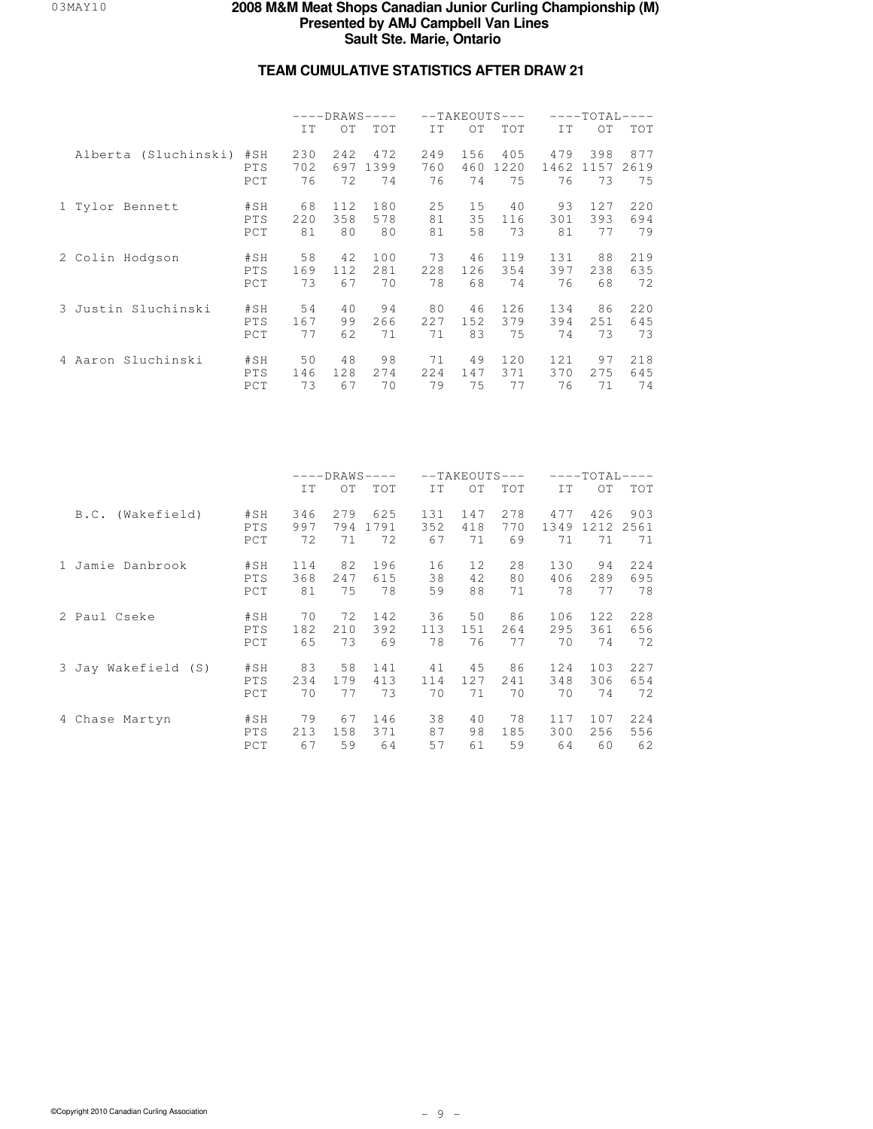## **TEAM CUMULATIVE STATISTICS AFTER DRAW 21**

|                      |                          |                  | $---DRAWS---$ |                       |                  | $--TAKEOUTS---$  |                   |                   | $---TOTAL-$       | $---$             |
|----------------------|--------------------------|------------------|---------------|-----------------------|------------------|------------------|-------------------|-------------------|-------------------|-------------------|
|                      |                          | IT               | OT            | <b>TOT</b>            | TT.              | OT.              | <b>TOT</b>        | IT.               | OT                | <b>TOT</b>        |
| Alberta (Sluchinski) | #SH<br><b>PTS</b><br>PCT | 230<br>702<br>76 | 2.42<br>72    | 472<br>697 1399<br>74 | 249<br>760<br>76 | 156<br>460<br>74 | 405<br>1220<br>75 | 479<br>1462<br>76 | 398<br>1157<br>73 | 877<br>2619<br>75 |
| 1 Tylor Bennett      | #SH                      | 68               | 112           | 180                   | 25               | 15               | 40                | 93                | 127               | 220               |
|                      | PTS                      | 220              | 358           | 578                   | 81               | 35               | 116               | 301               | 393               | 694               |
|                      | PCT                      | 81               | 80            | 80                    | 81               | 58               | 73                | 81                | 77                | 79                |
| 2 Colin Hodgson      | #SH                      | 58               | 42            | 100                   | 73               | 46               | 119               | 131               | 88                | 219               |
|                      | PTS                      | 169              | 112           | 281                   | 228              | 126              | 354               | 397               | 238               | 635               |
|                      | PCT                      | 73               | 67            | 70                    | 78               | 68               | 74                | 76                | 68                | 72                |
| 3 Justin Sluchinski  | #SH                      | 54               | 40            | 94                    | 80               | 46               | 126               | 134               | 86                | 220               |
|                      | PTS                      | 167              | 99            | 266                   | 227              | 152              | 379               | 394               | 251               | 645               |
|                      | PCT                      | 77               | 62            | 71                    | 71               | 83               | 75                | 74                | 73                | 73                |
| 4 Aaron Sluchinski   | #SH                      | 50               | 48            | 98                    | 71               | 49               | 120               | 121               | 97                | 218               |
|                      | <b>PTS</b>               | 146              | 128           | 2.74                  | 224              | 147              | 371               | 370               | 2.75              | 645               |
|                      | PCT                      | 73               | 67            | 70                    | 79               | 75               | 77                | 76                | 71                | 74                |

|                     |                   |                  | $---DRAWS---$     |                   |                  | $--TAKEOUTS---$  |                  |                   | $---TOTAL-$       |                   |
|---------------------|-------------------|------------------|-------------------|-------------------|------------------|------------------|------------------|-------------------|-------------------|-------------------|
|                     |                   | IT               | OT                | TOT               | IT               | OT               | <b>TOT</b>       | IT                | OT.               | <b>TOT</b>        |
| (Wakefield)<br>B.C. | #SH<br>PTS<br>PCT | 346<br>997<br>72 | 2.79<br>794<br>71 | 625<br>1791<br>72 | 131<br>352<br>67 | 147<br>418<br>71 | 278<br>770<br>69 | 477<br>1349<br>71 | 426<br>1212<br>71 | 903<br>2561<br>71 |
| 1 Jamie Danbrook    | #SH               | 114              | 82                | 196               | 16               | 12               | 28               | 130               | 94                | 224               |
|                     | PTS               | 368              | 247               | 615               | 38               | 42               | 80               | 406               | 289               | 695               |
|                     | PCT               | 81               | 75                | 78                | 59               | 88               | 71               | 78                | 77                | 78                |
| 2 Paul Cseke        | #SH               | 70               | 72                | 142               | 36               | 50               | 86               | 106               | 122               | 228               |
|                     | PTS               | 182              | 210               | 392               | 113              | 151              | 264              | 295               | 361               | 656               |
|                     | PCT               | 65               | 73                | 69                | 78               | 76               | 77               | 70                | 74                | 72                |
| 3 Jay Wakefield (S) | #SH               | 83               | 58                | 141               | 41               | 45               | 86               | 124               | 103               | 227               |
|                     | PTS               | 2.34             | 179               | 413               | 114              | 12.7             | 2.41             | 348               | 306               | 654               |
|                     | PCT               | 70               | 77                | 73                | 70               | 71               | 70               | 70                | 74                | 72                |
| 4 Chase Martyn      | #SH               | 79               | 67                | 146               | 38               | 40               | 78               | 117               | 107               | 224               |
|                     | <b>PTS</b>        | 213              | 158               | 371               | 87               | 98               | 185              | 300               | 256               | 556               |
|                     | PCT               | 67               | 59                | 64                | 57               | 61               | 59               | 64                | 60                | 62                |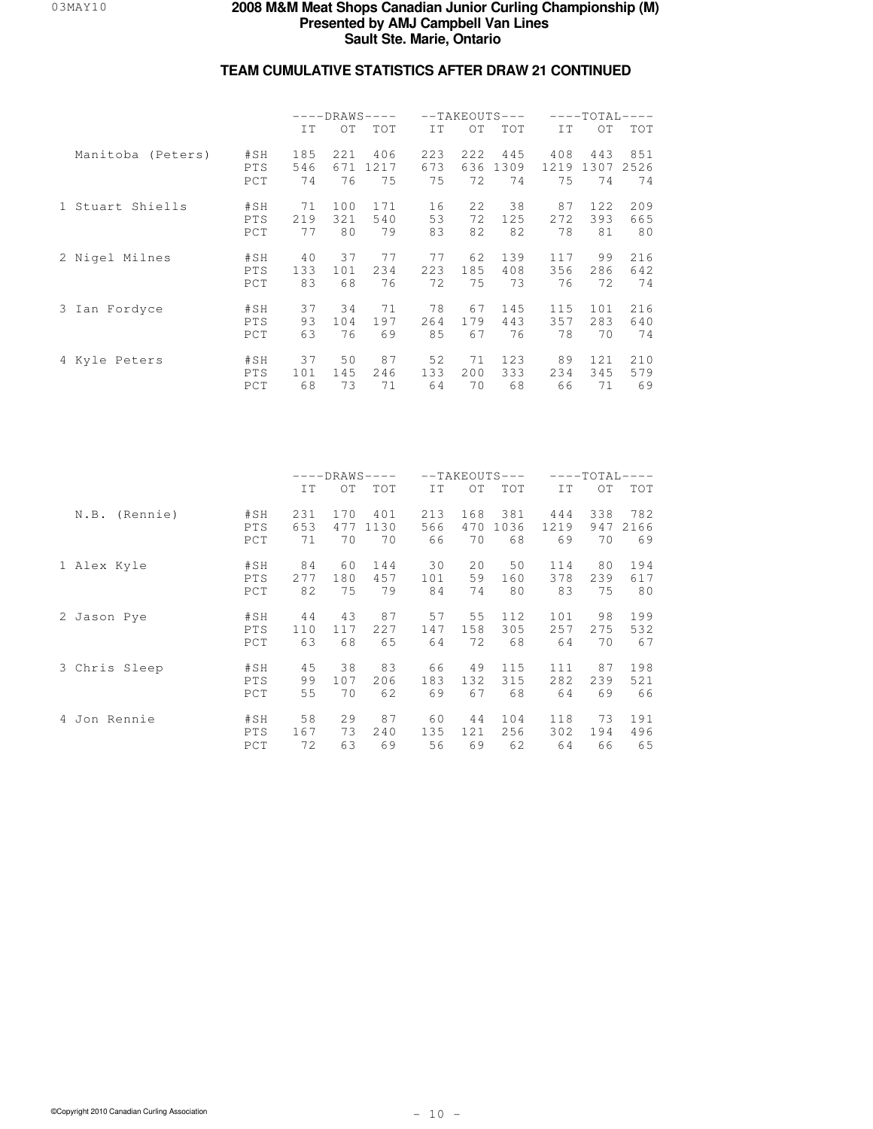|                   |            |     | $---DRANS---$ |            |     |     | $--TAKEOUTS---$ |      | $---TOTAI -$ | $\qquad - - -$ |
|-------------------|------------|-----|---------------|------------|-----|-----|-----------------|------|--------------|----------------|
|                   |            | IT. | OT            | <b>TOT</b> | TT. | OT. | <b>TOT</b>      | IT.  | OT.          | <b>TOT</b>     |
| Manitoba (Peters) | #SH        | 185 | 221           | 406        | 223 | 222 | 445             | 408  | 443          | 851            |
|                   | PTS        | 546 | 671           | 1217       | 673 | 636 | 1309            | 1219 | 1307         | 2526           |
|                   | PCT        | 74  | 76            | 75         | 75  | 72  | 74              | 75   | 74           | 74             |
| 1 Stuart Shiells  | #SH        | 71  | 100           | 171        | 16  | 22  | 38              | 87   | 122          | 209            |
|                   | PTS        | 219 | 321           | 540        | 53  | 72  | 125             | 2.72 | 393          | 665            |
|                   | PCT        | 77  | 80            | 79         | 83  | 82  | 82              | 78   | 81           | 80             |
| 2 Nigel Milnes    | #SH        | 40  | 37            | 77         | 77  | 62  | 139             | 117  | 99           | 216            |
|                   | PTS        | 133 | 101           | 2.34       | 223 | 185 | 408             | 356  | 286          | 642            |
|                   | PCT        | 83  | 68            | 76         | 72  | 75  | 73              | 76   | 72           | 74             |
| 3 Ian Fordyce     | #SH        | 37  | 34            | 71         | 78  | 67  | 145             | 115  | 101          | 216            |
|                   | PTS        | 93  | 104           | 197        | 264 | 179 | 443             | 357  | 283          | 640            |
|                   | PCT        | 63  | 76            | 69         | 85  | 67  | 76              | 78   | 70           | 74             |
| 4 Kyle Peters     | #SH        | 37  | 50            | 87         | 52  | 71  | 123             | 89   | 121          | 210            |
|                   | <b>PTS</b> | 101 | 145           | 246        | 133 | 200 | 333             | 234  | 345          | 579            |
|                   | PCT        | 68  | 73            | 71         | 64  | 70  | 68              | 66   | 71           | 69             |

|                  |                   |                  | $---DRAWS---$    |                   |                  |                  | $--TAKEOUTS---$   |                   | $---TOTAL-$      |                   |
|------------------|-------------------|------------------|------------------|-------------------|------------------|------------------|-------------------|-------------------|------------------|-------------------|
|                  |                   | IT               | OT               | TOT               | IT               | OT               | TOT               | IT                | $\overline{O}T$  | <b>TOT</b>        |
| (Rennie)<br>N.B. | #SH<br>PTS<br>PCT | 231<br>653<br>71 | 170<br>477<br>70 | 401<br>1130<br>70 | 213<br>566<br>66 | 168<br>470<br>70 | 381<br>1036<br>68 | 444<br>1219<br>69 | 338<br>947<br>70 | 782<br>2166<br>69 |
| 1 Alex Kyle      | #SH               | 84               | 60               | 144               | 30               | 20               | 50                | 114               | 80               | 194               |
|                  | PTS               | 277              | 180              | 457               | 101              | 59               | 160               | 378               | 239              | 617               |
|                  | PCT               | 82               | 75               | 79                | 84               | 74               | 80                | 83                | 75               | 80                |
| 2 Jason Pye      | #SH               | 44               | 43               | 87                | 57               | 55               | 112.              | 101               | 98               | 199               |
|                  | PTS               | 110              | 117              | 227               | 147              | 158              | 305               | 257               | 275              | 532               |
|                  | PCT               | 63               | 68               | 65                | 64               | 72               | 68                | 64                | 70               | 67                |
| 3 Chris Sleep    | #SH               | 45               | 38               | 83                | 66               | 49               | 115               | 111               | 87               | 198               |
|                  | PTS               | 99               | 107              | 206               | 183              | 132              | 315               | 282               | 239              | 521               |
|                  | PCT               | 55               | 70               | 62                | 69               | 67               | 68                | 64                | 69               | 66                |
| 4 Jon Rennie     | #SH               | 58               | 29               | 87                | 60               | 44               | 104               | 118               | 73               | 191               |
|                  | <b>PTS</b>        | 167              | 73               | 240               | 135              | 121              | 256               | 302               | 194              | 496               |
|                  | PCT               | 72               | 63               | 69                | 56               | 69               | 62                | 64                | 66               | 65                |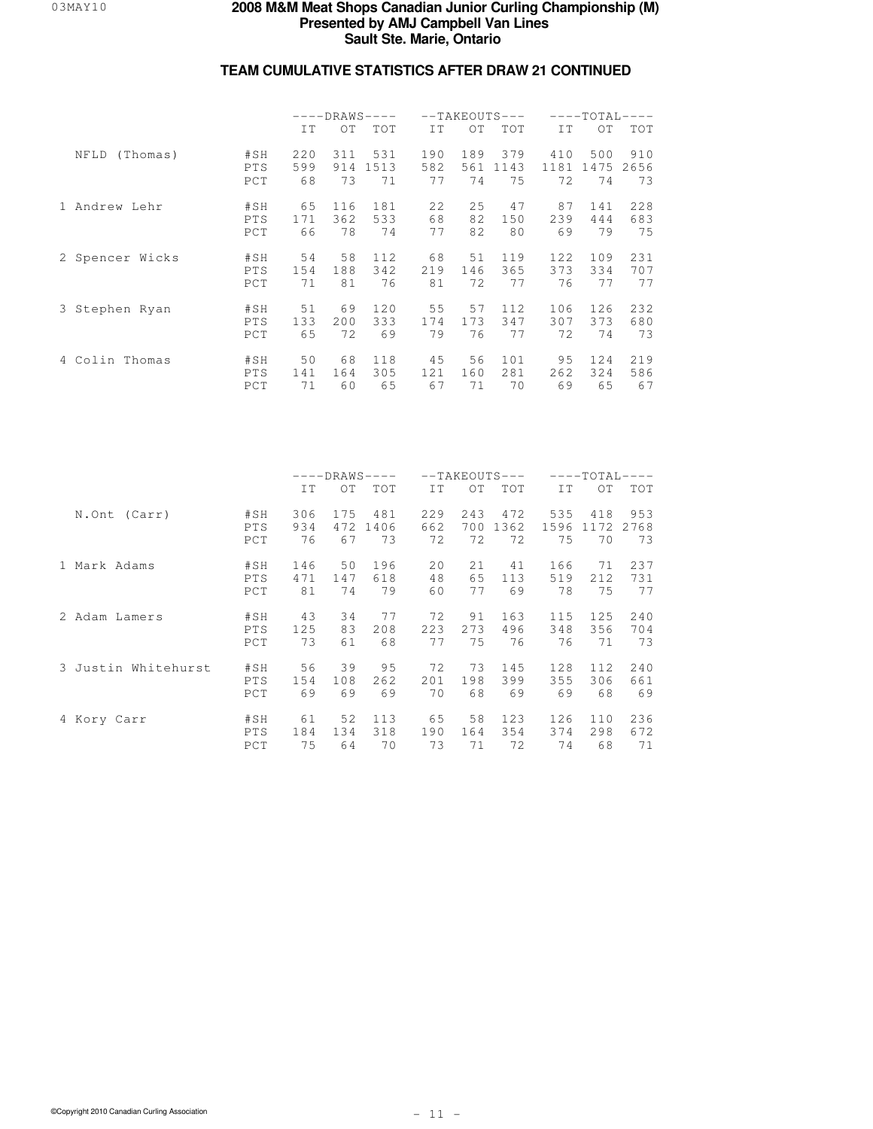|                  |                   | $---DRAWS---$    |                  |                   |                  |                  | $--TAKEOUTS---$   | $---TOTAL-$<br>$---$ |                   |                   |
|------------------|-------------------|------------------|------------------|-------------------|------------------|------------------|-------------------|----------------------|-------------------|-------------------|
|                  |                   | IT               | OT.              | <b>TOT</b>        | IT               | OT.              | TOT               | IT.                  | $\overline{O}T$   | TOT               |
| NFLD<br>(Thomas) | #SH<br>PTS<br>PCT | 220<br>599<br>68 | 311<br>914<br>73 | 531<br>1513<br>71 | 190<br>582<br>77 | 189<br>561<br>74 | 379<br>1143<br>75 | 410<br>1181<br>72    | 500<br>1475<br>74 | 910<br>2656<br>73 |
| 1 Andrew Lehr    | #SH               | 65               | 116              | 181               | 22               | 25               | 47                | 87                   | 141               | 228               |
|                  | PTS               | 171              | 362              | 533               | 68               | 82               | 150               | 239                  | 444               | 683               |
|                  | PCT               | 66               | 78               | 74                | 77               | 82               | 80                | 69                   | 79                | 75                |
| 2 Spencer Wicks  | #SH               | 54               | 58               | 112               | 68               | 51               | 119               | 122                  | 109               | 231               |
|                  | PTS               | 154              | 188              | 342               | 219              | 146              | 365               | 373                  | 334               | 707               |
|                  | PCT               | 71               | 81               | 76                | 81               | 72               | 77                | 76                   | 77                | 77                |
| 3 Stephen Ryan   | #SH               | 51               | 69               | 120               | 55               | 57               | 112               | 106                  | 126               | 232               |
|                  | PTS               | 133              | 200              | 333               | 174              | 173              | 347               | 307                  | 373               | 680               |
|                  | PCT               | 65               | 72               | 69                | 79               | 76               | 77                | 72                   | 74                | 73                |
| 4 Colin Thomas   | #SH               | 50               | 68               | 118               | 45               | 56               | 101               | 95                   | 124               | 219               |
|                  | <b>PTS</b>        | 141              | 164              | 305               | 121              | 160              | 281               | 262                  | 324               | 586               |
|                  | PCT               | 71               | 60               | 65                | 67               | 71               | 70                | 69                   | 65                | 67                |

|                     |            | $---DRANS---$ |     |      |     |      | $--TAKEOUTS---$ | $---TOTAL-$<br>$---$ |      |            |
|---------------------|------------|---------------|-----|------|-----|------|-----------------|----------------------|------|------------|
|                     |            | IT            | OT  | TOT  | IT  | OT   | TOT             | IT                   | OT.  | <b>TOT</b> |
| N.Ont (Carr)        | #SH        | 306           | 175 | 481  | 229 | 243  | 472             | 535                  | 418  | 953        |
|                     | PTS        | 934           | 472 | 1406 | 662 | 700  | 1362            | 1596                 | 1172 | 2768       |
|                     | PCT        | 76            | 67  | 73   | 72  | 72   | 72              | 75                   | 70   | 73         |
| 1 Mark Adams        | #SH        | 146           | 50  | 196  | 20  | 21   | 41              | 166                  | 71   | 237        |
|                     | PTS        | 471           | 147 | 618  | 48  | 65   | 113             | 519                  | 212  | 731        |
|                     | PCT        | 81            | 74  | 79   | 60  | 77   | 69              | 78                   | 75   | 77         |
| 2 Adam Lamers       | #SH        | 43            | 34  | 77   | 72  | 91   | 163             | 115                  | 125  | 240        |
|                     | PTS        | 125           | 83  | 2.08 | 223 | 2.73 | 496             | 348                  | 356  | 704        |
|                     | PCT        | 73            | 61  | 68   | 77  | 75   | 76              | 76                   | 71   | 73         |
| 3 Justin Whitehurst | #SH        | 56            | 39  | 95   | 72  | 73   | 145             | 128                  | 112  | 240        |
|                     | PTS        | 154           | 108 | 262  | 201 | 198  | 399             | 355                  | 306  | 661        |
|                     | PCT        | 69            | 69  | 69   | 70  | 68   | 69              | 69                   | 68   | 69         |
| 4 Kory Carr         | #SH        | 61            | 52  | 113  | 65  | 58   | 123             | 126                  | 110  | 236        |
|                     | <b>PTS</b> | 184           | 134 | 318  | 190 | 164  | 354             | 374                  | 298  | 672        |
|                     | PCT        | 75            | 64  | 70   | 73  | 71   | 72              | 74                   | 68   | 71         |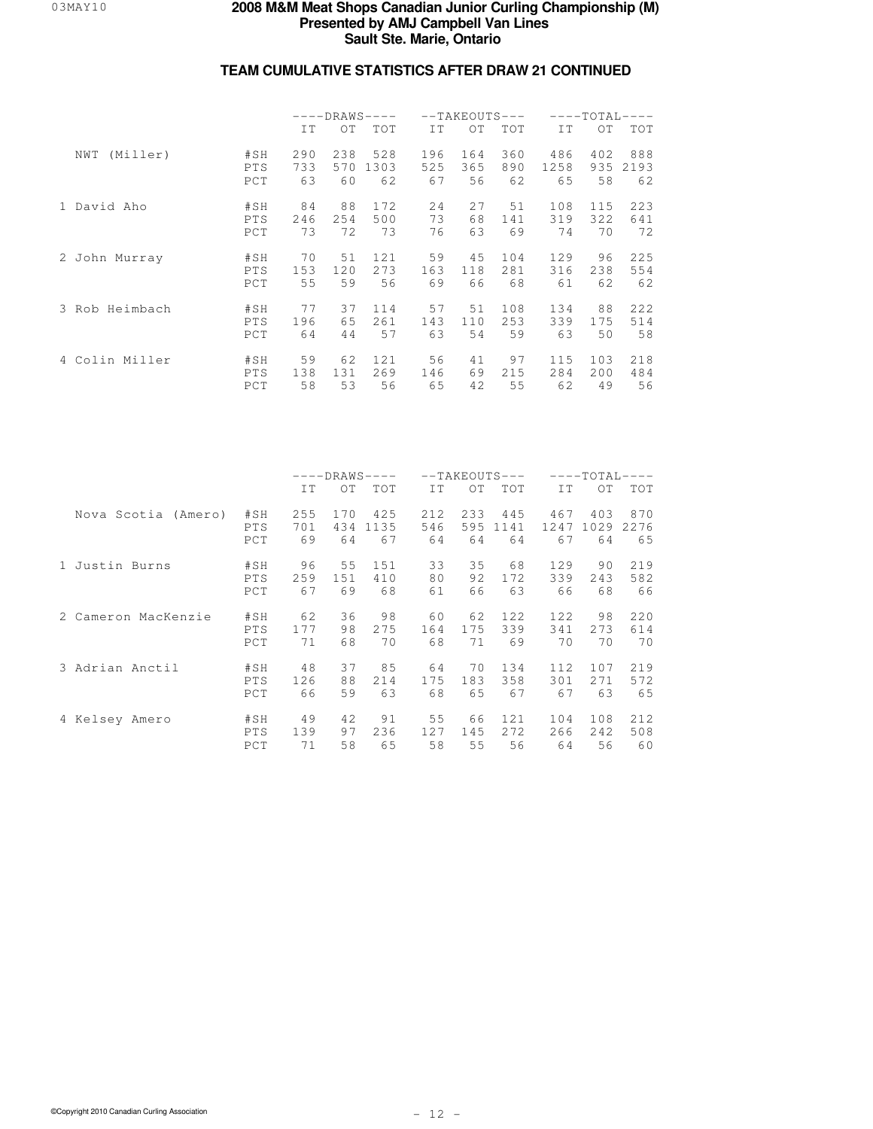|                 |                   | $---DRAWS---$    |                  |                   |                  | $--TAKEOUTS---$  |                  | $---TOTAL-$<br>$---$ |                  |                   |
|-----------------|-------------------|------------------|------------------|-------------------|------------------|------------------|------------------|----------------------|------------------|-------------------|
|                 |                   | IT               | OT.              | <b>TOT</b>        | IT.              | OT.              | <b>TOT</b>       | IT.                  | $\overline{O}T$  | TOT               |
| (Miller)<br>NWT | #SH<br>PTS<br>PCT | 290<br>733<br>63 | 238<br>570<br>60 | 528<br>1303<br>62 | 196<br>525<br>67 | 164<br>365<br>56 | 360<br>890<br>62 | 486<br>1258<br>65    | 402<br>935<br>58 | 888<br>2193<br>62 |
| 1 David Aho     | #SH               | 84               | 88               | 172               | 24               | 27               | 51               | 108                  | 115              | 223               |
|                 | PTS               | 246              | 254              | 500               | 73               | 68               | 141              | 319                  | 322              | 641               |
|                 | PCT               | 73               | 72               | 73                | 76               | 63               | 69               | 74                   | 70               | 72                |
| 2 John Murray   | #SH               | 70               | 51               | 121               | 59               | 4.5              | 104              | 129                  | 96               | 225               |
|                 | PTS               | 153              | 120              | 273               | 163              | 118              | 281              | 316                  | 238              | 554               |
|                 | PCT               | 55               | 59               | 56                | 69               | 66               | 68               | 61                   | 62               | 62                |
| 3 Rob Heimbach  | #SH               | 77               | 37               | 114               | 57               | 51               | 108              | 134                  | 88               | 222               |
|                 | PTS               | 196              | 65               | 261               | 143              | 110              | 253              | 339                  | 175              | 514               |
|                 | PCT               | 64               | 44               | 57                | 63               | 54               | 59               | 63                   | 50               | 58                |
| 4 Colin Miller  | #SH               | 59               | 62               | 121               | 56               | 41               | 97               | 115                  | 103              | 218               |
|                 | PTS               | 138              | 131              | 269               | 146              | 69               | 215              | 284                  | 200              | 484               |
|                 | PCT               | 58               | 53               | 56                | 65               | 42               | 55               | 62                   | 49               | 56                |

|                     |            | $---DRAWS---$ |     |      |     |     | $--TAKEOUTS---$ | $---TOTAL-$<br>$---$ |      |      |
|---------------------|------------|---------------|-----|------|-----|-----|-----------------|----------------------|------|------|
|                     |            | IT            | OT  | TOT  | IT  | OT  | <b>TOT</b>      | IT                   | OT.  | TOT  |
| Nova Scotia (Amero) | #SH        | 255           | 170 | 425  | 212 | 233 | 445             | 467                  | 403  | 870  |
|                     | PTS        | 701           | 434 | 1135 | 546 | 595 | 1141            | 1247                 | 1029 | 2276 |
|                     | PCT        | 69            | 64  | 67   | 64  | 64  | 64              | 67                   | 64   | 65   |
| 1 Justin Burns      | #SH        | 96            | 55  | 151  | 33  | 35  | 68              | 129                  | 90   | 219  |
|                     | PTS        | 259           | 151 | 410  | 80  | 92  | 172             | 339                  | 243  | 582  |
|                     | PCT        | 67            | 69  | 68   | 61  | 66  | 63              | 66                   | 68   | 66   |
| 2 Cameron MacKenzie | #SH        | 62            | 36  | 98   | 60  | 62  | 12.2.           | 122                  | 98   | 220  |
|                     | PTS        | 177           | 98  | 275  | 164 | 175 | 339             | 341                  | 2.73 | 614  |
|                     | PCT        | 71            | 68  | 70   | 68  | 71  | 69              | 70                   | 70   | 70   |
| 3 Adrian Anctil     | #SH        | 48            | 37  | 85   | 64  | 70  | 134             | 112.                 | 107  | 219  |
|                     | PTS        | 126           | 88  | 214  | 175 | 183 | 358             | 301                  | 2.71 | 572  |
|                     | PCT        | 66            | 59  | 63   | 68  | 65  | 67              | 67                   | 63   | 65   |
| 4 Kelsey Amero      | #SH        | 49            | 42  | 91   | 55  | 66  | 121             | 104                  | 108  | 212  |
|                     | <b>PTS</b> | 139           | 97  | 236  | 127 | 145 | 2.72.           | 266                  | 242  | 508  |
|                     | PCT        | 71            | 58  | 65   | 58  | 55  | 56              | 64                   | 56   | 60   |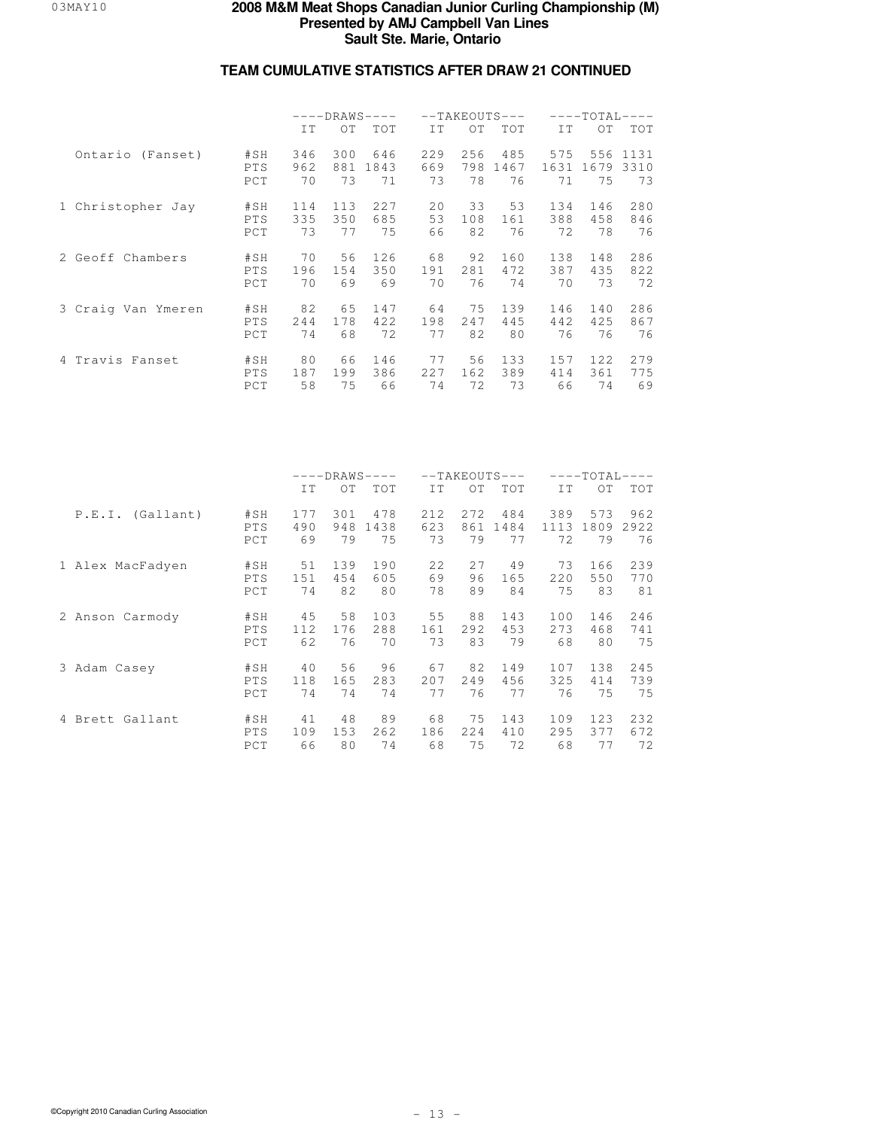|                    |            | $---DRANS---$ |     |            |     |      | $--TAKEOUTS---$ | $---TOTAL-$<br>$\qquad \qquad - -$ |      |            |
|--------------------|------------|---------------|-----|------------|-----|------|-----------------|------------------------------------|------|------------|
|                    |            | IT            | OT  | <b>TOT</b> | TT. | OT.  | <b>TOT</b>      | IT.                                | OT   | <b>TOT</b> |
| Ontario (Fanset)   | #SH        | 346           | 300 | 646        | 229 | 256  | 485             | 575                                | 556  | 1131       |
|                    | PTS        | 962           | 881 | 1843       | 669 | 798  | 1467            | 1631                               | 1679 | 3310       |
|                    | PCT        | 70            | 73  | 71         | 73  | 78   | 76              | 71                                 | 75   | 73         |
| 1 Christopher Jay  | #SH        | 114           | 113 | 227        | 20  | 33   | 53              | 134                                | 146  | 280        |
|                    | PTS        | 335           | 350 | 685        | 53  | 108  | 161             | 388                                | 458  | 846        |
|                    | PCT        | 73            | 77  | 75         | 66  | 82   | 76              | 72                                 | 78   | 76         |
| 2 Geoff Chambers   | #SH        | 70            | 56  | 126        | 68  | 92   | 160             | 138                                | 148  | 286        |
|                    | PTS        | 196           | 154 | 350        | 191 | 281  | 472             | 387                                | 435  | 822        |
|                    | PCT        | 70            | 69  | 69         | 70  | 76   | 74              | 70                                 | 73   | 72         |
| 3 Craig Van Ymeren | #SH        | 82            | 6.5 | 147        | 64  | 75   | 139             | 146                                | 140  | 286        |
|                    | PTS        | 2.44          | 178 | 422        | 198 | 2.47 | 445             | 442                                | 425  | 867        |
|                    | PCT        | 74            | 68  | 72         | 77  | 82   | 80              | 76                                 | 76   | 76         |
| 4 Travis Fanset    | #SH        | 80            | 66  | 146        | 77  | 56   | 133             | 157                                | 122  | 279        |
|                    | <b>PTS</b> | 187           | 199 | 386        | 227 | 162  | 389             | 414                                | 361  | 775        |
|                    | PCT        | 58            | 75  | 66         | 74  | 72   | 73              | 66                                 | 74   | 69         |

|                  |            | $---DRAWS---$ |     |      |     | $--TAKEOUTS---$ |      | $---TOTAL-$ |                 |            |
|------------------|------------|---------------|-----|------|-----|-----------------|------|-------------|-----------------|------------|
|                  |            | IT            | OT  | TOT  | IT  | OT              | TOT  | IT          | $\overline{O}T$ | <b>TOT</b> |
| P.E.I. (Gallant) | #SH        | 177           | 301 | 478  | 212 | 2.72.           | 484  | 389         | 573             | 962        |
|                  | PTS        | 490           | 948 | 1438 | 623 | 861             | 1484 | 1113        | 1809            | 2922       |
|                  | PCT        | 69            | 79  | 75   | 73  | 79              | 77   | 72          | 79              | 76         |
| 1 Alex MacFadyen | #SH        | 51            | 139 | 190  | 22  | 27              | 49   | 73          | 166             | 239        |
|                  | PTS        | 151           | 454 | 605  | 69  | 96              | 165  | 220         | 550             | 770        |
|                  | PCT        | 74            | 82  | 80   | 78  | 89              | 84   | 75          | 83              | 81         |
| 2 Anson Carmody  | #SH        | 45            | 58  | 103  | 55  | 88              | 143  | 100         | 146             | 246        |
|                  | PTS        | 112.          | 176 | 288  | 161 | 292             | 453  | 2.73        | 468             | 741        |
|                  | PCT        | 62            | 76  | 70   | 73  | 83              | 79   | 68          | 80              | 75         |
| 3 Adam Casey     | #SH        | 40            | 56  | 96   | 67  | 82              | 149  | 107         | 138             | 245        |
|                  | PTS        | 118           | 165 | 283  | 207 | 2.49            | 456  | 325         | 414             | 739        |
|                  | PCT        | 74            | 74  | 74   | 77  | 76              | 77   | 76          | 75              | 75         |
| 4 Brett Gallant  | #SH        | 41            | 48  | 89   | 68  | 75              | 143  | 109         | 123             | 232        |
|                  | <b>PTS</b> | 109           | 153 | 262  | 186 | 224             | 410  | 295         | 377             | 672        |
|                  | PCT        | 66            | 80  | 74   | 68  | 75              | 72   | 68          | 77              | 72         |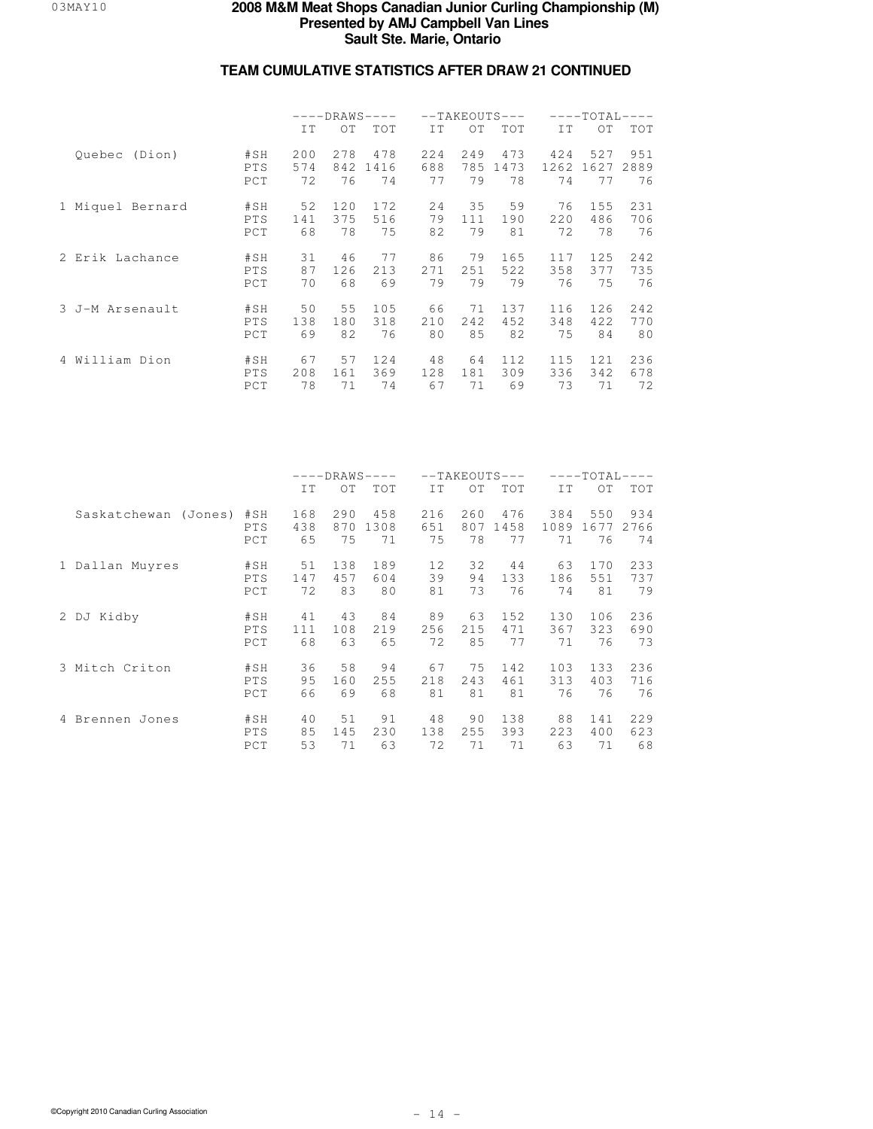|                  |            | $---DRAWS---$ |                 |            |      |      | $--TAKEOUTS---$ | $---TOTAL-$<br>$---$ |      |            |
|------------------|------------|---------------|-----------------|------------|------|------|-----------------|----------------------|------|------------|
|                  |            | IT            | OT              | <b>TOT</b> | TT.  | OT   | <b>TOT</b>      | IT.                  | OT.  | <b>TOT</b> |
| Ouebec (Dion)    | #SH        | 200           | 2.78            | 478        | 224  | 2.49 | 473             | 424                  | 527  | 951        |
|                  | PTS        | 574           | 842             | 1416       | 688  | 785  | 1473            | 1262                 | 1627 | 2889       |
|                  | PCT        | 72            | 76              | 74         | 77   | 79   | 78              | 74                   | 77   | 76         |
| 1 Miquel Bernard | #SH        | 52            | 120             | 172        | 24   | 35   | 59              | 76                   | 155  | 231        |
|                  | PTS        | 141           | 375             | 516        | 79   | 111  | 190             | 220                  | 486  | 706        |
|                  | PCT        | 68            | 78              | 75         | 82   | 79   | 81              | 72                   | 78   | 76         |
| 2 Erik Lachance  | #SH        | 31            | 46              | 77         | 86   | 79   | 165             | 117                  | 125  | 242        |
|                  | PTS        | 87            | 126             | 213        | 2.71 | 251  | 522             | 358                  | 377  | 735        |
|                  | PCT        | 70            | 68              | 69         | 79   | 79   | 79              | 76                   | 75   | 76         |
| 3 J-M Arsenault  | #SH        | 50            | 55 <sub>5</sub> | 105        | 66   | 71   | 137             | 116                  | 126  | 242        |
|                  | PTS        | 138           | 180             | 318        | 210  | 242  | 452             | 348                  | 422  | 770        |
|                  | PCT        | 69            | 82              | 76         | 80   | 85   | 82              | 75                   | 84   | 80         |
| 4 William Dion   | #SH        | 67            | 57              | 124        | 48   | 64   | 112.            | 115                  | 121  | 236        |
|                  | <b>PTS</b> | 208           | 161             | 369        | 128  | 181  | 309             | 336                  | 342  | 678        |
|                  | PCT        | 78            | 71              | 74         | 67   | 71   | 69              | 73                   | 71   | 72         |

|                      |                   | $---DRANS---$  |                 |                 |                 | $--TAKEOUTS---$ |                  | $---TOTAL-$     |                  |                  |
|----------------------|-------------------|----------------|-----------------|-----------------|-----------------|-----------------|------------------|-----------------|------------------|------------------|
|                      |                   | IT             | OT              | TOT             | IT              | OT              | <b>TOT</b>       | IT              | OT.              | TOT              |
| Saskatchewan (Jones) | #SH               | 168            | 290             | 458             | 216             | 260             | 476              | 384             | 550              | 934              |
|                      | <b>PTS</b>        | 438            | 870             | 1308            | 651             | 807             | 1458             | 1089            | 1677             | 2766             |
|                      | PCT               | 65             | 75              | 71              | 75              | 78              | 77               | 71              | 76               | 74               |
| Dallan Muyres        | #SH               | 51             | 138             | 189             | 12              | 32              | 44               | 63              | 170              | 233              |
|                      | PTS               | 147            | 457             | 604             | 39              | 94              | 133              | 186             | 551              | 737              |
|                      | PCT               | 72             | 83              | 80              | 81              | 73              | 76               | 74              | 81               | 79               |
| 2 DJ Kidby           | #SH               | 41             | 43              | 84              | 89              | 63              | 152              | 130             | 106              | 236              |
|                      | PTS               | 111            | 108             | 219             | 256             | 215             | 471              | 367             | 323              | 690              |
|                      | PCT               | 68             | 63              | 65              | 72              | 85              | 77               | 71              | 76               | 73               |
| 3 Mitch Criton       | #SH               | 36             | 58              | 94              | 67              | 75              | 142              | 103             | 133              | 236              |
|                      | PTS               | 95             | 160             | 255             | 218             | 243             | 461              | 313             | 403              | 716              |
|                      | PCT               | 66             | 69              | 68              | 81              | 81              | 81               | 76              | 76               | 76               |
| Brennen Jones<br>4   | #SH<br>PTS<br>PCT | 40<br>85<br>53 | 51<br>145<br>71 | 91<br>230<br>63 | 48<br>138<br>72 | 90<br>255<br>71 | 138<br>393<br>71 | 88<br>223<br>63 | 141<br>400<br>71 | 229<br>623<br>68 |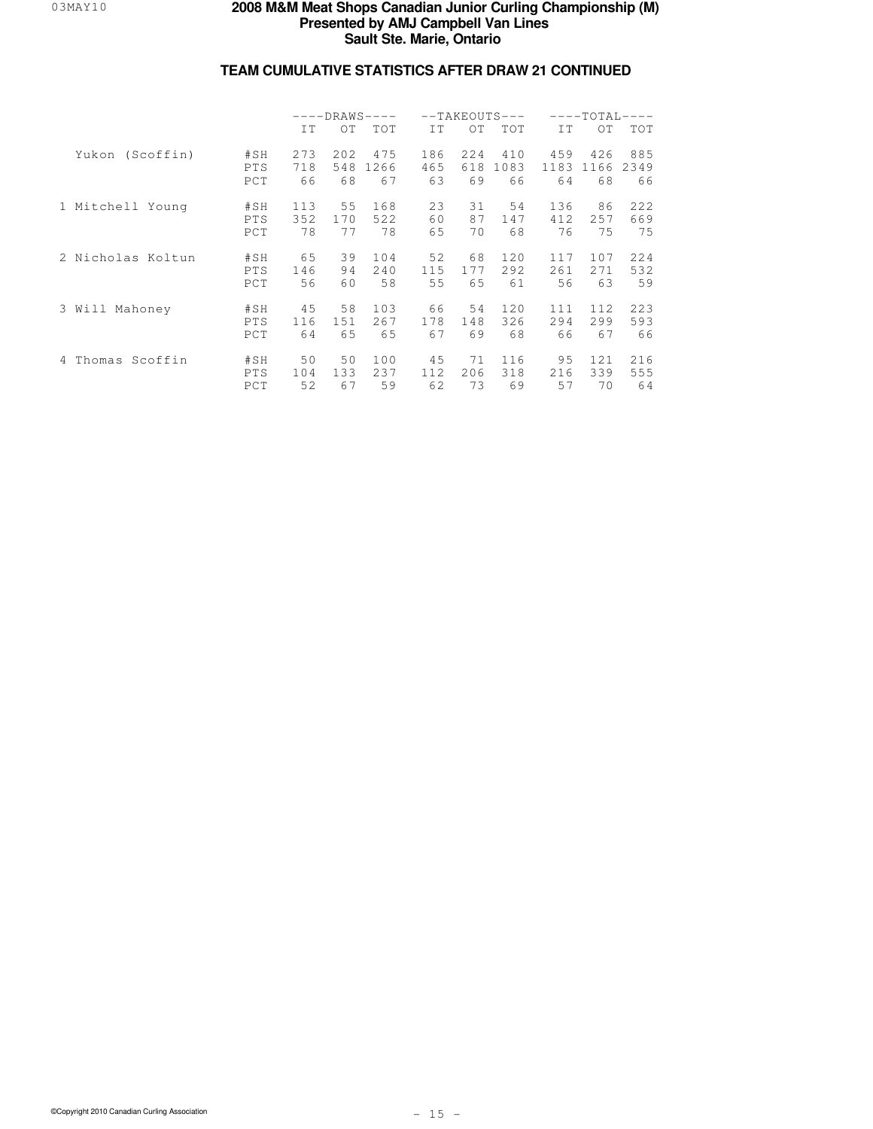|                     |                   | $---DRANS---$    |                  |                   |                  | $--TAKEOUTS---$  |                   | $---TOTAL-$<br>$---$ |                   |                   |
|---------------------|-------------------|------------------|------------------|-------------------|------------------|------------------|-------------------|----------------------|-------------------|-------------------|
|                     |                   | IT               | OT               | TOT               | IT               | OT               | <b>TOT</b>        | IT                   | OT.               | <b>TOT</b>        |
| Yukon (Scoffin)     | #SH<br>PTS<br>PCT | 273<br>718<br>66 | 202<br>548<br>68 | 475<br>1266<br>67 | 186<br>465<br>63 | 224<br>618<br>69 | 410<br>1083<br>66 | 459<br>1183<br>64    | 426<br>1166<br>68 | 885<br>2349<br>66 |
| 1 Mitchell Young    | #SH<br>PTS<br>PCT | 113<br>352<br>78 | 55<br>170<br>77  | 168<br>522<br>78  | 23<br>60<br>65   | 31<br>87<br>70   | 54<br>147<br>68   | 136<br>412.<br>76    | 86<br>257<br>75   | 222<br>669<br>75  |
| 2 Nicholas Koltun   | #SH<br>PTS<br>PCT | 65<br>146<br>56  | 39<br>94<br>60   | 104<br>240<br>58  | 52<br>115<br>55  | 68<br>177<br>65  | 120<br>292<br>61  | 117<br>261<br>56     | 107<br>2.71<br>63 | 224<br>532<br>59  |
| 3 Will<br>Mahoney   | #SH<br>PTS<br>PCT | 45<br>116<br>64  | 58<br>151<br>65  | 103<br>267<br>65  | 66<br>178<br>67  | 54<br>148<br>69  | 120<br>326<br>68  | 111<br>294<br>66     | 112<br>299<br>67  | 223<br>593<br>66  |
| Scoffin<br>4 Thomas | #SH<br>PTS<br>PCT | 50<br>104<br>52  | 50<br>133<br>67  | 100<br>237<br>59  | 45<br>112<br>62  | 71<br>206<br>73  | 116<br>318<br>69  | 95<br>216<br>57      | 12.1<br>339<br>70 | 216<br>555<br>64  |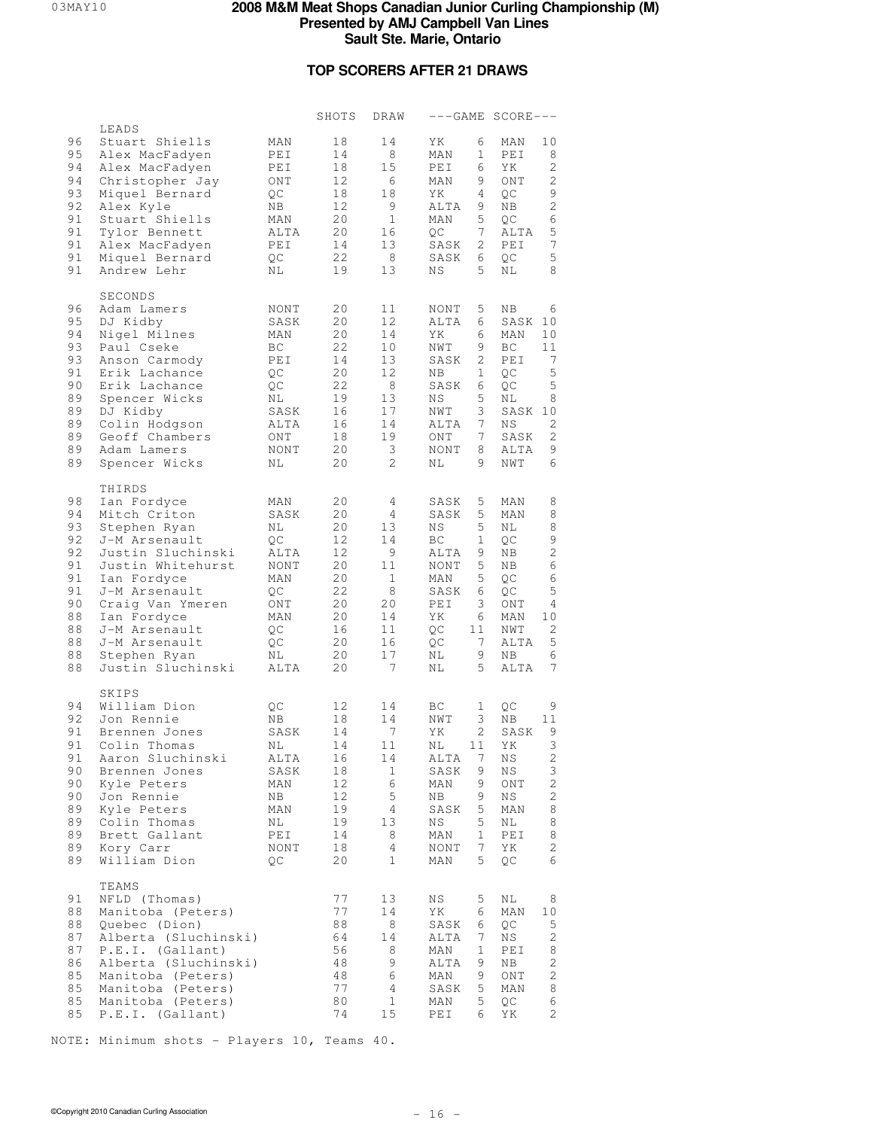## **TOP SCORERS AFTER 21 DRAWS**

|                                                                                  |                                                                                                                                                                                                                                                            |                                                                                                | SHOTS                                                                            | DRAW                                                                                                               |                                                                                                                                                                                                 | $---GAME SCORE---$                                                                                                                                                                                                  |
|----------------------------------------------------------------------------------|------------------------------------------------------------------------------------------------------------------------------------------------------------------------------------------------------------------------------------------------------------|------------------------------------------------------------------------------------------------|----------------------------------------------------------------------------------|--------------------------------------------------------------------------------------------------------------------|-------------------------------------------------------------------------------------------------------------------------------------------------------------------------------------------------|---------------------------------------------------------------------------------------------------------------------------------------------------------------------------------------------------------------------|
| 96<br>95<br>94<br>94<br>93<br>92<br>91<br>91<br>91<br>91<br>91                   | LEADS<br>Stuart Shiells<br>Alex MacFadyen<br>Alex MacFadyen<br>Christopher Jay<br>Miquel Bernard<br>Alex Kyle<br>Stuart Shiells<br>Tylor Bennett<br>Alex MacFadyen<br>Miquel Bernard<br>Andrew Lehr                                                        | MAN<br>PEI<br>PEI<br>ONT<br>QC<br>ΝB<br>MAN<br>ALTA<br>PEI<br>QC<br>ΝL                         | 18<br>14<br>18<br>12<br>18<br>12<br>20<br>20<br>14<br>22<br>19                   | 14<br>8<br>15<br>6<br>18<br>9<br>$\mathbf{1}$<br>16<br>13<br>- 8<br>13                                             | ΥK<br>6<br>MAN<br>1<br>6<br>PEI<br>9<br>MAN<br>4<br>ΥK<br>ALTA<br>9<br>5<br>MAN<br>7<br>QC<br>$\mathbf{2}$<br>SASK<br>SASK<br>6<br>5<br>ΝS                                                      | 10<br>MAN<br>8<br>PEI<br>$\mathbf{2}$<br>YΚ<br>$\mathbf{2}$<br>ONT<br>$\mathsf 9$<br>QC<br>$\sqrt{2}$<br>ΝB<br>$\epsilon$<br>QC<br>5<br>ALTA<br>$\overline{7}$<br>PEI<br>$\mathsf S$<br>QC<br>8<br>ΝL               |
| 96<br>95<br>94<br>93<br>93<br>91<br>90<br>89<br>89<br>89<br>89<br>89<br>89       | SECONDS<br>Adam Lamers<br>DJ Kidby<br>Nigel Milnes<br>Paul Cseke<br>Anson Carmody<br>Erik Lachance<br>Erik Lachance<br>Spencer Wicks<br>DJ Kidby<br>Colin Hodgson<br>Geoff Chambers<br>Adam Lamers<br>Spencer Wicks                                        | NONT<br>SASK<br>MAN<br>BC<br>PEI<br>QC<br>QC<br>ΝL<br>SASK<br>ALTA<br>ONT<br><b>NONT</b><br>ΝL | 20<br>20<br>20<br>22<br>14<br>20<br>22<br>19<br>16<br>16<br>18<br>20<br>20       | 11<br>12<br>14<br>10<br>13<br>12<br>8<br>13<br>17<br>14<br>19<br>3<br>$\mathbf{2}^{\prime}$                        | 5<br><b>NONT</b><br>ALTA<br>6<br>ΥK<br>6<br>9<br>NWT<br>SASK<br>2<br>$\mathbf 1$<br>ΝB<br>SASK<br>6<br>5<br>ΝS<br>3<br>NWT<br>$7^{\circ}$<br>ALTA<br>$7^{\circ}$<br>ONT<br>8<br>NONT<br>ΝL<br>9 | ΝB<br>6<br>SASK<br>10<br>10<br>MAN<br>ВC<br>11<br>PEI<br>7<br>$\mathsf S$<br>QC<br>$\mathsf S$<br>QC<br>8<br>ΝL<br>SASK 10<br>2<br>ΝS<br>$\mathbf{2}$<br>SASK<br>9<br>ALTA<br>6<br>NWT                              |
| 98<br>94<br>93<br>92<br>92<br>91<br>91<br>91<br>90<br>88<br>88<br>88<br>88<br>88 | THIRDS<br>Ian Fordyce<br>Mitch Criton<br>Stephen Ryan<br>J-M Arsenault<br>Justin Sluchinski<br>Justin Whitehurst<br>Ian Fordyce<br>J-M Arsenault<br>Craig Van Ymeren<br>Ian Fordyce<br>J-M Arsenault<br>J-M Arsenault<br>Stephen Ryan<br>Justin Sluchinski | MAN<br>SASK<br>NL<br>QC<br>ALTA<br>NONT<br>MAN<br>QC<br>ONT<br>MAN<br>QC<br>QC<br>ΝL<br>ALTA   | 20<br>20<br>20<br>12<br>12<br>20<br>20<br>22<br>20<br>20<br>16<br>20<br>20<br>20 | 4<br>4<br>13<br>14<br>9<br>11<br>$\mathbf{1}$<br>8<br>20<br>14<br>11<br>16<br>17<br>7                              | 5<br>SASK<br>5<br>SASK<br>5<br>ΝS<br>ВC<br>1<br>ALTA<br>9.<br>5<br>NONT<br>5<br>MAN<br>SASK<br>6<br>3<br>PEI<br>ΥK<br>6<br>QC<br>11<br>QC<br>7 <sup>7</sup><br>NL<br>9<br>5<br>ΝL               | MAN<br>8<br>8<br>MAN<br>8<br>ΝL<br>9<br>QC<br>$\sqrt{2}$<br>ΝB<br>$\epsilon$<br>ΝB<br>$\,$ 6 $\,$<br>QC<br>$\mathsf S$<br>QC<br>$\overline{4}$<br>ONT<br>10<br>MAN<br>2<br>NWT<br>5<br>ALTA<br>6<br>ΝB<br>7<br>ALTA |
| 94<br>92<br>91<br>91<br>91<br>90<br>90<br>90<br>89<br>89<br>89<br>89<br>89       | SKIPS<br>William Dion<br>Jon Rennie<br>Brennen Jones<br>Colin Thomas<br>Aaron Sluchinski<br>Brennen Jones<br>Kyle Peters<br>Jon Rennie<br>Kyle Peters<br>Colin Thomas<br>Brett Gallant<br>Kory Carr<br>William Dion                                        | QC<br>ΝB<br>SASK<br>ΝL<br>ALTA<br>SASK<br>MAN<br>ΝB<br>MAN<br>ΝL<br>PEI<br>NONT<br>QC          | 12<br>18<br>14<br>14<br>16<br>18<br>12<br>12<br>19<br>19<br>14<br>18<br>20       | 14<br>14<br>7<br>11<br>14<br>$\mathbf{1}$<br>6<br>5<br>$\overline{4}$<br>13<br>8<br>$\overline{4}$<br>$\mathbf{1}$ | ВC<br>$\mathbf{1}$<br>3<br>NWT<br>2<br>ΥK<br>ΝL<br>11<br>7<br>ALTA<br>9<br>SASK<br>9<br>MAN<br>ΝB<br>9<br>5<br>SASK<br>5<br>ΝS<br>$\mathbf 1$<br>MAN<br>7<br><b>NONT</b><br>5<br>MAN            | QC<br>9<br>ΝB<br>11<br>SASK<br>9<br>3<br>ΥK<br>$\mathbf{2}$<br>ΝS<br>3<br>ΝS<br>$\sqrt{2}$<br>ONT<br>2<br>ΝS<br>8<br>MAN<br>8<br>ΝL<br>8<br>PEI<br>2<br>ΥK<br>6<br>QС                                               |
| 91<br>88<br>88<br>87<br>87<br>86<br>85<br>85<br>85<br>85                         | TEAMS<br>NFLD (Thomas)<br>Manitoba (Peters)<br>Quebec (Dion)<br>Alberta (Sluchinski)<br>P.E.I. (Gallant)<br>Alberta (Sluchinski)<br>Manitoba (Peters)<br>Manitoba (Peters)<br>Manitoba (Peters)<br>P.E.I. (Gallant)                                        |                                                                                                | 77<br>77<br>88<br>64<br>56<br>48<br>48<br>77<br>80<br>74                         | 13<br>14<br>8<br>14<br>8<br>9<br>6<br>$\overline{4}$<br>1<br>15                                                    | 5<br>ΝS<br>ΥK<br>6<br>SASK<br>6<br>7<br>ALTA<br>MAN<br>1<br>ALTA<br>9<br>9<br>MAN<br>5<br>SASK<br>5<br>MAN<br>6<br>PEI                                                                          | ΝL<br>8<br>10<br>MAN<br>QC<br>5<br>2<br>ΝS<br>PEI<br>8<br>$\sqrt{2}$<br>ΝB<br>2<br>ONT<br>MAN<br>8<br>6<br>QС<br>$\sqrt{2}$<br>ΥK                                                                                   |

NOTE: Minimum shots - Players 10, Teams 40.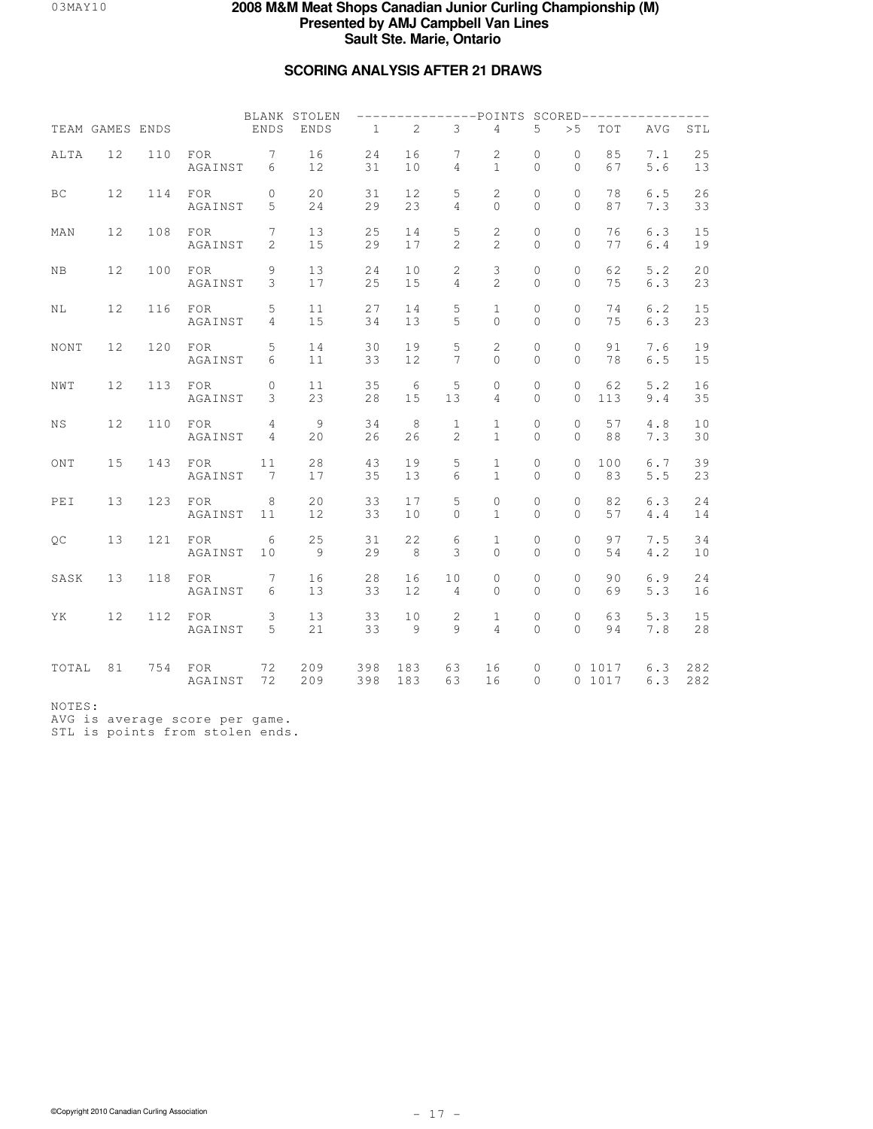## **SCORING ANALYSIS AFTER 21 DRAWS**

|       |                 |     |                         |                                  | BLANK STOLEN |              |                       |                                | ---------POINTS SCORED------------  |                          |                            |                  |              |            |
|-------|-----------------|-----|-------------------------|----------------------------------|--------------|--------------|-----------------------|--------------------------------|-------------------------------------|--------------------------|----------------------------|------------------|--------------|------------|
|       | TEAM GAMES ENDS |     |                         | ENDS                             | <b>ENDS</b>  | $\mathbf{1}$ | 2                     | 3                              | $\overline{4}$                      | 5                        | > 5                        | TOT              | AVG          | STL        |
| ALTA  | 12              | 110 | <b>FOR</b><br>AGAINST   | $7\phantom{.0}$<br>6             | 16<br>12     | 24<br>31     | 16<br>10              | 7<br>$\overline{4}$            | 2<br>$\mathbf{1}$                   | $\circ$<br>$\Omega$      | $\circ$<br>$\Omega$        | 85<br>67         | 7.1<br>5.6   | 25<br>13   |
| ВC    | 12              | 114 | <b>FOR</b><br>AGAINST   | $\circ$<br>5                     | 20<br>24     | 31<br>29     | 12<br>23              | 5<br>$\overline{4}$            | 2<br>$\circ$                        | $\mathbf{0}$<br>$\Omega$ | $\circ$<br>$\Omega$        | 78<br>87         | 6.5<br>7.3   | 26<br>33   |
| MAN   | 12              | 108 | FOR<br>AGAINST          | $7\overline{ }$<br>2             | 13<br>15     | 25<br>29     | 14<br>17              | 5<br>$\mathbf{2}$              | 2<br>$\overline{2}$                 | $\circ$<br>$\Omega$      | $\circ$<br>$\Omega$        | 76<br>77         | 6.3<br>6.4   | 15<br>19   |
| ΝB    | 12              | 100 | FOR<br>AGAINST          | 9<br>3                           | 13<br>17     | 24<br>25     | 10<br>15              | $\mathbf{2}$<br>$\overline{4}$ | $\mathsf 3$<br>$\overline{c}$       | $\mathbf{0}$<br>$\Omega$ | $\circ$<br>$\mathbf{0}$    | 62<br>75         | 5.2<br>6.3   | 20<br>23   |
| NL    | 12              | 116 | FOR<br>AGAINST          | 5<br>4                           | 11<br>15     | 27<br>34     | 14<br>13              | 5<br>5                         | $\mathbf{1}$<br>$\Omega$            | $\circ$<br>$\Omega$      | $\circ$<br>$\Omega$        | 74<br>75         | $6.2$<br>6.3 | 15<br>23   |
| NONT  | 12              | 120 | FOR<br>AGAINST          | 5<br>6                           | 14<br>11     | 30<br>33     | 19<br>12              | 5<br>$7\phantom{.0}$           | $\sqrt{2}$<br>$\Omega$              | $\circ$<br>$\Omega$      | $\circ$<br>$\Omega$        | 91<br>78         | 7.6<br>$6.5$ | 19<br>15   |
| NWT   | 12              | 113 | FOR<br>AGAINST          | $\circ$<br>3                     | 11<br>23     | 35<br>28     | $6\overline{6}$<br>15 | 5<br>13                        | $\circ$<br>$\overline{4}$           | $\circ$<br>$\Omega$      | $\circ$<br>$\Omega$        | 62<br>113        | 5.2<br>9.4   | 16<br>35   |
| ΝS    | 12              | 110 | FOR<br>AGAINST          | $\overline{4}$<br>$\overline{4}$ | 9<br>20      | 34<br>26     | 8<br>26               | $\mathbf{1}$<br>$\overline{c}$ | $\mathbf{1}$<br>$\mathbf{1}$        | $\mathbb O$<br>$\Omega$  | $\circ$<br>$\Omega$        | 57<br>88         | 4.8<br>7.3   | 10<br>30   |
| ONT   | 15              | 143 | FOR<br>AGAINST          | 11<br>$7\phantom{.0}$            | $2\,8$<br>17 | 43<br>35     | 19<br>13              | 5<br>6                         | $\mathbf{1}$<br>$\mathbf{1}$        | $\circ$<br>$\Omega$      | $\overline{0}$<br>$\Omega$ | 100<br>83        | 6.7<br>5.5   | 39<br>23   |
| PEI   | 13              | 123 | FOR<br>AGAINST          | 8<br>11                          | 20<br>12     | 33<br>33     | 17<br>10              | 5<br>$\mathbf 0$               | $\mathsf{O}\xspace$<br>$\mathbf{1}$ | $\mathbb O$<br>$\Omega$  | $\circ$<br>$\Omega$        | 82<br>57         | 6.3<br>4.4   | 24<br>14   |
| QC    | 13              | 121 | FOR<br>AGAINST          | 6<br>10                          | 25<br>9      | 31<br>29     | 22<br>8               | 6<br>3                         | $\mathbf{1}$<br>$\circ$             | 0<br>$\Omega$            | $\circ$<br>$\Omega$        | 97<br>54         | 7.5<br>4.2   | 34<br>10   |
| SASK  | 13              | 118 | FOR<br>AGAINST          | $7\phantom{.0}$<br>6             | 16<br>13     | 28<br>33     | 16<br>12              | 10<br>4                        | $\mathsf{O}\xspace$<br>$\Omega$     | $\mathbb O$<br>$\Omega$  | 0<br>$\Omega$              | 90<br>69         | 6.9<br>5.3   | 24<br>16   |
| ΥK    | 12              | 112 | FOR<br>AGAINST          | $\mathsf 3$<br>5                 | 13<br>21     | 33<br>33     | 10<br>9               | 2<br>$\overline{9}$            | $\mathbf{1}$<br>$\overline{4}$      | $\mathbf{0}$<br>$\Omega$ | $\mathbf 0$<br>$\Omega$    | 63<br>94         | 5.3<br>7.8   | 15<br>28   |
| TOTAL | 81              | 754 | $_{\rm FOR}$<br>AGAINST | 72<br>72                         | 209<br>209   | 398<br>398   | 183<br>183            | 63<br>63                       | 16<br>16                            | $\circ$<br>$\Omega$      |                            | 0 1017<br>0 1017 | 6.3<br>6.3   | 282<br>282 |

NOTES:

AVG is average score per game. STL is points from stolen ends.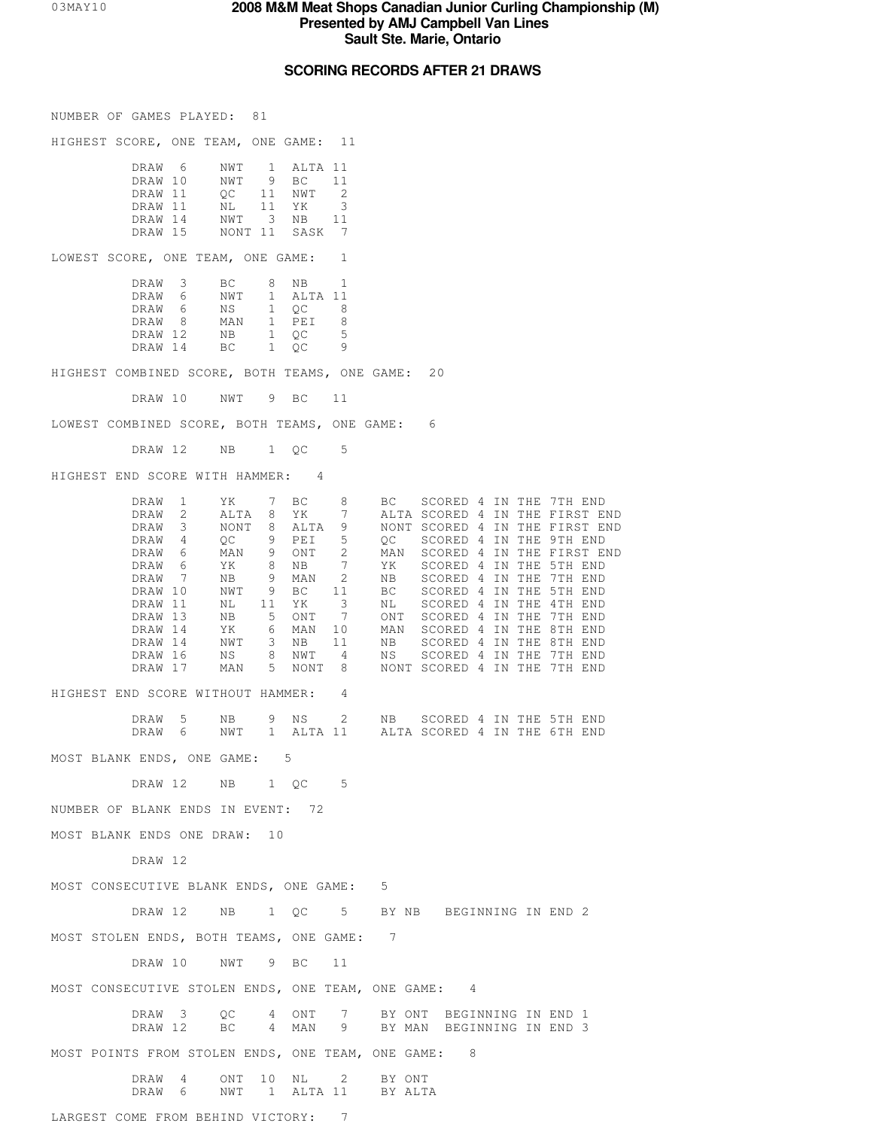## **SCORING RECORDS AFTER 21 DRAWS**

NUMBER OF GAMES PLAYED: 81

HIGHEST SCORE, ONE TEAM, ONE GAME: 11

| DRAW 6  | NWT | 1 ALTA 11      |                          |
|---------|-----|----------------|--------------------------|
| DRAW 10 | NWT | 9 BC           | $-11$                    |
| DRAW 11 | OC  | 11 NWT 2       |                          |
| DRAW 11 | NL. | 11 YK          | $\overline{\mathcal{E}}$ |
| DRAW 14 | NWT | 3 NB           | 11                       |
| DRAW 15 |     | NONT 11 SASK 7 |                          |
|         |     |                |                          |

LOWEST SCORE, ONE TEAM, ONE GAME: 1

| DRAW    | -3 | BC. | 8 | NB.        |   |
|---------|----|-----|---|------------|---|
|         |    |     |   |            |   |
| DRAW    | h  | NWT |   | $AI.TA$ 11 |   |
| DRAW    | 6  | NS. |   | OC.        | 8 |
| DRAW    | 8  | MAN |   | PET        | 8 |
| DRAW 12 |    | NΒ  |   | OC.        | 5 |
| DRAW 14 |    | BC. |   | OC.        | 9 |

HIGHEST COMBINED SCORE, BOTH TEAMS, ONE GAME: 20

DRAW 10 NWT 9 BC 11

LOWEST COMBINED SCORE, BOTH TEAMS, ONE GAME: 6

DRAW 12 NB 1 QC 5

HIGHEST END SCORE WITH HAMMER: 4

|                                                     | DRAW<br>$\mathbf{1}$                        | YK<br>7                                        | ВC                    | 8                              | BC.    | SCORED 4 IN THE 7TH END                                          |  |  |
|-----------------------------------------------------|---------------------------------------------|------------------------------------------------|-----------------------|--------------------------------|--------|------------------------------------------------------------------|--|--|
|                                                     | DRAW<br>2<br>3<br>DRAW                      | ALTA<br>8<br>NONT<br>8                         | YK<br>ALTA            | 7<br>9                         |        | ALTA SCORED 4 IN THE FIRST END<br>NONT SCORED 4 IN THE FIRST END |  |  |
|                                                     | DRAW<br>4                                   | 9<br>QC                                        | PEI                   | 5                              | OC     | SCORED 4 IN THE 9TH END                                          |  |  |
|                                                     | DRAW<br>6                                   | MAN<br>9                                       | ONT                   | 2                              | MAN    | SCORED 4 IN THE FIRST END                                        |  |  |
|                                                     | DRAW<br>6                                   | ΥK<br>8                                        | ΝB                    | $7\phantom{.0}$                | YK     | SCORED 4 IN THE 5TH END                                          |  |  |
|                                                     | <b>DRAW</b><br>$\overline{7}$               | NB<br>9                                        | MAN                   | 2                              | NB     | SCORED 4 IN THE 7TH END                                          |  |  |
|                                                     | DRAW 10                                     | 9<br>NWT                                       | ВC                    | 11                             | BC.    | SCORED 4 IN THE 5TH END                                          |  |  |
|                                                     | DRAW 11                                     | ΝL<br>11                                       | YK.                   | 3                              | ΝL     | SCORED 4 IN THE 4TH END                                          |  |  |
|                                                     | DRAW 13                                     | 5<br>ΝB                                        | ONT                   | 7                              | ONT    | SCORED 4 IN THE 7TH END                                          |  |  |
|                                                     | DRAW 14                                     | YK<br>6                                        | MAN                   | 10                             | MAN    | SCORED 4 IN THE 8TH END                                          |  |  |
|                                                     | DRAW 14                                     | 3<br>NWT                                       | NB                    | 11                             | NB     | SCORED 4 IN THE 8TH END                                          |  |  |
|                                                     | DRAW 16                                     | ΝS<br>8                                        | NWT                   | $\overline{4}$                 | NS     | SCORED 4 IN THE 7TH END                                          |  |  |
|                                                     | DRAW 17                                     | 5<br>MAN                                       | NONT                  | 8 <sup>2</sup>                 |        | NONT SCORED 4 IN THE 7TH END                                     |  |  |
| HIGHEST END SCORE WITHOUT HAMMER:                   |                                             |                                                |                       | 4                              |        |                                                                  |  |  |
|                                                     | DRAW<br>5                                   | 9<br>NB                                        |                       |                                |        | NS 2 NB SCORED 4 IN THE 5TH END                                  |  |  |
|                                                     | DRAW<br>6                                   | NWT                                            |                       |                                |        | 1 ALTA 11 ALTA SCORED 4 IN THE 6TH END                           |  |  |
| MOST BLANK ENDS, ONE GAME:                          |                                             | $5^{\circ}$                                    |                       |                                |        |                                                                  |  |  |
|                                                     | DRAW 12                                     | NB                                             | $1 \quad$ OC          | .5                             |        |                                                                  |  |  |
| NUMBER OF BLANK ENDS IN EVENT: 72                   |                                             |                                                |                       |                                |        |                                                                  |  |  |
| MOST BLANK ENDS ONE DRAW:                           |                                             | 10                                             |                       |                                |        |                                                                  |  |  |
|                                                     | DRAW 12                                     |                                                |                       |                                |        |                                                                  |  |  |
| MOST CONSECUTIVE BLANK ENDS, ONE GAME:              |                                             |                                                |                       |                                | 5      |                                                                  |  |  |
|                                                     | DRAW 12                                     | NB<br>1 OC                                     |                       | $5 -$                          |        | BY NB BEGINNING IN END 2                                         |  |  |
| MOST STOLEN ENDS, BOTH TEAMS, ONE GAME:             |                                             |                                                |                       |                                | 7      |                                                                  |  |  |
|                                                     | DRAW 10                                     | NWT<br>9                                       | <b>BC</b>             | 11                             |        |                                                                  |  |  |
| MOST CONSECUTIVE STOLEN ENDS, ONE TEAM, ONE GAME: 4 |                                             |                                                |                       |                                |        |                                                                  |  |  |
|                                                     |                                             |                                                |                       |                                |        |                                                                  |  |  |
|                                                     | $\overline{\phantom{a}}$<br>DRAW<br>DRAW 12 | OC<br>4<br>BC.<br>4                            | ONT<br>MAN            | 7<br>9                         |        | BY ONT BEGINNING IN END 1<br>BY MAN BEGINNING IN END 3           |  |  |
| MOST POINTS FROM STOLEN ENDS, ONE TEAM, ONE GAME:   |                                             |                                                |                       |                                |        | 8                                                                |  |  |
|                                                     | DRAW<br>4<br>DRAW<br>6                      | 10 <sub>o</sub><br>ONT<br>NWT<br>$\frac{1}{2}$ | NL<br>ALTA 11 BY ALTA | $2 \left( \frac{1}{2} \right)$ | BY ONT |                                                                  |  |  |
|                                                     |                                             |                                                |                       |                                |        |                                                                  |  |  |
| LARGEST COME FROM BEHIND VICTORY:                   |                                             |                                                |                       | 7                              |        |                                                                  |  |  |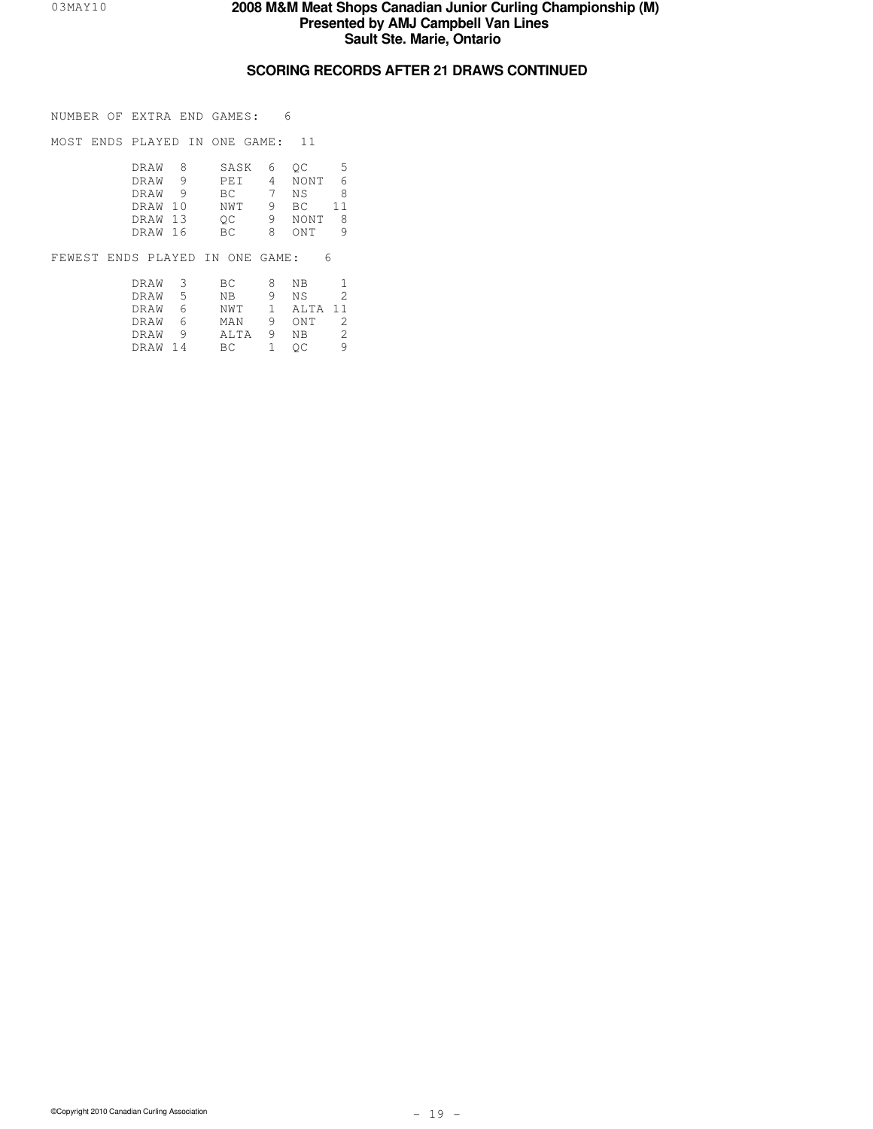## **SCORING RECORDS AFTER 21 DRAWS CONTINUED**

NUMBER OF EXTRA END GAMES: 6

MOST ENDS PLAYED IN ONE GAME: 11

| DRAW    | - 8 - | SASK       |                | 6 OC | 5  |
|---------|-------|------------|----------------|------|----|
| DRAW    |       | <b>PET</b> | $\overline{4}$ | NONT | 6  |
| DRAW    |       | BC -       |                | NS.  | 8  |
| DRAW 10 |       | NWT        |                | BC.  | 11 |
| DRAW 13 |       | OC         |                | NONT | -8 |
| DRAW 16 |       | BC.        | 8              | ONT  | 9  |
|         |       |            |                |      |    |

FEWEST ENDS PLAYED IN ONE GAME: 6

| DRAW <sub>3</sub> |    | BC   | 8  | NB.       | 1             |
|-------------------|----|------|----|-----------|---------------|
| DRAW              | .5 | NB   | 9  | N S       | $\mathcal{L}$ |
| DRAW              |    | NWT  |    | 1 ALTA 11 |               |
| DRAW              |    | MAN  | 9  | ONT       | -2            |
| DRAW              |    | ALTA | -9 | NB        | -2            |
| DRAW 14           |    | BC.  |    | OC.       | 9             |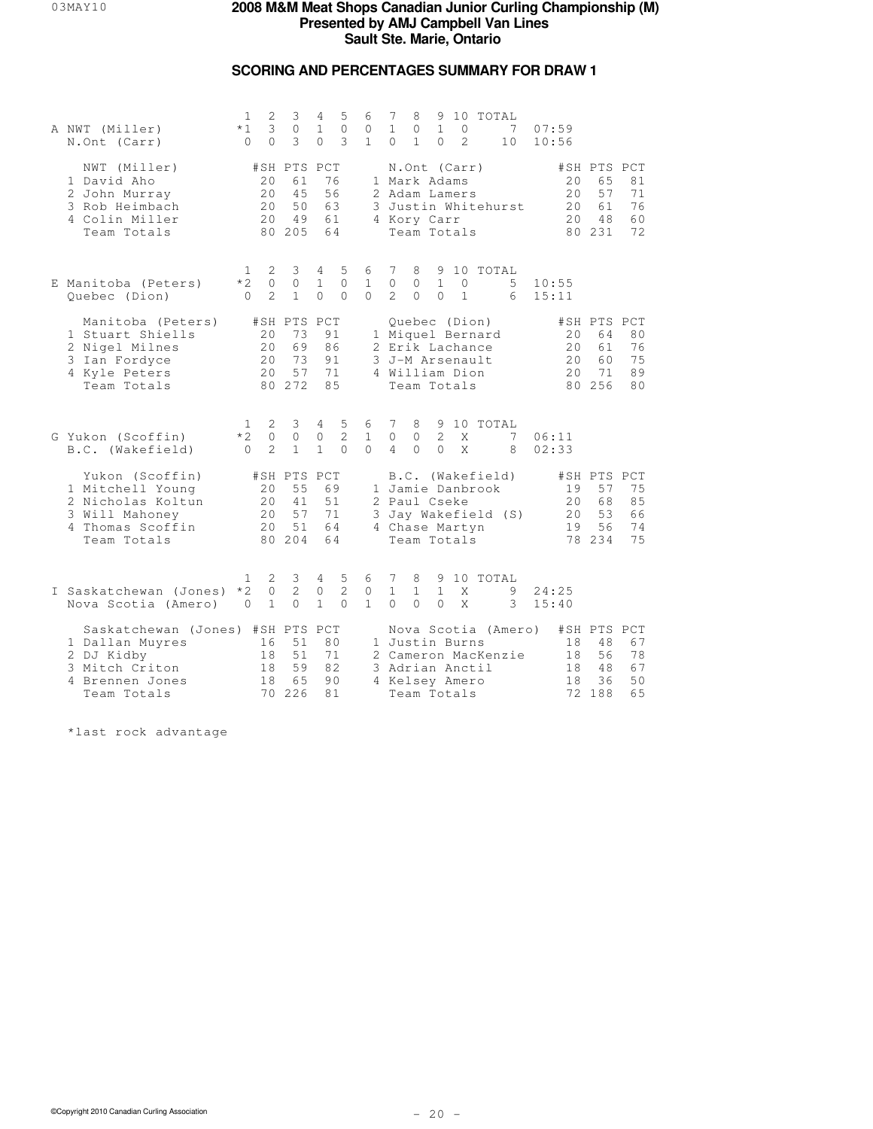## **SCORING AND PERCENTAGES SUMMARY FOR DRAW 1**

| A NWT (Miller)<br>N.Ont (Carr)                                                                                        | 1<br>$*1$<br>$\Omega$              | 2<br>3<br>$\Omega$                      | 3<br>$\circ$<br>3                             | 4<br>$\mathbf{1}$<br>$\Omega$                 | 5<br>$\circ$<br>3               | 6<br>0<br>$\mathbf{1}$        | 7<br>$\mathbf{1}$<br>$\Omega$      | 8<br>0<br>$\mathbf{1}$                                                      | $\mathbf{1}$<br>$\Omega$   | 0<br>$\mathfrak{D}$     | 9 10 TOTAL                                                              | 7<br>10                                    | 07:59<br>10:56 |                       |                                               |                            |
|-----------------------------------------------------------------------------------------------------------------------|------------------------------------|-----------------------------------------|-----------------------------------------------|-----------------------------------------------|---------------------------------|-------------------------------|------------------------------------|-----------------------------------------------------------------------------|----------------------------|-------------------------|-------------------------------------------------------------------------|--------------------------------------------|----------------|-----------------------|-----------------------------------------------|----------------------------|
| NWT (Miller)<br>1 David Aho<br>2 John Murray<br>3 Rob Heimbach<br>4 Colin Miller<br>Team Totals                       |                                    | 20<br>20<br>20<br>2.0                   | #SH PTS PCT<br>61<br>45<br>50<br>49<br>80 205 | 56<br>63<br>61<br>64                          | 76                              |                               |                                    | N.Ont (Carr)<br>1 Mark Adams<br>2 Adam Lamers<br>4 Kory Carr<br>Team Totals |                            |                         |                                                                         | 3 Justin Whitehurst                        |                | 20<br>20<br>20<br>2.0 | #SH PTS PCT<br>65<br>57<br>61<br>48<br>80 231 | 81<br>71<br>76<br>60<br>72 |
| E Manitoba (Peters)<br>Quebec (Dion)                                                                                  | $\overline{1}$<br>$*2$<br>$\Omega$ | 2<br>$\Omega$<br>$\mathcal{D}$          | 3<br>$\circ$<br>$\mathbf{1}$                  | 4<br>$\mathbf{1}$<br>$\Omega$                 | 5<br>$\Omega$<br>$\Omega$       | 6<br>$\mathbf{1}$<br>$\Omega$ | 7<br>$\circ$<br>$\mathcal{L}$      | 8<br>$\circ$<br>$\Omega$                                                    | $\mathbf{1}$<br>$\Omega$   | $\circ$<br>$\mathbf{1}$ | 9 10 TOTAL                                                              | 5<br>6                                     | 10:55<br>15:11 |                       |                                               |                            |
| Manitoba (Peters)<br>1 Stuart Shiells<br>2 Nigel Milnes<br>3 Ian Fordyce<br>4 Kyle Peters<br>Team Totals              |                                    | 20<br>20<br>20<br>20                    | #SH PTS PCT<br>73<br>69<br>73<br>57<br>80 272 | 86<br>91<br>71<br>85                          | 91                              |                               |                                    | 4 William Dion<br>Team Totals                                               |                            |                         | Quebec (Dion)<br>1 Miquel Bernard<br>2 Erik Lachance<br>3 J-M Arsenault |                                            |                | 20<br>20<br>20<br>20  | #SH PTS PCT<br>64<br>61<br>60<br>71<br>80 256 | 80<br>76<br>75<br>89<br>80 |
| G Yukon (Scoffin)<br>B.C. (Wakefield)                                                                                 | 1.<br>$*2$<br>$\Omega$             | 2<br>$\circ$<br>$\mathfrak{D}$          | 3<br>$\circ$<br>$\mathbf{1}$                  | $4\phantom{0}$<br>$\mathbb O$<br>$\mathbf{1}$ | 5<br>$\overline{2}$<br>$\Omega$ | 6<br>$\mathbf{1}$<br>$\Omega$ | 7<br>$\mathbb O$<br>$\overline{4}$ | 8<br>0<br>$\Omega$                                                          | $\overline{c}$<br>$\Omega$ | X<br>X                  | 9 10 TOTAL                                                              | 7<br>8                                     | 06:11<br>02:33 |                       |                                               |                            |
| Yukon (Scoffin)<br>1 Mitchell Young<br>2 Nicholas Koltun<br>3 Will Mahoney<br>4 Thomas Scoffin<br>Team Totals         |                                    | 20<br>20<br>20<br>20                    | #SH PTS PCT<br>55<br>41<br>57<br>51<br>80 204 | 69<br>71<br>64<br>64                          | 51                              |                               |                                    | 2 Paul Cseke<br>4 Chase Martyn<br>Team Totals                               |                            |                         | B.C. (Wakefield)<br>1 Jamie Danbrook                                    | 3 Jay Wakefield (S)                        |                | 19<br>20<br>20<br>19  | #SH PTS PCT<br>57<br>68<br>53<br>56<br>78 234 | 75<br>85<br>66<br>74<br>75 |
| I Saskatchewan (Jones)<br>Nova Scotia (Amero)                                                                         | 1<br>$*2$<br>$\Omega$              | $\mathbf{2}$<br>$\circ$<br>$\mathbf{1}$ | 3<br>2<br>$\Omega$                            | $4\overline{ }$<br>$\circ$<br>$\mathbf{1}$    | 5<br>$\overline{2}$<br>$\Omega$ | 6<br>0<br>$\mathbf{1}$        | 7<br>$\mathbf{1}$<br>$\Omega$      | 8<br>$\mathbf{1}$<br>$\Omega$                                               | $\mathbf{1}$<br>$\Omega$   | X<br>X                  | 9 10 TOTAL                                                              | 9<br>3                                     | 24:25<br>15:40 |                       |                                               |                            |
| Saskatchewan (Jones) #SH PTS PCT<br>1 Dallan Muyres<br>2 DJ Kidby<br>3 Mitch Criton<br>4 Brennen Jones<br>Team Totals |                                    | 16<br>18<br>18<br>18                    | 51<br>51<br>59<br>65<br>70 226                | 80<br>71<br>82<br>81                          | 90                              |                               |                                    | 1 Justin Burns<br>4 Kelsey Amero<br>Team Totals                             |                            |                         | 3 Adrian Anctil                                                         | Nova Scotia (Amero)<br>2 Cameron MacKenzie |                | 18<br>18<br>18<br>18  | #SH PTS PCT<br>48<br>56<br>48<br>36<br>72 188 | 67<br>78<br>67<br>50<br>65 |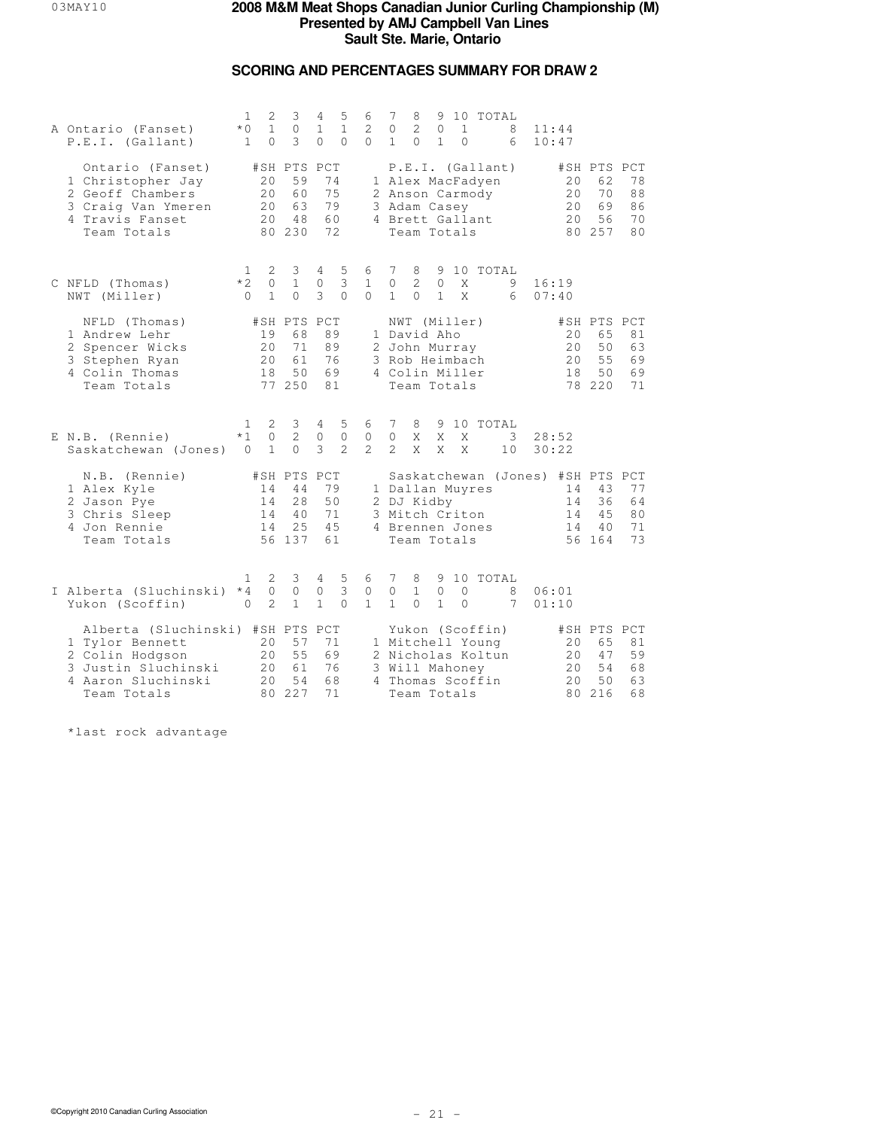## **SCORING AND PERCENTAGES SUMMARY FOR DRAW 2**

| A Ontario (Fanset)<br>P.E.I. (Gallant)                                                                                             | 1<br>$*$ 0<br>$\mathbf{1}$       | 2<br>$\mathbf{1}$<br>$\Omega$       | 3<br>$\circ$<br>3                             | 4<br>$\mathbf{1}$<br>$\Omega$     | 5<br>$\mathbf{1}$<br>$\Omega$ | 6<br>2<br>$\Omega$             | 7<br>$\mathbf{0}$<br>$\mathbf{1}$ | 8<br>$\overline{c}$<br>$\Omega$                                                                 | $\circ$<br>$\mathbf{1}$      | $\mathbf{1}$<br>$\Omega$ | 9 10 TOTAL                                                                   | 8<br>6  | 11:44          | 10:47                 |                                                                     |                            |
|------------------------------------------------------------------------------------------------------------------------------------|----------------------------------|-------------------------------------|-----------------------------------------------|-----------------------------------|-------------------------------|--------------------------------|-----------------------------------|-------------------------------------------------------------------------------------------------|------------------------------|--------------------------|------------------------------------------------------------------------------|---------|----------------|-----------------------|---------------------------------------------------------------------|----------------------------|
| Ontario (Fanset)<br>1 Christopher Jay<br>2 Geoff Chambers<br>3 Craig Van Ymeren<br>4 Travis Fanset<br>Team Totals                  |                                  | 20<br>20<br>20<br>20                | #SH PTS PCT<br>59<br>60<br>63<br>48<br>80 230 | 74<br>75<br>79<br>60<br>72        |                               |                                |                                   | 3 Adam Casey<br>Team Totals                                                                     |                              |                          | P.E.I. (Gallant)<br>1 Alex MacFadyen<br>2 Anson Carmody<br>4 Brett Gallant   |         |                | 20<br>20<br>20<br>20  | #SH PTS PCT<br>62<br>70<br>69<br>56<br>80 257                       | 78<br>88<br>86<br>70<br>80 |
| C NFLD (Thomas)<br>NWT (Miller)                                                                                                    | 1.<br>$*2$<br>$\bigcap$          | 2<br>$\overline{0}$<br>$\mathbf{1}$ | 3<br>$\mathbf{1}$<br>$\Omega$                 | $\overline{4}$<br>$\circ$<br>3    | 5<br>3<br>$\Omega$            | 6<br>$\mathbf{1}$<br>$\cap$    | 7<br>$\circ$<br>$\mathbf{1}$      | 8<br>$\mathbf{2}^{\prime}$<br>$\Omega$                                                          | 9<br>$\circ$<br>$\mathbf{1}$ | X<br>X                   | 10 TOTAL                                                                     | 9<br>6  | 16:19<br>07:40 |                       |                                                                     |                            |
| NFLD (Thomas)<br>1 Andrew Lehr<br>2 Spencer Wicks<br>3 Stephen Ryan<br>4 Colin Thomas<br>Team Totals                               |                                  | 19<br>20<br>20<br>18                | #SH PTS<br>68<br>71<br>61<br>50<br>77 250     | PCT<br>89<br>89<br>76<br>69<br>81 |                               |                                |                                   | NWT (Miller)<br>1 David Aho<br>2 John Murray<br>3 Rob Heimbach<br>4 Colin Miller<br>Team Totals |                              |                          |                                                                              |         |                | 20<br>2.0<br>20<br>18 | #SH PTS PCT<br>65<br>50<br>55<br>50<br>78 220                       | 81<br>63<br>69<br>69<br>71 |
| E N.B. (Rennie)<br>Saskatchewan (Jones) 0                                                                                          | 1<br>$*1$                        | 2<br>$\mathbb O$<br>$\mathbf{1}$    | 3<br>$\overline{2}$<br>$\Omega$               | 4<br>$\circ$<br>3                 | 5<br>$\circ$<br>$\mathcal{L}$ | 6<br>$\circ$<br>$\mathfrak{D}$ | 7<br>$\circ$<br>$\mathfrak{D}$    | 8<br>X<br>$\overline{X}$                                                                        | 9<br>X<br>X                  | X<br>X                   | 10 TOTAL                                                                     | 3<br>10 | 28:52          | 30:22                 |                                                                     |                            |
| N.B. (Rennie)<br>1 Alex Kyle<br>2 Jason Pye<br>3 Chris Sleep<br>4 Jon Rennie<br>Team Totals                                        |                                  | 14<br>14<br>14<br>14                | #SH PTS PCT<br>44<br>28<br>40<br>25<br>56 137 | 79<br>50<br>71<br>45<br>61        |                               |                                |                                   | 2 DJ Kidby<br>3 Mitch Criton<br>Team Totals                                                     |                              |                          | 1 Dallan Muyres<br>4 Brennen Jones                                           |         |                | 14<br>14<br>14<br>14  | Saskatchewan (Jones) #SH PTS PCT<br>43<br>36<br>4.5<br>40<br>56 164 | 77<br>64<br>80<br>71<br>73 |
| I Alberta (Sluchinski)<br>Yukon (Scoffin)                                                                                          | $\mathbf{1}$<br>$*4$<br>$\Omega$ | 2<br>$\circ$<br>$\overline{2}$      | 3<br>$\circ$<br>$\mathbf{1}$                  | 4<br>$\circ$<br>$\mathbf{1}$      | 5<br>3<br>$\Omega$            | 6<br>0<br>$\mathbf{1}$         | 7<br>$\circ$<br>$\mathbf{1}$      | 8<br>$\mathbf{1}$<br>$\Omega$                                                                   | $\circ$<br>$\mathbf{1}$      | $\circ$<br>$\Omega$      | 9 10 TOTAL                                                                   | 8<br>7  | 06:01<br>01:10 |                       |                                                                     |                            |
| Alberta (Sluchinski) #SH PTS PCT<br>1 Tylor Bennett<br>2 Colin Hodgson<br>3 Justin Sluchinski<br>4 Aaron Sluchinski<br>Team Totals |                                  | 20<br>20<br>20<br>2.0               | 57<br>55<br>61<br>54<br>80 227                | 71<br>69<br>76<br>68<br>71        |                               |                                |                                   | 3 Will Mahoney<br>Team Totals                                                                   |                              |                          | Yukon (Scoffin)<br>1 Mitchell Young<br>2 Nicholas Koltun<br>4 Thomas Scoffin |         |                | 20<br>20<br>20<br>20  | #SH PTS PCT<br>65<br>47<br>54<br>50<br>80 216                       | 81<br>59<br>68<br>63<br>68 |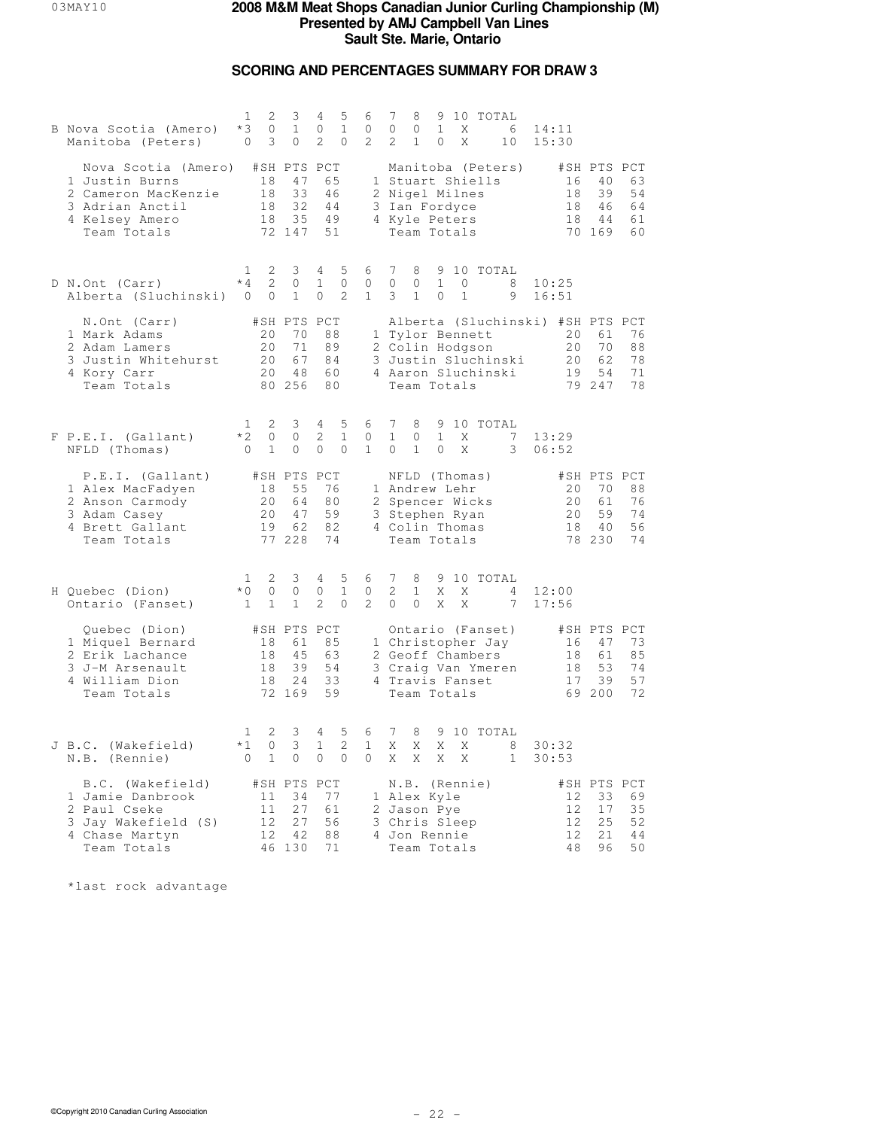## **SCORING AND PERCENTAGES SUMMARY FOR DRAW 3**

| B Nova Scotia (Amero)<br>Manitoba (Peters)                                                                                   | 1<br>2<br>$*3$<br>$\circ$<br>3<br>0                         | 3<br>$\mathbf{1}$<br>$\circ$                  | 4<br>5<br>$\mathbf{1}$<br>$\circ$<br>2<br>$\circ$      | 6<br>0<br>2                    | 7<br>9 10 TOTAL<br>8<br>$\circ$<br>$\mathbf{1}$<br>$\mathbf{0}$<br>Χ<br>6<br>14:11<br>2<br>$\mathbf{1}$<br>Χ<br>$\mathbf{0}$<br>10<br>15:30                                                                                |
|------------------------------------------------------------------------------------------------------------------------------|-------------------------------------------------------------|-----------------------------------------------|--------------------------------------------------------|--------------------------------|----------------------------------------------------------------------------------------------------------------------------------------------------------------------------------------------------------------------------|
| Nova Scotia (Amero) #SH PTS PCT<br>1 Justin Burns<br>2 Cameron MacKenzie<br>3 Adrian Anctil<br>4 Kelsey Amero<br>Team Totals | 18<br>18<br>18                                              | 47<br>33<br>32<br>18 35<br>72 147             | 65<br>46<br>44<br>49<br>51                             |                                | Manitoba (Peters)<br>#SH PTS PCT<br>1 Stuart Shiells<br>63<br>16<br>40<br>2 Nigel Milnes<br>18<br>39<br>54<br>3 Ian Fordyce<br>18<br>46<br>64<br>4 Kyle Peters<br>61<br>18<br>44<br>70 169<br>60<br>Team Totals            |
| D N.Ont (Carr)<br>Alberta (Sluchinski) 0                                                                                     | 2<br>1<br>$*4$<br>2<br>0                                    | 3<br>0<br>$\mathbf{1}$                        | $4 -$<br>5<br>$\circ$<br>$\mathbf{1}$<br>2<br>0        | 6<br>0<br>$\mathbf{1}$         | 7<br>9 10 TOTAL<br>8<br>0<br>0<br>$\mathbf{1}$<br>$\circ$<br>8<br>10:25<br>$\mathbf{1}$<br>3<br>$\mathbf{1}$<br>9<br>16:51<br>$\Omega$                                                                                     |
| N.Ont (Carr)<br>1 Mark Adams<br>2 Adam Lamers<br>3 Justin Whitehurst<br>4 Kory Carr<br>Team Totals                           | 20<br>20<br>20<br>20                                        | #SH PTS PCT<br>70<br>71<br>67<br>48<br>80 256 | 88<br>89<br>84<br>60<br>80                             |                                | Alberta (Sluchinski) #SH PTS PCT<br>1 Tylor Bennett<br>20<br>61<br>76<br>20<br>70<br>88<br>2 Colin Hodgson<br>3 Justin Sluchinski<br>20<br>62<br>78<br>4 Aaron Sluchinski<br>54<br>71<br>19<br>Team Totals<br>79 247<br>78 |
| F P.E.I. (Gallant)<br>NFLD (Thomas)                                                                                          | 2<br>1<br>$*2$<br>$\circ$<br>$\mathbf{1}$<br>$\overline{0}$ | 3<br>0<br>0                                   | 4<br>5<br>2<br>$\mathbf{1}$<br>$\circ$<br>$\mathbf{0}$ | 6<br>$\circ$<br>$\mathbf{1}$   | 9 10 TOTAL<br>7<br>8<br>$\mathbf{1}$<br>$\mathbf{1}$<br>X<br>7<br>$\circ$<br>13:29<br>$\circ$<br>$\mathbf{1}$<br>$\circ$<br>X<br>3<br>06:52                                                                                |
| P.E.I. (Gallant)<br>1 Alex MacFadyen<br>2 Anson Carmody<br>3 Adam Casey<br>4 Brett Gallant<br>Team Totals                    | #SH PTS PCT<br>18<br>20<br>20<br>19                         | 55<br>64<br>47<br>62<br>77 228                | 76<br>80<br>59<br>82<br>74                             |                                | NFLD (Thomas)<br>#SH PTS PCT<br>1 Andrew Lehr<br>20<br>70<br>88<br>76<br>2 Spencer Wicks<br>20<br>61<br>59<br>3 Stephen Ryan<br>20<br>74<br>18<br>40<br>56<br>4 Colin Thomas<br>Team Totals<br>78 230<br>74                |
| H Quebec (Dion)<br>Ontario (Fanset)                                                                                          | 2<br>1<br>$\star$ 0<br>0<br>$\mathbf{1}$<br>$\mathbf{1}$    | 3<br>0<br>$\mathbf{1}$                        | $4 -$<br>5<br>0<br>$\mathbf{1}$<br>2<br>$\circ$        | 6<br>$\circ$<br>$\overline{2}$ | 7<br>8<br>9 10 TOTAL<br>2<br>$\mathbf{1}$<br>X<br>12:00<br>X<br>4<br>$\Omega$<br>$\Omega$<br>X<br>X<br>7<br>17:56                                                                                                          |
| Quebec (Dion)<br>1 Miquel Bernard<br>2 Erik Lachance<br>3 J-M Arsenault<br>4 William Dion<br>Team Totals                     | 18 61<br>18<br>18<br>18                                     | 45<br>39<br>24<br>72 169                      | #SH PTS PCT<br>85<br>63<br>54<br>33<br>59              |                                | Ontario (Fanset)<br>#SH PTS PCT<br>1 Christopher Jay<br>16<br>47<br>73<br>2 Geoff Chambers<br>61<br>85<br>18<br>3 Craig Van Ymeren<br>53<br>74<br>18<br>57<br>4 Travis Fanset<br>17<br>39<br>69 200<br>Team Totals<br>72   |
| J B.C. (Wakefield)<br>N.B. (Rennie)                                                                                          | 2<br>1<br>$*1$<br>0<br>$\mathbf{1}$<br>$\circ$              | 3<br>3<br>$\circ$                             | 5<br>4<br>2<br>1<br>$\circ$<br>$\mathbf{0}$            | 6<br>$\mathbf{1}$<br>$\circ$   | $7\phantom{.0}$<br>8<br>9 10 TOTAL<br>X<br>X<br>X<br>Χ<br>8<br>30:32<br>X<br>X<br>X<br>X<br>$\mathbf{1}$<br>30:53                                                                                                          |
| B.C. (Wakefield)<br>1 Jamie Danbrook<br>2 Paul Cseke<br>3 Jay Wakefield (S)<br>4 Chase Martyn<br>Team Totals                 | #SH PTS PCT<br>11<br>11<br>12<br>12                         | 34<br>27<br>27<br>42<br>46 130                | 77<br>61<br>56<br>88<br>71                             |                                | #SH PTS PCT<br>N.B. (Rennie)<br>33<br>69<br>1 Alex Kyle<br>12<br>12<br>35<br>2 Jason Pye<br>17<br>12<br>25<br>3 Chris Sleep<br>52<br>12<br>21<br>44<br>4 Jon Rennie<br>48<br>96<br>50<br>Team Totals                       |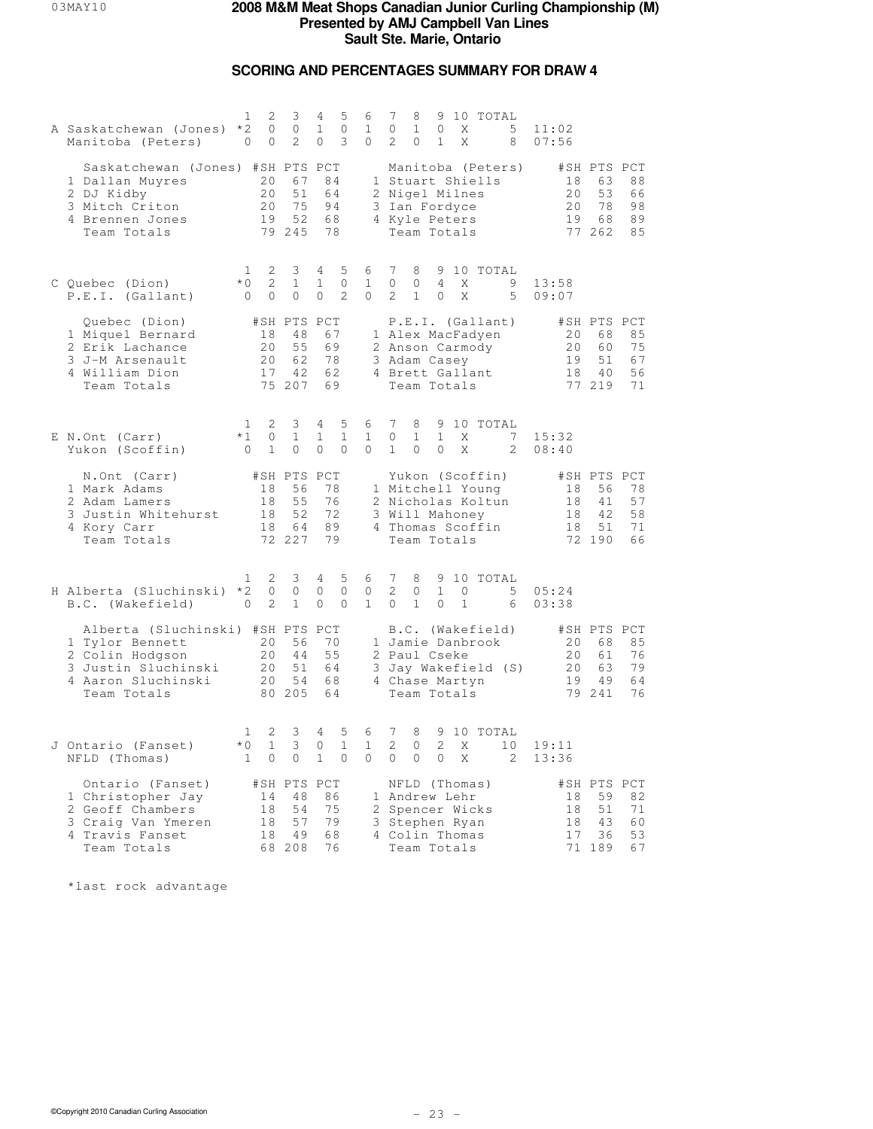## **SCORING AND PERCENTAGES SUMMARY FOR DRAW 4**

| A Saskatchewan (Jones)<br>Manitoba (Peters)                                                                                        | 2<br>1<br>$*2$<br>$\circ$<br>$\circ$<br>0                   | 3<br>$\circ$<br>2                             | 4<br>5<br>$\mathbf{1}$<br>$\circ$<br>3<br>0                    | 6<br>$\mathbf{1}$<br>0        | 7<br>9 10 TOTAL<br>8<br>$\mathbf{1}$<br>5<br>$\circ$<br>$\mathbf{0}$<br>X<br>$\overline{2}$<br>0<br>$\mathbf{1}$<br>X<br>8           | 11:02<br>07:56                                                                                       |
|------------------------------------------------------------------------------------------------------------------------------------|-------------------------------------------------------------|-----------------------------------------------|----------------------------------------------------------------|-------------------------------|--------------------------------------------------------------------------------------------------------------------------------------|------------------------------------------------------------------------------------------------------|
| Saskatchewan (Jones) #SH PTS PCT<br>1 Dallan Muyres<br>2 DJ Kidby<br>3 Mitch Criton<br>4 Brennen Jones<br>Team Totals              | 20<br>20<br>20<br>19                                        | 67<br>51<br>75<br>52<br>79 245                | 84<br>64<br>94<br>68<br>78                                     |                               | Manitoba (Peters)<br>1 Stuart Shiells<br>2 Nigel Milnes<br>3 Ian Fordyce<br>4 Kyle Peters<br>Team Totals                             | #SH PTS PCT<br>88<br>18<br>63<br>20<br>53<br>66<br>20<br>78<br>98<br>19<br>68<br>89<br>77 262<br>85  |
| C Ouebec (Dion)<br>P.E.I. (Gallant)                                                                                                | 2<br>1<br>$*$ 0<br>2<br>$\circ$<br>$\circ$                  | 3<br>$\mathbf{1}$<br>$\circ$                  | 4<br>5<br>$\circ$<br>$\mathbf{1}$<br>$\overline{c}$<br>$\circ$ | 6<br>$\mathbf{1}$<br>0        | 7<br>8<br>9 10 TOTAL<br>$\circ$<br>$\overline{4}$<br>9<br>0<br>Χ<br>$\overline{2}$<br>5<br>$\mathbf{1}$<br>X<br>0                    | 13:58<br>09:07                                                                                       |
| Quebec (Dion)<br>1 Miquel Bernard<br>2 Erik Lachance<br>3 J-M Arsenault<br>4 William Dion<br>Team Totals                           | 18<br>20<br>20<br>17                                        | #SH PTS PCT<br>48<br>55<br>62<br>42<br>75 207 | 67<br>69<br>78<br>62<br>69                                     |                               | P.E.I. (Gallant)<br>1 Alex MacFadyen<br>2 Anson Carmody<br>3 Adam Casey<br>4 Brett Gallant<br>Team Totals                            | #SH PTS PCT<br>85<br>20<br>68<br>20<br>60<br>75<br>19<br>51<br>67<br>18<br>56<br>4 O<br>77 219<br>71 |
| E N.Ont (Carr)<br>Yukon (Scoffin)                                                                                                  | 2<br>1<br>$*1$<br>$\circ$<br>$\mathbf{1}$<br>$\overline{0}$ | 3<br>$\mathbf{1}$<br>$\circ$                  | 4<br>5<br>$\mathbf{1}$<br>1<br>$\Omega$<br>0                   | 6<br>$\mathbf{1}$<br>0        | 7<br>8<br>9 10 TOTAL<br>$\mathbf 1$<br>$\mathbf{1}$<br>X<br>7<br>0<br>$\mathbf{1}$<br>$\Omega$<br>X<br>2<br>$\Omega$                 | 15:32<br>08:40                                                                                       |
| N.Ont (Carr)<br>1 Mark Adams<br>2 Adam Lamers<br>3 Justin Whitehurst<br>4 Kory Carr<br>Team Totals                                 | 18<br>18<br>18<br>18                                        | #SH PTS PCT<br>56<br>55<br>52<br>64<br>72 227 | 78<br>76<br>72<br>89<br>79                                     |                               | Yukon (Scoffin)<br>1 Mitchell Young<br>2 Nicholas Koltun<br>3 Will Mahoney<br>4 Thomas Scoffin<br>Team Totals                        | #SH PTS PCT<br>18<br>56<br>78<br>18<br>41<br>57<br>42<br>58<br>18<br>51<br>71<br>18<br>72 190<br>66  |
| H Alberta (Sluchinski)<br>B.C. (Wakefield)                                                                                         | 2<br>1<br>$*2$<br>0<br>2<br>$\circ$                         | 3<br>$\circ$<br>$\mathbf{1}$                  | 4<br>5<br>$\circ$<br>0<br>$\circ$<br>$\Omega$                  | 6<br>0<br>$\mathbf{1}$        | 7<br>8<br>9 10 TOTAL<br>2<br>$\mathbf{1}$<br>0<br>$\mathbf{0}$<br>5<br>$\Omega$<br>$\mathbf{1}$<br>$\mathbf{1}$<br>$\mathbf{0}$<br>6 | 05:24<br>03:38                                                                                       |
| Alberta (Sluchinski) #SH PTS PCT<br>1 Tylor Bennett<br>2 Colin Hodgson<br>3 Justin Sluchinski<br>4 Aaron Sluchinski<br>Team Totals | 20<br>20<br>20<br>20 <sub>o</sub>                           | 56<br>44<br>51<br>54<br>80 205                | 70<br>55<br>64<br>68<br>64                                     |                               | B.C. (Wakefield)<br>1 Jamie Danbrook<br>2 Paul Cseke<br>3 Jay Wakefield (S)<br>4 Chase Martyn<br>Team Totals                         | #SH PTS PCT<br>20<br>68<br>85<br>20<br>61<br>76<br>79<br>20<br>63<br>19<br>49<br>64<br>79 241<br>76  |
| J Ontario (Fanset)<br>NFLD (Thomas)                                                                                                | 2<br>1<br>$*0$<br>$\mathbf{1}$<br>$\circ$<br>$\mathbf{1}$   | 3<br>3<br>$\circ$                             | 5<br>4<br>$\mathbf{1}$<br>0<br>$\mathbf{1}$<br>$\mathbf{0}$    | 6<br>$\mathbf{1}$<br>$\Omega$ | 7<br>8<br>9 10 TOTAL<br>2<br>2<br>$\circ$<br>X<br>10<br>$\Omega$<br>$\circ$<br>$\circ$<br>X<br>2                                     | 19:11<br>13:36                                                                                       |
| Ontario (Fanset)<br>1 Christopher Jay<br>2 Geoff Chambers<br>3 Craig Van Ymeren<br>4 Travis Fanset<br>Team Totals                  | 14<br>18<br>18<br>18                                        | #SH PTS PCT<br>48<br>54<br>57<br>49<br>68 208 | 86<br>75<br>79<br>68<br>76                                     |                               | NFLD (Thomas)<br>1 Andrew Lehr<br>2 Spencer Wicks<br>3 Stephen Ryan<br>4 Colin Thomas<br>Team Totals                                 | #SH PTS PCT<br>18<br>59<br>82<br>18<br>51<br>71<br>18<br>43<br>60<br>17<br>36<br>53<br>71 189<br>67  |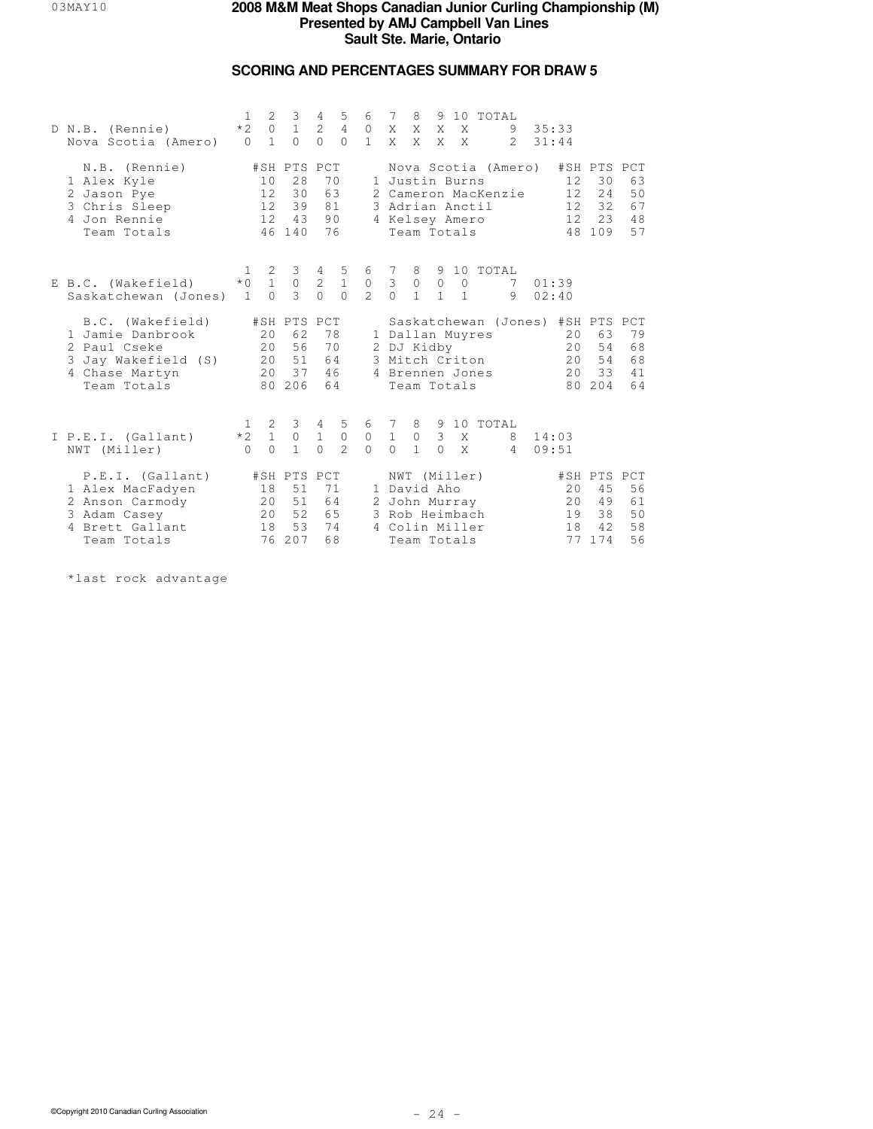## **SCORING AND PERCENTAGES SUMMARY FOR DRAW 5**

| D N.B. (Rennie)<br>Nova Scotia (Amero)                                                                       | $\mathbf{1}$<br>$*2$<br>$\Omega$ | 2<br>$\circ$<br>$\mathbf{1}$                                  | 3<br>$\mathbf{1}$<br>$\Omega$                 | 4<br>2<br>$\Omega$       | 5<br>$\overline{4}$<br>$\bigcap$      | 6<br>$\circledcirc$<br>$\mathbf{1}$ | 7<br>X<br>$X -$                              | 8<br>X<br>X                  | 9<br>X<br>X                    | 10<br>X<br>$\mathsf{X}$                                                          | TOTAL<br>$\mathcal{L}$                     | 9 | 35:33<br>31:44                            |                                             |                            |
|--------------------------------------------------------------------------------------------------------------|----------------------------------|---------------------------------------------------------------|-----------------------------------------------|--------------------------|---------------------------------------|-------------------------------------|----------------------------------------------|------------------------------|--------------------------------|----------------------------------------------------------------------------------|--------------------------------------------|---|-------------------------------------------|---------------------------------------------|----------------------------|
| N.B. (Rennie)<br>1 Alex Kyle<br>2 Jason Pye<br>3 Chris Sleep<br>4 Jon Rennie<br>Team Totals                  |                                  | 10<br>$12 \overline{ }$<br>12 <sup>7</sup><br>12 <sup>7</sup> | #SH PTS PCT<br>28<br>30<br>39<br>43<br>46 140 | 63<br>81<br>90<br>76     | 70                                    |                                     |                                              |                              |                                | 1 Justin Burns<br>3 Adrian Anctil<br>4 Kelsey Amero<br>Team Totals               | Nova Scotia (Amero)<br>2 Cameron MacKenzie |   | 12.<br>12<br>12 <sup>°</sup><br>12.<br>48 | #SH PTS PCT<br>30<br>24<br>32<br>23<br>109  | 63<br>50<br>67<br>48<br>57 |
| E B.C. (Wakefield)<br>Saskatchewan (Jones)                                                                   | 1<br>$*$ 0<br>$\overline{1}$     | 2<br>$\mathbf{1}$<br>$\bigcap$                                | 3<br>$\circ$<br>$\mathcal{L}$                 | 4<br>2<br>$\Omega$       | 5<br>$1\,$<br>$\bigcap$               | 6<br>$\mathbb O$<br>$\mathfrak{D}$  | - 7<br>$\ensuremath{\mathsf{3}}$<br>$\Omega$ | 8<br>$\circ$<br>$\mathbf{1}$ | $\circledcirc$<br>$\mathbf{1}$ | $\circ$<br>$\overline{1}$                                                        | 9 10 TOTAL<br>7<br>9                       |   | 01:39<br>02:40                            |                                             |                            |
| B.C. (Wakefield)<br>1 Jamie Danbrook<br>2 Paul Cseke<br>3 Jay Wakefield (S)<br>4 Chase Martyn<br>Team Totals |                                  | 20<br>20 <sub>o</sub><br>20<br>2.0                            | #SH PTS PCT<br>62<br>56<br>51<br>37<br>80 206 | 64<br>46<br>64           | 78<br>70                              |                                     |                                              | 2 DJ Kidby                   |                                | 1 Dallan Muyres<br>3 Mitch Criton<br>4 Brennen Jones<br>Team Totals              | Saskatchewan (Jones) #SH PTS PCT           |   | 20<br>20<br>20<br>2.0                     | 63<br>54<br>54<br>33<br>80 204              | 79<br>68<br>68<br>41<br>64 |
| I P.E.I. (Gallant)<br>NWT (Miller)                                                                           | $\mathbf{1}$<br>$*2$<br>$\cap$   | $\overline{2}$<br>$\mathbf{1}$<br>$\bigcap$                   | $3 \quad 4$<br>$\circ$<br>$\mathbf{1}$        | $\mathbf{1}$<br>$\Omega$ | 5<br>$\overline{0}$<br>$\mathfrak{D}$ | 6 7<br>$\circledcirc$<br>$\cap$     | $\overline{1}$<br>$\Omega$                   | $\circ$<br>$\mathbf{1}$      | $\overline{3}$<br>$\Omega$     | $\mathbf{X}$<br>$\mathsf{X}$                                                     | 8 9 10 TOTAL<br>8<br>$\overline{4}$        |   | 14:03<br>09:51                            |                                             |                            |
| P.E.I. (Gallant)<br>1 Alex MacFadyen<br>2 Anson Carmody<br>3 Adam Casey<br>4 Brett Gallant<br>Team Totals    |                                  | 18<br>20<br>20<br>18                                          | #SH PTS PCT<br>51<br>51<br>52<br>53<br>76 207 | 71<br>64<br>65<br>68     | 74                                    |                                     |                                              | 1 David Aho                  |                                | NWT (Miller)<br>2 John Murray<br>3 Rob Heimbach<br>4 Colin Miller<br>Team Totals |                                            |   | 20<br>20<br>19<br>18<br>77                | #SH PTS PCT<br>45<br>49<br>38<br>42.<br>174 | 56<br>61<br>50<br>58<br>56 |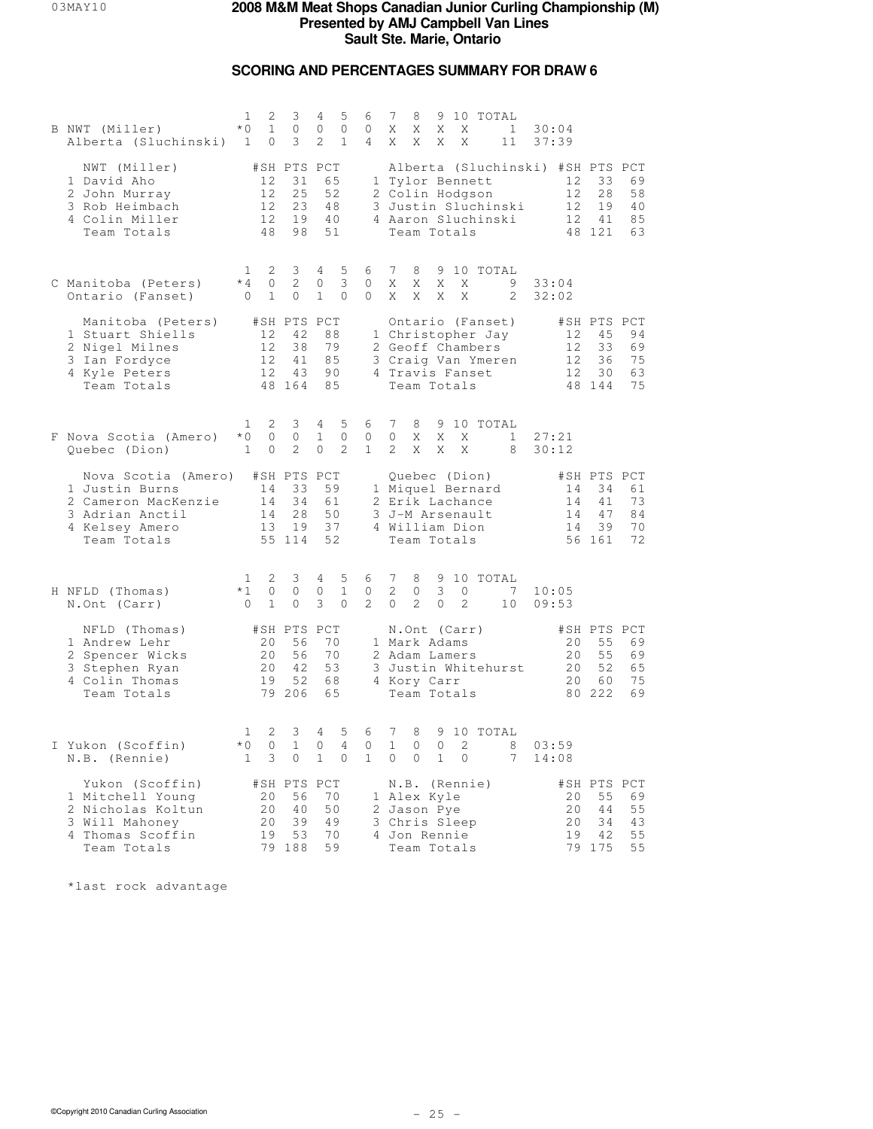## **SCORING AND PERCENTAGES SUMMARY FOR DRAW 6**

| B NWT (Miller)<br>Alberta (Sluchinski) 1                                                                                     | 1<br>2<br>$*$ 0<br>$\mathbf{1}$<br>0                             | 3<br>$\circ$<br>3                             | 5<br>4<br>$\mathbf{0}$<br>0<br>$\overline{2}$<br>$\mathbf{1}$ | 6<br>$\mathbf{0}$<br>$\overline{4}$ | 7<br>9 10 TOTAL<br>8<br>Χ<br>Χ<br>Χ<br>Χ<br>$\mathbf{1}$<br>30:04<br>X<br>X<br>X<br>37:39<br>Χ<br>11                                                                                                                                                 |
|------------------------------------------------------------------------------------------------------------------------------|------------------------------------------------------------------|-----------------------------------------------|---------------------------------------------------------------|-------------------------------------|------------------------------------------------------------------------------------------------------------------------------------------------------------------------------------------------------------------------------------------------------|
| NWT (Miller)<br>1 David Aho<br>2 John Murray<br>3 Rob Heimbach<br>4 Colin Miller<br>Team Totals                              | 12<br>12<br>12<br>12 <sup>°</sup><br>48                          | #SH PTS PCT<br>31<br>25<br>23<br>19<br>98     | 65<br>52<br>48<br>40<br>51                                    |                                     | Alberta (Sluchinski) #SH PTS PCT<br>69<br>1 Tylor Bennett<br>12<br>33<br>2 Colin Hodgson<br>12 <sup>°</sup><br>28<br>58<br>3 Justin Sluchinski<br>19<br>12<br>40<br>4 Aaron Sluchinski<br>41<br>12 <sup>°</sup><br>85<br>48 121<br>Team Totals<br>63 |
| C Manitoba (Peters)<br>Ontario (Fanset)                                                                                      | 2<br>$\mathbf{1}$<br>$*4$<br>0<br>$\overline{0}$<br>$\mathbf{1}$ | 3<br>2<br>$\circ$                             | $\overline{4}$<br>5<br>3<br>0<br>$\mathbf{1}$<br>$\mathbf{0}$ | 6<br>0<br>0                         | $7\phantom{.0}$<br>9 10 TOTAL<br>8<br>Χ<br>Χ<br>Χ<br>Χ<br>9<br>33:04<br>X<br>X<br>X<br>X<br>2<br>32:02                                                                                                                                               |
| Manitoba (Peters)<br>1 Stuart Shiells<br>2 Nigel Milnes<br>3 Ian Fordyce<br>4 Kyle Peters<br>Team Totals                     | 12<br>12<br>12<br>12                                             | #SH PTS PCT<br>42<br>38<br>41<br>43<br>48 164 | 88<br>79<br>85<br>90<br>85                                    |                                     | Ontario (Fanset)<br>#SH PTS PCT<br>1 Christopher Jay<br>12<br>45<br>94<br>2 Geoff Chambers<br>33<br>69<br>12<br>3 Craig Van Ymeren<br>12<br>36<br>75<br>4 Travis Fanset<br>12<br>30<br>63<br>Team Totals<br>48 144<br>75                             |
| F Nova Scotia (Amero)<br>Quebec (Dion)                                                                                       | 2<br>$\mathbf{1}$<br>$\circ$<br>$*0$<br>$\mathbf{1}$<br>0        | 3<br>$\circ$<br>2                             | 5<br>4<br>$\mathbf{1}$<br>$\circ$<br>2<br>0                   | 6<br>0<br>$\mathbf{1}$              | 7<br>9 10 TOTAL<br>8<br>$\circ$<br>X<br>27:21<br>X<br>X<br>$\mathbf{1}$<br>2<br>X<br>X<br>X<br>8<br>30:12                                                                                                                                            |
| Nova Scotia (Amero) #SH PTS PCT<br>1 Justin Burns<br>2 Cameron MacKenzie<br>3 Adrian Anctil<br>4 Kelsey Amero<br>Team Totals | 14<br>14<br>14<br>13                                             | 33<br>34<br>28<br>19<br>55 114                | 59<br>61<br>50<br>37<br>52                                    |                                     | Quebec (Dion)<br>#SH PTS PCT<br>1 Miquel Bernard<br>14<br>34<br>61<br>73<br>2 Erik Lachance<br>14<br>41<br>3 J-M Arsenault<br>14<br>47<br>84<br>70<br>4 William Dion<br>14<br>39<br>Team Totals<br>56 161<br>72                                      |
| H NFLD (Thomas)<br>N.Ont (Carr)                                                                                              | 2<br>1<br>$*1$<br>0<br>$\mathbf{1}$<br>$\bigcirc$                | 3<br>$\circ$<br>$\circ$                       | 5<br>4<br>0<br>$\mathbf{1}$<br>3<br>$\Omega$                  | 6<br>$\circ$<br>$\overline{2}$      | 7<br>8<br>9 10 TOTAL<br>2<br>3<br>$\circ$<br>$\circ$<br>7<br>10:05<br>2<br>$\Omega$<br>$\Omega$<br>2<br>10<br>09:53                                                                                                                                  |
| NFLD (Thomas)<br>1 Andrew Lehr<br>2 Spencer Wicks<br>3 Stephen Ryan<br>4 Colin Thomas<br>Team Totals                         | 20<br>20<br>20<br>19                                             | #SH PTS PCT<br>56<br>56<br>42<br>52<br>79 206 | 70<br>70<br>53<br>68<br>65                                    |                                     | #SH PTS PCT<br>N.Ont (Carr)<br>55<br>1 Mark Adams<br>20<br>69<br>20<br>55<br>69<br>2 Adam Lamers<br>3 Justin Whitehurst<br>52<br>20<br>65<br>4 Kory Carr<br>20<br>60<br>75<br>80 222<br>Team Totals<br>69                                            |
| I Yukon (Scoffin)<br>N.B. (Rennie)                                                                                           | 2<br>1<br>$*$ 0<br>0<br>3<br>$\mathbf{1}$                        | 3<br>$\mathbf{1}$<br>$\circ$                  | 4<br>5<br>$\overline{4}$<br>0<br>$\mathbf{1}$<br>$\mathbf{0}$ | 6<br>0<br>$\mathbf{1}$              | 7<br>8<br>9 10 TOTAL<br>$\mathbf{1}$<br>$\Omega$<br>$\Omega$<br>2.<br>8<br>03:59<br>$\circ$<br>0<br>$\mathbf{1}$<br>$\circ$<br>7<br>14:08                                                                                                            |
| Yukon (Scoffin)<br>1 Mitchell Young<br>2 Nicholas Koltun<br>3 Will Mahoney<br>4 Thomas Scoffin<br>Team Totals                | #SH PTS PCT<br>20<br>20<br>20<br>19                              | 56<br>40<br>39<br>53<br>79 188                | 70<br>50<br>49<br>70<br>59                                    |                                     | #SH PTS PCT<br>N.B. (Rennie)<br>20<br>55<br>69<br>1 Alex Kyle<br>20<br>2 Jason Pye<br>44<br>55<br>3 Chris Sleep<br>20<br>34<br>43<br>4 Jon Rennie<br>19<br>42<br>55<br>79 175<br>Team Totals<br>55                                                   |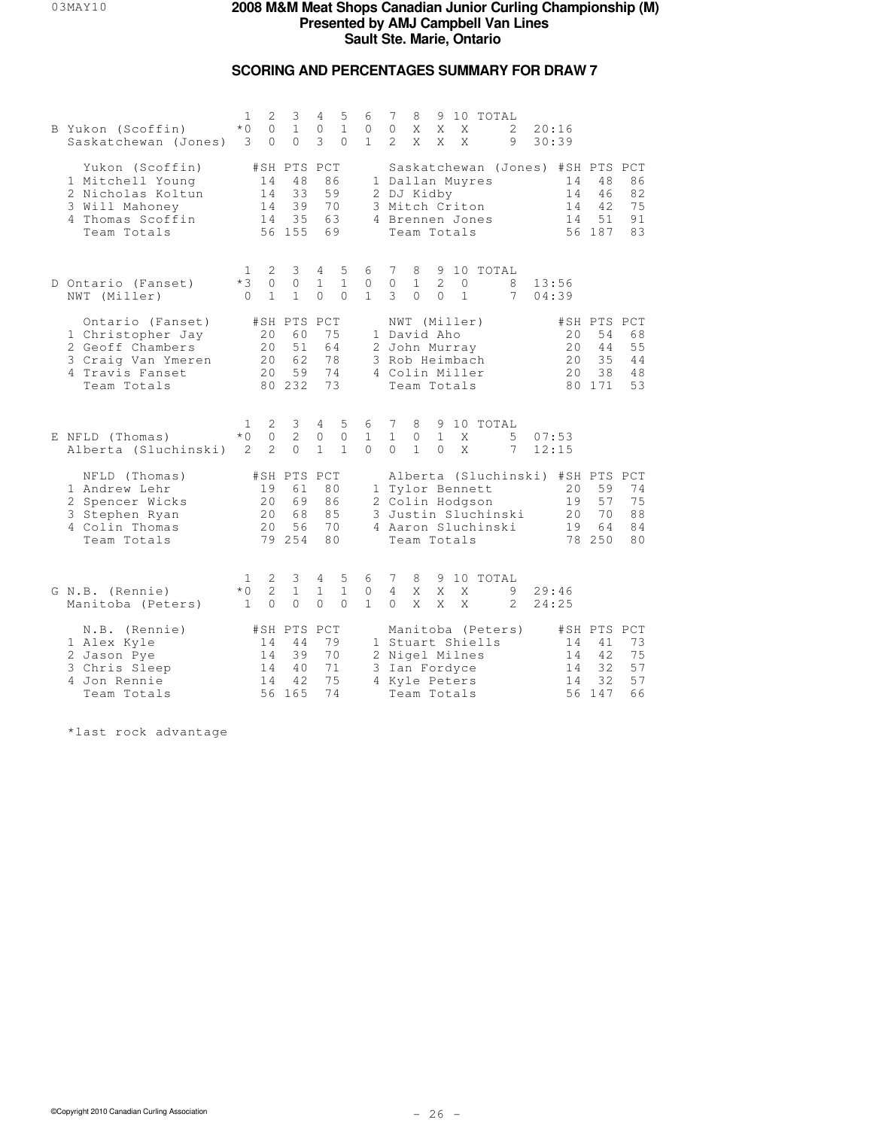## **SCORING AND PERCENTAGES SUMMARY FOR DRAW 7**

| B Yukon (Scoffin)<br>Saskatchewan (Jones)                                                                         | $\mathbf{1}$<br>$*$ 0<br>3 | 2<br>$\circ$<br>$\Omega$        | 3<br>$\mathbf{1}$<br>$\Omega$                 | 4<br>$\mathbb O$<br>3         | 5<br>$\mathbf{1}$<br>$\Omega$     | 6<br>0<br>$\mathbf{1}$            | 7<br>$\circ$<br>$\mathcal{L}$   | 8<br>X<br>X                                                                                     | X<br>X                     | X<br>$\mathsf{X}$        | 9 10 TOTAL                            | 2<br>9              | 20:16<br>30:39                                           |                                               |                            |
|-------------------------------------------------------------------------------------------------------------------|----------------------------|---------------------------------|-----------------------------------------------|-------------------------------|-----------------------------------|-----------------------------------|---------------------------------|-------------------------------------------------------------------------------------------------|----------------------------|--------------------------|---------------------------------------|---------------------|----------------------------------------------------------|-----------------------------------------------|----------------------------|
| Yukon (Scoffin)<br>1 Mitchell Young<br>2 Nicholas Koltun<br>3 Will Mahoney<br>4 Thomas Scoffin<br>Team Totals     |                            | 14<br>14<br>14<br>14            | #SH PTS PCT<br>48<br>33<br>39<br>35<br>56 155 | 86<br>59<br>70<br>63<br>69    |                                   |                                   |                                 | 1 Dallan Muyres<br>2 DJ Kidby<br>3 Mitch Criton<br>4 Brennen Jones<br>Team Totals               |                            |                          |                                       |                     | Saskatchewan (Jones) #SH PTS PCT<br>14<br>14<br>14<br>14 | 48<br>46<br>42<br>51<br>56 187                | 86<br>82<br>75<br>91<br>83 |
| D Ontario (Fanset)<br>NWT (Miller)                                                                                | 1<br>$*3$<br>$\Omega$      | 2<br>$\Omega$<br>$\mathbf{1}$   | 3<br>$\Omega$<br>$\mathbf{1}$                 | 4<br>$\mathbf{1}$<br>$\Omega$ | 5<br>$\mathbf{1}$<br>$\Omega$     | 6<br>$\mathbf{0}$<br>$\mathbf{1}$ | 7<br>$\Omega$<br>3              | 8<br>$\mathbf{1}$<br>$\Omega$                                                                   | $\mathcal{L}$<br>$\bigcap$ | $\Omega$<br>$\mathbf{1}$ | 9 10 TOTAL                            | 8<br>7              | 13:56<br>04:39                                           |                                               |                            |
| Ontario (Fanset)<br>1 Christopher Jay<br>2 Geoff Chambers<br>3 Craig Van Ymeren<br>4 Travis Fanset<br>Team Totals |                            | 20<br>20<br>20<br>20            | #SH PTS PCT<br>60<br>51<br>62<br>59<br>80 232 | 75<br>64<br>78<br>74<br>73    |                                   |                                   |                                 | NWT (Miller)<br>1 David Aho<br>2 John Murray<br>3 Rob Heimbach<br>4 Colin Miller<br>Team Totals |                            |                          |                                       |                     | 20<br>20<br>20<br>20                                     | #SH PTS PCT<br>54<br>44<br>35<br>38<br>80 171 | 68<br>55<br>44<br>48<br>53 |
| E NFLD (Thomas)<br>Alberta (Sluchinski)                                                                           | 1<br>$*$ $\cap$<br>2       | 2<br>$\circ$<br>$\mathcal{L}$   | 3<br>2<br>$\Omega$                            | 4<br>$\circ$<br>$\mathbf{1}$  | 5<br>$\mathbf{0}$<br>$\mathbf{1}$ | 6<br>$\mathbf{1}$<br>$\Omega$     | 7<br>$\mathbf{1}$<br>$\Omega$   | 8<br>$\circ$<br>$\mathbf{1}$                                                                    | $\mathbf{1}$<br>$\Omega$   | X<br>$\mathsf{X}$        | 9 10 TOTAL                            | 5<br>7              | 07:53<br>12:15                                           |                                               |                            |
| NFLD (Thomas)<br>1 Andrew Lehr<br>2 Spencer Wicks<br>3 Stephen Ryan<br>4 Colin Thomas<br>Team Totals              |                            | 19<br>20<br>20<br>2.0           | #SH PTS PCT<br>61<br>69<br>68<br>56<br>79 254 | 80<br>86<br>85<br>70<br>80    |                                   |                                   |                                 | 2 Colin Hodgson<br>Team Totals                                                                  |                            |                          | 1 Tylor Bennett<br>4 Aaron Sluchinski | 3 Justin Sluchinski | Alberta (Sluchinski) #SH PTS PCT<br>20<br>19<br>20<br>19 | 59<br>57<br>70<br>64<br>78 250                | 74<br>75<br>88<br>84<br>80 |
| G N.B. (Rennie)<br>Manitoba (Peters)                                                                              | 1<br>$*0$<br>$\mathbf{1}$  | 2<br>$\overline{2}$<br>$\Omega$ | 3<br>$\mathbf{1}$<br>$\Omega$                 | 4<br>$\mathbf{1}$<br>$\Omega$ | 5<br>$\mathbf{1}$<br>$\Omega$     | 6<br>$\circ$<br>$\mathbf{1}$      | 7<br>$\overline{4}$<br>$\Omega$ | 8<br>X<br>X                                                                                     | 9<br>X<br>X                | X<br>$\mathsf{X}$        | 10 TOTAL                              | 9<br>2              | 29:46<br>24:25                                           |                                               |                            |
| N.B. (Rennie)<br>1 Alex Kyle<br>2 Jason Pye<br>3 Chris Sleep<br>4 Jon Rennie<br>Team Totals                       |                            | 14<br>14<br>14<br>14            | #SH PTS PCT<br>44<br>39<br>40<br>42<br>56 165 | 79<br>70<br>71<br>75<br>74    |                                   |                                   |                                 | 2 Nigel Milnes<br>3 Ian Fordyce<br>4 Kyle Peters<br>Team Totals                                 |                            |                          | 1 Stuart Shiells                      | Manitoba (Peters)   | 14<br>14<br>14<br>14                                     | #SH PTS PCT<br>41<br>42<br>32<br>32<br>56 147 | 73<br>75<br>57<br>57<br>66 |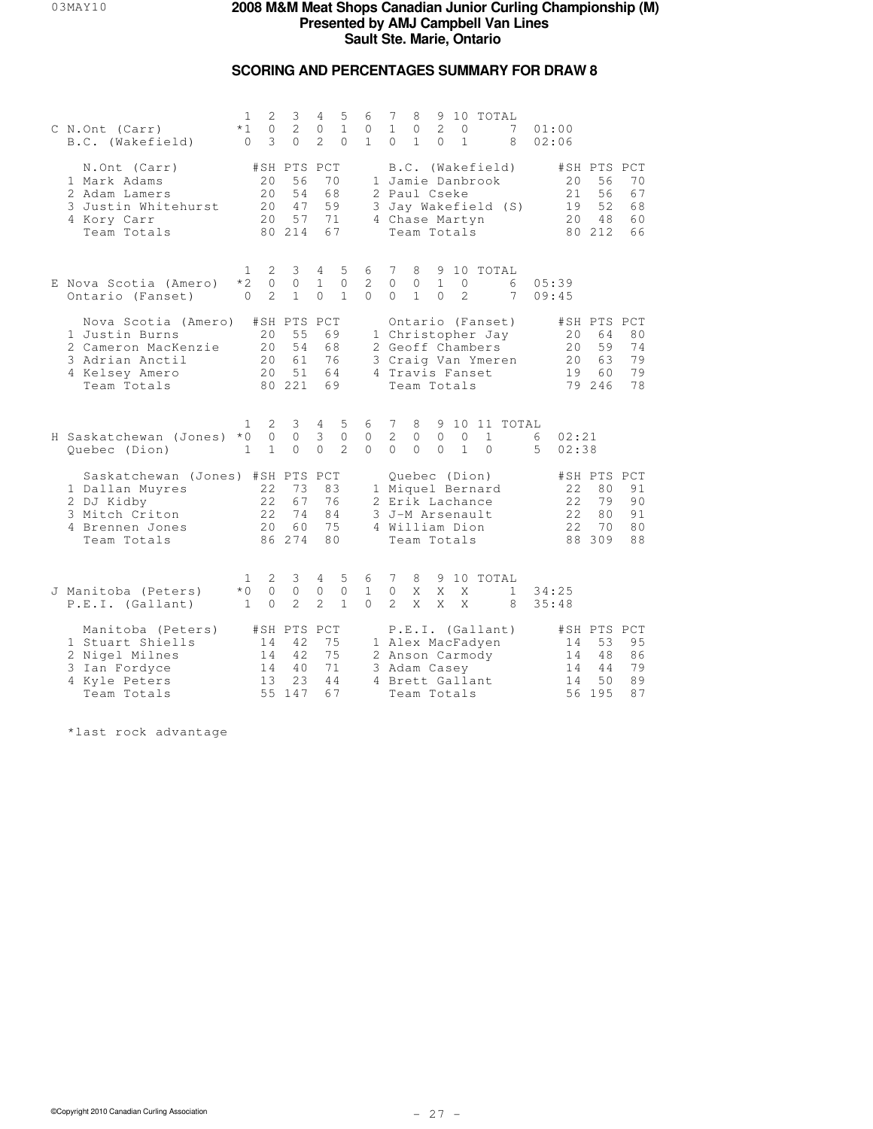## **SCORING AND PERCENTAGES SUMMARY FOR DRAW 8**

| C N.Ont (Carr)<br>B.C. (Wakefield)                                                                                    | 1<br>$*1$<br>$\Omega$            | 2<br>3<br>2<br>$\circ$<br>3<br>$\Omega$                                | 4<br>$\circ$<br>$\mathfrak{D}$ | 5<br>$\mathbf{1}$<br>$\Omega$     | 6<br>0<br>$\mathbf{1}$        | 7<br>$\mathbf{1}$<br>$\Omega$                        | 8<br>0<br>$\mathbf{1}$       | 2<br>$\Omega$            | 0<br>$\mathbf{1}$        | 9 10 TOTAL                                                                      | 7<br>8              | 01:00<br>02:06 |                        |                                               |                            |
|-----------------------------------------------------------------------------------------------------------------------|----------------------------------|------------------------------------------------------------------------|--------------------------------|-----------------------------------|-------------------------------|------------------------------------------------------|------------------------------|--------------------------|--------------------------|---------------------------------------------------------------------------------|---------------------|----------------|------------------------|-----------------------------------------------|----------------------------|
| N.Ont (Carr)<br>1 Mark Adams<br>2 Adam Lamers<br>3 Justin Whitehurst<br>4 Kory Carr<br>Team Totals                    |                                  | #SH PTS PCT<br>56<br>20<br>20<br>54<br>20<br>47<br>2.0<br>57<br>80 214 | 70<br>68<br>59<br>71<br>67     |                                   |                               | 2 Paul Cseke<br>4 Chase Martyn                       | Team Totals                  |                          |                          | B.C. (Wakefield)<br>1 Jamie Danbrook                                            | 3 Jay Wakefield (S) |                | 20<br>21<br>19<br>20   | #SH PTS PCT<br>56<br>56<br>52<br>48<br>80 212 | 70<br>67<br>68<br>60<br>66 |
| E Nova Scotia (Amero)<br>Ontario (Fanset)                                                                             | $\mathbf{1}$<br>$*2$<br>$\Omega$ | 2<br>3<br>$\circ$<br>$\circ$<br>$\mathfrak{D}$<br>$\mathbf{1}$         | 4<br>$\mathbf{1}$<br>$\Omega$  | 5<br>$\mathbf{0}$<br>$\mathbf{1}$ | 6<br>2<br>$\Omega$            | 7<br>$\Omega$<br>$\Omega$                            | 8<br>$\circ$<br>$\mathbf{1}$ | $\mathbf{1}$<br>$\Omega$ | $\circ$<br>$\mathcal{L}$ | 9 10 TOTAL                                                                      | 6<br>7              | 05:39<br>09:45 |                        |                                               |                            |
| Nova Scotia (Amero)<br>1 Justin Burns<br>2 Cameron MacKenzie<br>3 Adrian Anctil<br>4 Kelsey Amero<br>Team Totals      |                                  | #SH PTS PCT<br>55<br>20<br>20<br>54<br>20<br>61<br>20<br>51<br>80 221  | 69<br>68<br>76<br>64<br>69     |                                   |                               | 4 Travis Fanset                                      | Team Totals                  |                          |                          | Ontario (Fanset)<br>1 Christopher Jay<br>2 Geoff Chambers<br>3 Craig Van Ymeren |                     |                | 20<br>20<br>20<br>19   | #SH PTS PCT<br>64<br>59<br>63<br>60<br>79 246 | 80<br>74<br>79<br>79<br>78 |
| H Saskatchewan (Jones)<br>Quebec (Dion)                                                                               | 1.<br>$*0$<br>$\mathbf{1}$       | 2<br>3<br>$\circ$<br>0<br>$\mathbf{1}$<br>$\Omega$                     | 4<br>3<br>$\Omega$             | 5<br>$\circ$<br>$\overline{2}$    | 6<br>0<br>$\Omega$            | 7<br>2<br>$\Omega$                                   | 8<br>0<br>$\Omega$           | $\circ$<br>$\Omega$      | $\circ$<br>$\mathbf{1}$  | $\mathbf{1}$<br>$\Omega$                                                        | 9 10 11 TOTAL       | 6<br>5.        | 02:21<br>02:38         |                                               |                            |
| Saskatchewan (Jones) #SH PTS PCT<br>1 Dallan Muyres<br>2 DJ Kidby<br>3 Mitch Criton<br>4 Brennen Jones<br>Team Totals |                                  | 22<br>73<br>22<br>67<br>2.2.<br>74<br>20 <sub>o</sub><br>60<br>86 274  | 83<br>76<br>84<br>75<br>80     |                                   |                               | 2 Erik Lachance<br>3 J-M Arsenault<br>4 William Dion | Quebec (Dion)<br>Team Totals |                          |                          | 1 Miquel Bernard                                                                |                     |                | 22<br>22<br>2.2.<br>22 | #SH PTS PCT<br>80<br>79<br>80<br>70<br>88 309 | 91<br>90<br>91<br>80<br>88 |
| J Manitoba (Peters)<br>P.E.I. (Gallant)                                                                               | 1<br>$*0$<br>$\mathbf{1}$        | 2<br>3<br>$\circ$<br>$\circ$<br>2<br>$\Omega$                          | 4<br>0<br>$\overline{2}$       | 5<br>$\circ$<br>$\mathbf{1}$      | 6<br>$\mathbf{1}$<br>$\Omega$ | 7<br>$\circ$<br>$\mathcal{L}$                        | 8<br>X<br>X                  | X<br>X                   | X<br>X                   | 9 10 TOTAL                                                                      | $\mathbf{1}$<br>8   | 34:25<br>35:48 |                        |                                               |                            |
| Manitoba (Peters)<br>1 Stuart Shiells<br>2 Nigel Milnes<br>3 Ian Fordyce<br>4 Kyle Peters<br>Team Totals              |                                  | #SH PTS PCT<br>42<br>14<br>14<br>42<br>14<br>40<br>23<br>13<br>55 147  | 75<br>75<br>71<br>44<br>67     |                                   |                               | 3 Adam Casey<br>4 Brett Gallant                      | Team Totals                  |                          |                          | P.E.I. (Gallant)<br>1 Alex MacFadyen<br>2 Anson Carmody                         |                     |                | 14<br>14<br>14<br>14   | #SH PTS PCT<br>53<br>48<br>44<br>50<br>56 195 | 95<br>86<br>79<br>89<br>87 |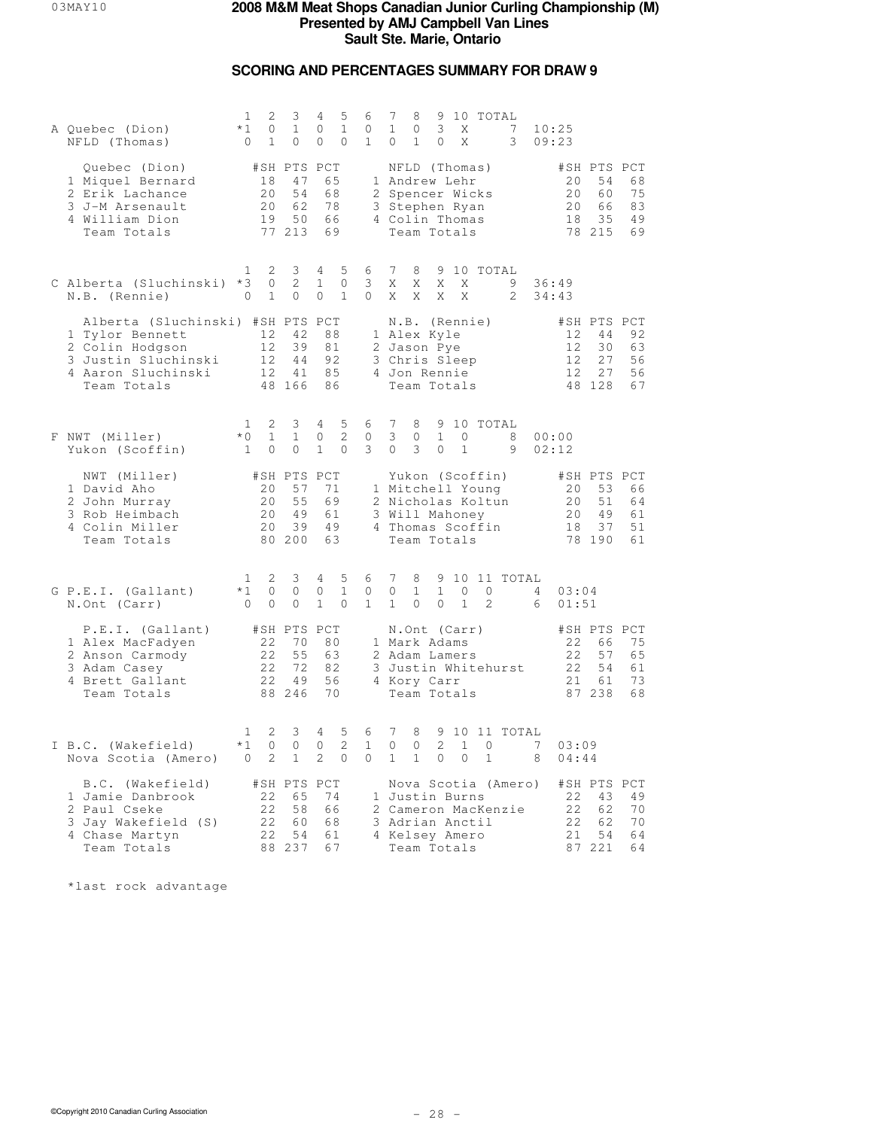## **SCORING AND PERCENTAGES SUMMARY FOR DRAW 9**

| A Quebec (Dion)<br>NFLD (Thomas)                                                                                                   | 1<br>$*1$<br>$\circ$                 | 2<br>$\circ$<br>$\mathbf{1}$ | 3<br>$\mathbf{1}$<br>0                        | 4<br>0<br>0                          | 5<br>$\mathbf{1}$<br>$\mathbf{0}$   | 6<br>0<br>$\mathbf{1}$       | 7<br>$\mathbf{1}$<br>$\circ$               | 8<br>$\circ$<br>$\mathbf{1}$ | 3<br>0                                                                                      | Χ<br>X            | 9 10 TOTAL                                                                   | 7<br>$\mathcal{E}$                         | 10:25<br>09:23      |                      |                                               |                            |
|------------------------------------------------------------------------------------------------------------------------------------|--------------------------------------|------------------------------|-----------------------------------------------|--------------------------------------|-------------------------------------|------------------------------|--------------------------------------------|------------------------------|---------------------------------------------------------------------------------------------|-------------------|------------------------------------------------------------------------------|--------------------------------------------|---------------------|----------------------|-----------------------------------------------|----------------------------|
| Quebec (Dion)<br>1 Miquel Bernard<br>2 Erik Lachance<br>3 J-M Arsenault<br>4 William Dion<br>Team Totals                           |                                      | 18<br>20<br>20<br>19         | #SH PTS PCT<br>47<br>54<br>62<br>50<br>77 213 |                                      | 65<br>68<br>78<br>66<br>69          |                              |                                            |                              | NFLD (Thomas)<br>1 Andrew Lehr<br>3 Stephen Ryan<br>4 Colin Thomas<br>Team Totals           |                   | 2 Spencer Wicks                                                              |                                            |                     | 20<br>20<br>20<br>18 | #SH PTS PCT<br>54<br>60<br>66<br>35<br>78 215 | 68<br>75<br>83<br>49<br>69 |
| C Alberta (Sluchinski) *3<br>N.B. (Rennie)                                                                                         | ı<br>$\mathbf{0}$                    | 2<br>$\circ$<br>$\mathbf{1}$ | 3<br>$\mathbf{2}^{\prime}$<br>0               | $4 -$<br>$\mathbf{1}$<br>0           | 5<br>$\circ$<br>$\mathbf{1}$        | 6<br>3<br>$\circ$            | $7\phantom{.0}$<br>X<br>X                  | 8<br>X<br>X                  | X<br>X                                                                                      | X<br>X            | 9 10 TOTAL                                                                   | 9<br>2                                     | 36:49<br>34:43      |                      |                                               |                            |
| Alberta (Sluchinski) #SH PTS PCT<br>1 Tylor Bennett<br>2 Colin Hodgson<br>3 Justin Sluchinski<br>4 Aaron Sluchinski<br>Team Totals |                                      | 12<br>12<br>12<br>12         | 42<br>39<br>44<br>41<br>48 166                |                                      | 88<br>81<br>92<br>85<br>86          |                              |                                            |                              | N.B. (Rennie)<br>1 Alex Kyle<br>2 Jason Pye<br>3 Chris Sleep<br>4 Jon Rennie<br>Team Totals |                   |                                                                              |                                            |                     | 12<br>12<br>12<br>12 | #SH PTS PCT<br>44<br>30<br>27<br>27<br>48 128 | 92<br>63<br>56<br>56<br>67 |
| F NWT (Miller)<br>Yukon (Scoffin)                                                                                                  | $\mathbf{1}$<br>$*0$<br>$\mathbf{1}$ | 2<br>$\mathbf{1}$<br>$\circ$ | 3<br>$\mathbf{1}$<br>$\circ$                  | $4\phantom{0}$<br>0<br>$\mathbf{1}$  | 5<br>$\overline{c}$<br>$\mathbf{0}$ | 6<br>0<br>3                  | $7\phantom{.0}$<br>3<br>$\circ$            | 8<br>0<br>3                  | $\mathbf{1}$<br>0                                                                           | 0<br>$\mathbf{1}$ | 9 10 TOTAL                                                                   | 8<br>9                                     | 00:00<br>02:12      |                      |                                               |                            |
| NWT (Miller)<br>1 David Aho<br>2 John Murray<br>3 Rob Heimbach<br>4 Colin Miller<br>Team Totals                                    |                                      | 20<br>20<br>20<br>20         | #SH PTS PCT<br>57<br>55<br>49<br>39<br>80 200 |                                      | 71<br>69<br>61<br>49<br>63          |                              |                                            |                              | 3 Will Mahoney<br>Team Totals                                                               |                   | Yukon (Scoffin)<br>1 Mitchell Young<br>2 Nicholas Koltun<br>4 Thomas Scoffin |                                            |                     | 20<br>20<br>20<br>18 | #SH PTS PCT<br>53<br>51<br>49<br>37<br>78 190 | 66<br>64<br>61<br>51<br>61 |
| G P.E.I. (Gallant)<br>N.Ont (Carr)                                                                                                 | $\mathbf{1}$<br>$*1$<br>$\circ$      | 2<br>0<br>$\circ$            | 3<br>0<br>0                                   | $4\overline{ }$<br>0<br>$\mathbf{1}$ | 5<br>$\mathbf{1}$<br>$\mathbf{0}$   | 6<br>0<br>$\mathbf{1}$       | $7\phantom{.0}$<br>0<br>$\mathbf{1}$       | 8<br>$\mathbf{1}$<br>$\circ$ | $\mathbf{1}$<br>0                                                                           | 0<br>$\mathbf{1}$ | 0<br>2                                                                       | 9 10 11 TOTAL                              | $4\phantom{0}$<br>6 | 03:04<br>01:51       |                                               |                            |
| P.E.I. (Gallant)<br>1 Alex MacFadyen<br>2 Anson Carmody<br>3 Adam Casey<br>4 Brett Gallant<br>Team Totals                          |                                      | 22<br>22<br>22<br>22         | #SH PTS PCT<br>70<br>55<br>72<br>49<br>88 246 |                                      | 80<br>63<br>82<br>56<br>70          |                              |                                            |                              | N.Ont (Carr)<br>1 Mark Adams<br>2 Adam Lamers<br>4 Kory Carr<br>Team Totals                 |                   |                                                                              | 3 Justin Whitehurst                        |                     | 22<br>22<br>22<br>21 | #SH PTS PCT<br>66<br>57<br>54<br>61<br>87 238 | 75<br>65<br>61<br>73<br>68 |
| I B.C. (Wakefield)<br>Nova Scotia (Amero)                                                                                          | 1<br>$*1$<br>$\overline{0}$          | 2<br>0<br>2                  | 3<br>0<br>$\mathbf{1}$                        | 4<br>0<br>2                          | 5<br>2<br>$\mathbf{0}$              | 6<br>$\mathbf{1}$<br>$\circ$ | $7\phantom{.0}$<br>$\circ$<br>$\mathbf{1}$ | 8<br>0<br>$\mathbf{1}$       | 2<br>0                                                                                      | $\mathbf{1}$<br>0 | $\circ$<br>$\mathbf{1}$                                                      | 9 10 11 TOTAL                              | 7<br>8              | 03:09<br>04:44       |                                               |                            |
| B.C. (Wakefield)<br>1 Jamie Danbrook<br>2 Paul Cseke<br>3 Jay Wakefield (S)<br>4 Chase Martyn<br>Team Totals                       |                                      | 22<br>22<br>22<br>22         | #SH PTS PCT<br>65<br>58<br>60<br>54<br>88 237 | 74                                   | 66<br>68<br>61<br>67                |                              |                                            |                              | 1 Justin Burns<br>4 Kelsey Amero<br>Team Totals                                             |                   | 3 Adrian Anctil                                                              | Nova Scotia (Amero)<br>2 Cameron MacKenzie |                     | 22<br>22<br>22<br>21 | #SH PTS PCT<br>43<br>62<br>62<br>54<br>87 221 | 49<br>70<br>70<br>64<br>64 |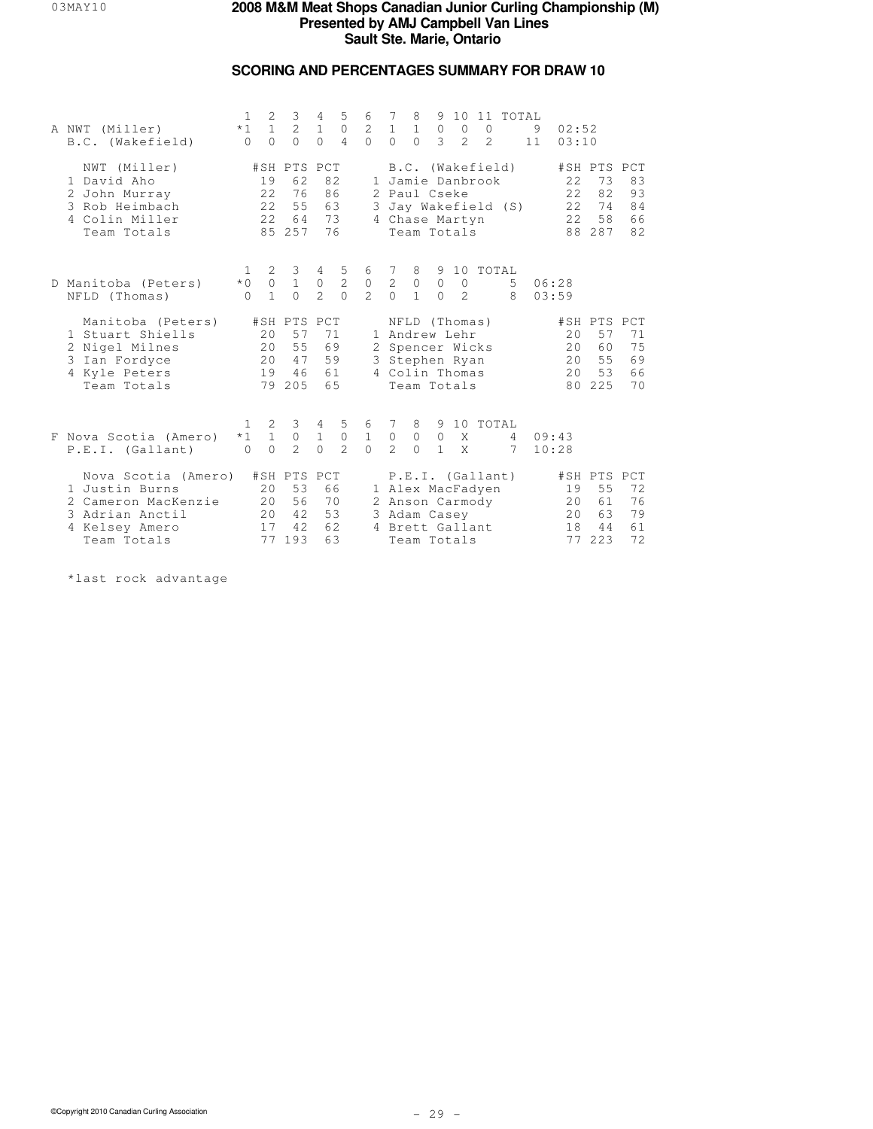## **SCORING AND PERCENTAGES SUMMARY FOR DRAW 10**

| A NWT (Miller)<br>B.C. (Wakefield)                                                                               | $\mathbf{1}$<br>$*1$<br>$\Omega$  | 2<br>$\mathbf{1}$<br>$\bigcap$    | 3<br>2<br>$\Omega$                                  | 4<br>$1\,$<br>$\Omega$                      | 5<br>$\mathbb O$<br>$\overline{4}$             | 6<br>$\overline{a}$<br>$\cap$      | -7<br>$\mathbf{1}$<br>$\cap$                   | 8<br>$\,1\,$<br>$\Omega$                                                                             | 9<br>$\circ$<br>3       | 10<br>$\overline{0}$<br>$\mathfrak{D}$ | 11<br>$\overline{0}$<br>$\mathfrak{D}$ | TOTAL                                 | 9<br>11 | 02:52<br>03:10             |                                               |                                   |
|------------------------------------------------------------------------------------------------------------------|-----------------------------------|-----------------------------------|-----------------------------------------------------|---------------------------------------------|------------------------------------------------|------------------------------------|------------------------------------------------|------------------------------------------------------------------------------------------------------|-------------------------|----------------------------------------|----------------------------------------|---------------------------------------|---------|----------------------------|-----------------------------------------------|-----------------------------------|
| NWT (Miller)<br>1 David Aho<br>2 John Murray<br>3 Rob Heimbach<br>4 Colin Miller<br>Team Totals                  |                                   | 19<br>22<br>22<br>2.2             | #SH PTS PCT<br>62<br>76<br>55<br>64<br>85 257       |                                             | 82<br>86<br>63<br>73<br>76                     |                                    |                                                | 1 Jamie Danbrook<br>2 Paul Cseke<br>4 Chase Martyn<br>Team Totals                                    |                         |                                        |                                        | B.C. (Wakefield)<br>Jay Wakefield (S) |         | 22<br>22<br>22<br>2.2.     | #SH PTS PCT<br>73<br>82<br>74<br>58<br>88 287 | 83<br>93<br>84<br>66<br>82        |
| D Manitoba (Peters)<br>NFLD (Thomas)                                                                             | $\mathbf{1}$<br>$*0$<br>$\bigcap$ | 2<br>$\circ$<br>$\mathbf{1}$      | 3<br>$\mathbf{1}$<br>$\bigcap$                      | $4\overline{ }$<br>$\circ$<br>$\mathcal{L}$ | 5<br>$\overline{c}$<br>$\Omega$                | 6<br>$\mathbb O$<br>$\overline{2}$ | 7<br>$\sqrt{2}$<br>$\Omega$                    | 8<br>$\circ$<br>$\mathbf{1}$                                                                         | $\circ$<br>$\Omega$     | $\overline{0}$<br>$\mathfrak{D}$       |                                        | 9 10 TOTAL<br>5<br>8                  |         | 06:28<br>0.3:59            |                                               |                                   |
| Manitoba (Peters)<br>1 Stuart Shiells<br>2 Nigel Milnes<br>3 Ian Fordyce<br>4 Kyle Peters<br>Team Totals         |                                   | 20<br>20 <sub>o</sub><br>20<br>19 | #SH PTS PCT<br>57<br>55<br>47<br>46<br>79 205       |                                             | 71<br>69<br>59<br>61<br>65                     |                                    |                                                | NFLD (Thomas)<br>1 Andrew Lehr<br>2 Spencer Wicks<br>3 Stephen Ryan<br>4 Colin Thomas<br>Team Totals |                         |                                        |                                        |                                       |         | 2.0<br>20<br>20<br>20      | #SH PTS<br>57<br>60<br>55<br>53<br>80 225     | PCT<br>71<br>75<br>69<br>66<br>70 |
| F Nova Scotia (Amero)<br>P.E.I. (Gallant)                                                                        | 1<br>$*1$<br>$\bigcap$            | $\mathbf{2}$<br>$1\,$<br>$\cap$   | $3 \quad 4$<br>$\mathsf{O}\xspace$<br>$\mathcal{L}$ | $\,1$<br>$\Omega$                           | 5 <sub>5</sub><br>$\mathbb O$<br>$\mathcal{L}$ | 6<br>$\,1$<br>$\cap$               | $\overline{7}$<br>$\mathbb O$<br>$\mathcal{L}$ | 8<br>$\circ$<br>$\Omega$                                                                             | $\circ$<br>$\mathbf{1}$ | X<br>$\mathsf{X}$                      |                                        | 9 10 TOTAL<br>$4^{\circ}$<br>7        |         | 09:43<br>10:28             |                                               |                                   |
| Nova Scotia (Amero)<br>1 Justin Burns<br>2 Cameron MacKenzie<br>3 Adrian Anctil<br>4 Kelsey Amero<br>Team Totals |                                   | 20<br>20<br>20<br>17<br>77        | #SH PTS PCT<br>53<br>56<br>42<br>42.<br>193         |                                             | 66<br>70<br>53<br>62<br>63                     |                                    |                                                | 1 Alex MacFadyen<br>2 Anson Carmody<br>3 Adam Casey<br>4 Brett Gallant<br>Team Totals                |                         |                                        |                                        | P.E.I. (Gallant)                      |         | 19<br>20<br>20<br>18<br>77 | #SH PTS PCT<br>55<br>61<br>63<br>44<br>223    | 72<br>76<br>79<br>61<br>72        |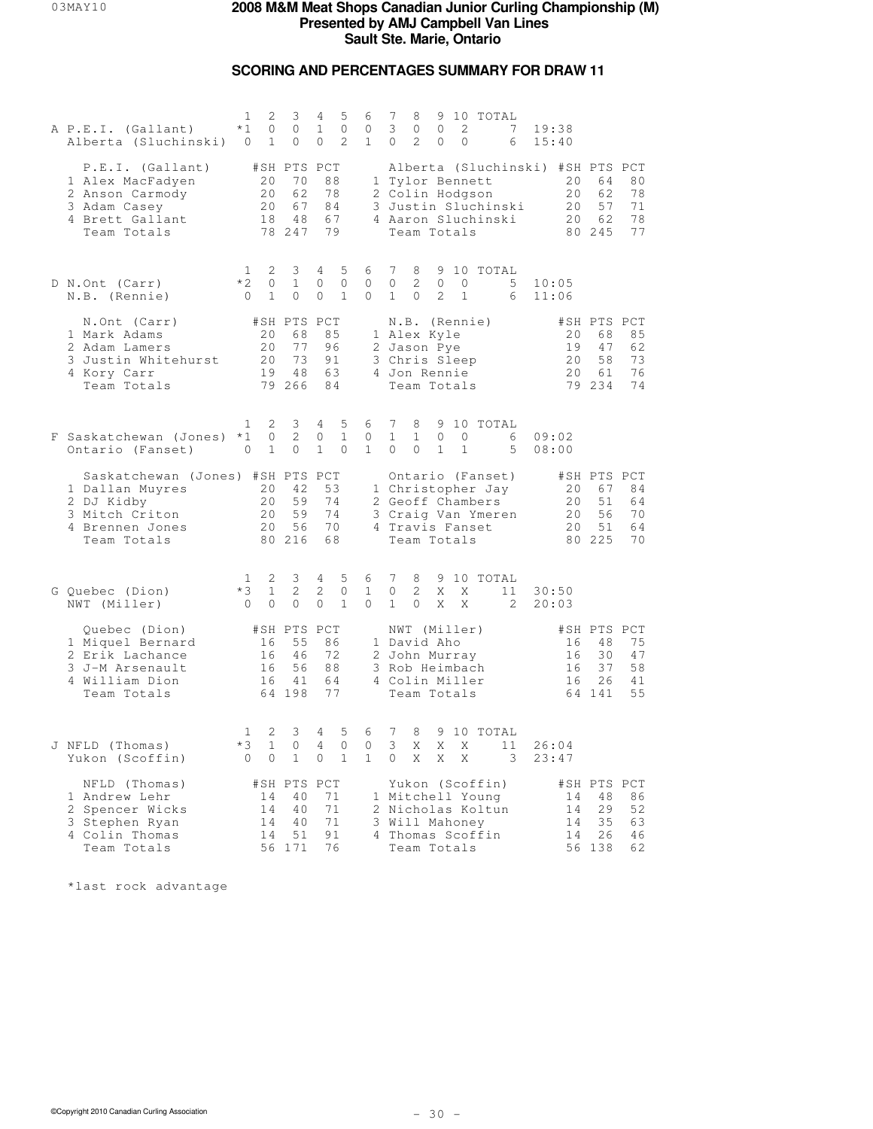## **SCORING AND PERCENTAGES SUMMARY FOR DRAW 11**

| A P.E.I. (Gallant)<br>Alberta (Sluchinski)                                                                            | 1<br>2<br>$*1$<br>0<br>$\mathbf{1}$<br>0                            | 3<br>$\circ$<br>0                             | 5<br>4<br>$\mathbf{1}$<br>$\mathbf{0}$<br>2<br>$\circ$            | 6<br>$\mathbf{0}$<br>$\mathbf{1}$ | 7<br>10 TOTAL<br>8<br>9<br>3<br>2<br>7<br>$\mathbf{0}$<br>$\circ$<br>$\overline{2}$<br>0<br>$\mathbf{0}$<br>$\circ$<br>6                       | 19:38<br>15:40                                                                                      |
|-----------------------------------------------------------------------------------------------------------------------|---------------------------------------------------------------------|-----------------------------------------------|-------------------------------------------------------------------|-----------------------------------|------------------------------------------------------------------------------------------------------------------------------------------------|-----------------------------------------------------------------------------------------------------|
| P.E.I. (Gallant)<br>1 Alex MacFadyen<br>2 Anson Carmody<br>3 Adam Casey<br>4 Brett Gallant<br>Team Totals             | 20<br>20<br>20<br>18                                                | #SH PTS PCT<br>70<br>62<br>67<br>48<br>78 247 | 88<br>78<br>84<br>67<br>79                                        |                                   | Alberta (Sluchinski) #SH PTS PCT<br>1 Tylor Bennett<br>2 Colin Hodgson<br>3 Justin Sluchinski<br>4 Aaron Sluchinski<br>Team Totals             | 20<br>64<br>80<br>20<br>62<br>78<br>57<br>20<br>71<br>20<br>62<br>78<br>77<br>80 245                |
| D N.Ont (Carr)<br>N.B. (Rennie)                                                                                       | 2<br>1<br>$*2$<br>0<br>$\mathbf{1}$<br>$\overline{0}$               | 3<br>$\mathbf{1}$<br>0                        | 5<br>4<br>0<br>0<br>$\mathbf{1}$<br>0                             | 6<br>0<br>0                       | 7<br>9 10 TOTAL<br>8<br>$\mathbf{2}^{\prime}$<br>0<br>0<br>$\circ$<br>5<br>2<br>$\mathbf{1}$<br>$\mathbf{0}$<br>$\mathbf{1}$<br>6              | 10:05<br>11:06                                                                                      |
| N.Ont (Carr)<br>1 Mark Adams<br>2 Adam Lamers<br>3 Justin Whitehurst<br>4 Kory Carr<br>Team Totals                    | 20<br>20<br>20<br>19                                                | #SH PTS PCT<br>68<br>77<br>73<br>48<br>79 266 | 85<br>96<br>91<br>63<br>84                                        |                                   | N.B. (Rennie)<br>1 Alex Kyle<br>2 Jason Pye<br>3 Chris Sleep<br>4 Jon Rennie<br>Team Totals                                                    | #SH PTS PCT<br>20<br>68<br>85<br>19<br>47<br>62<br>58<br>20<br>73<br>20<br>76<br>61<br>79 234<br>74 |
| F Saskatchewan (Jones) *1<br>Ontario (Fanset)                                                                         | 2<br>1<br>0<br>$\mathbf{1}$<br>0                                    | 3<br>2<br>0                                   | 5<br>4<br>$\mathbf{1}$<br>$\circ$<br>$\mathbf{1}$<br>$\mathbf{0}$ | 6<br>$\circ$<br>$\mathbf{1}$      | 7<br>8<br>9 10 TOTAL<br>$\mathbf{1}$<br>$\mathbf{1}$<br>$\mathbf{0}$<br>$\mathbf{0}$<br>6<br>$\mathbf{0}$<br>$\circ$<br>$\mathbf{1}$<br>1<br>5 | 09:02<br>08:00                                                                                      |
| Saskatchewan (Jones) #SH PTS PCT<br>1 Dallan Muyres<br>2 DJ Kidby<br>3 Mitch Criton<br>4 Brennen Jones<br>Team Totals | 20<br>20<br>20<br>20                                                | 42<br>59<br>59<br>56<br>80 216                | 53<br>74<br>74<br>70<br>68                                        |                                   | Ontario (Fanset)<br>1 Christopher Jay<br>2 Geoff Chambers<br>3 Craig Van Ymeren<br>4 Travis Fanset<br>Team Totals                              | #SH PTS PCT<br>67<br>84<br>20<br>51<br>20<br>64<br>20<br>56<br>70<br>51<br>20<br>64<br>80 225<br>70 |
| G Quebec (Dion)<br>NWT (Miller)                                                                                       | 2<br>$\mathbf{1}$<br>$*3$<br>$\mathbf{1}$<br>$\bigcirc$<br>$\Omega$ | 3<br>2<br>$\Omega$                            | 5<br>4<br>2<br>0<br>$\Omega$<br>$\mathbf{1}$                      | 6<br>$\mathbf{1}$<br>$\Omega$     | 7<br>8<br>9 10 TOTAL<br>$\mathbf{2}^{\prime}$<br>$\circ$<br>X<br>X<br>11<br>$\mathbf{1}$<br>0<br>X<br>X<br>$\overline{2}$                      | 30:50<br>20:03                                                                                      |
| Quebec (Dion)<br>1 Miquel Bernard<br>2 Erik Lachance<br>3 J-M Arsenault<br>4 William Dion<br>Team Totals              | 16<br>16<br>16<br>16                                                | #SH PTS PCT<br>55<br>46<br>56<br>41<br>64 198 | 86<br>72<br>88<br>64<br>77                                        |                                   | NWT (Miller)<br>1 David Aho<br>2 John Murray<br>3 Rob Heimbach<br>4 Colin Miller<br>Team Totals                                                | #SH PTS PCT<br>75<br>16<br>48<br>30<br>47<br>16<br>37<br>58<br>16<br>16<br>26<br>41<br>64 141<br>55 |
| J NFLD (Thomas)<br>Yukon (Scoffin)                                                                                    | 2<br>1<br>$*3$<br>$\mathbf{1}$<br>$\overline{0}$<br>0               | 3<br>0<br>$\mathbf{1}$                        | 4<br>5<br>$\overline{4}$<br>$\Omega$<br>0<br>$\mathbf{1}$         | 6<br>0<br>$\mathbf{1}$            | 7<br>8<br>9 10 TOTAL<br>3<br>Χ<br>Χ<br>Χ<br>11<br>$\circ$<br>X<br>X<br>X<br>$\overline{\phantom{a}}$                                           | 26:04<br>23:47                                                                                      |
| NFLD (Thomas)<br>1 Andrew Lehr<br>2 Spencer Wicks<br>3 Stephen Ryan<br>4 Colin Thomas<br>Team Totals                  | #SH PTS PCT<br>14<br>14<br>14<br>14                                 | 40<br>40<br>40<br>51<br>56 171                | 71<br>71<br>71<br>91<br>76                                        |                                   | Yukon (Scoffin)<br>1 Mitchell Young<br>2 Nicholas Koltun<br>3 Will Mahoney<br>4 Thomas Scoffin<br>Team Totals                                  | #SH PTS PCT<br>86<br>14<br>48<br>52<br>14<br>29<br>14<br>35<br>63<br>14<br>26<br>46<br>56 138<br>62 |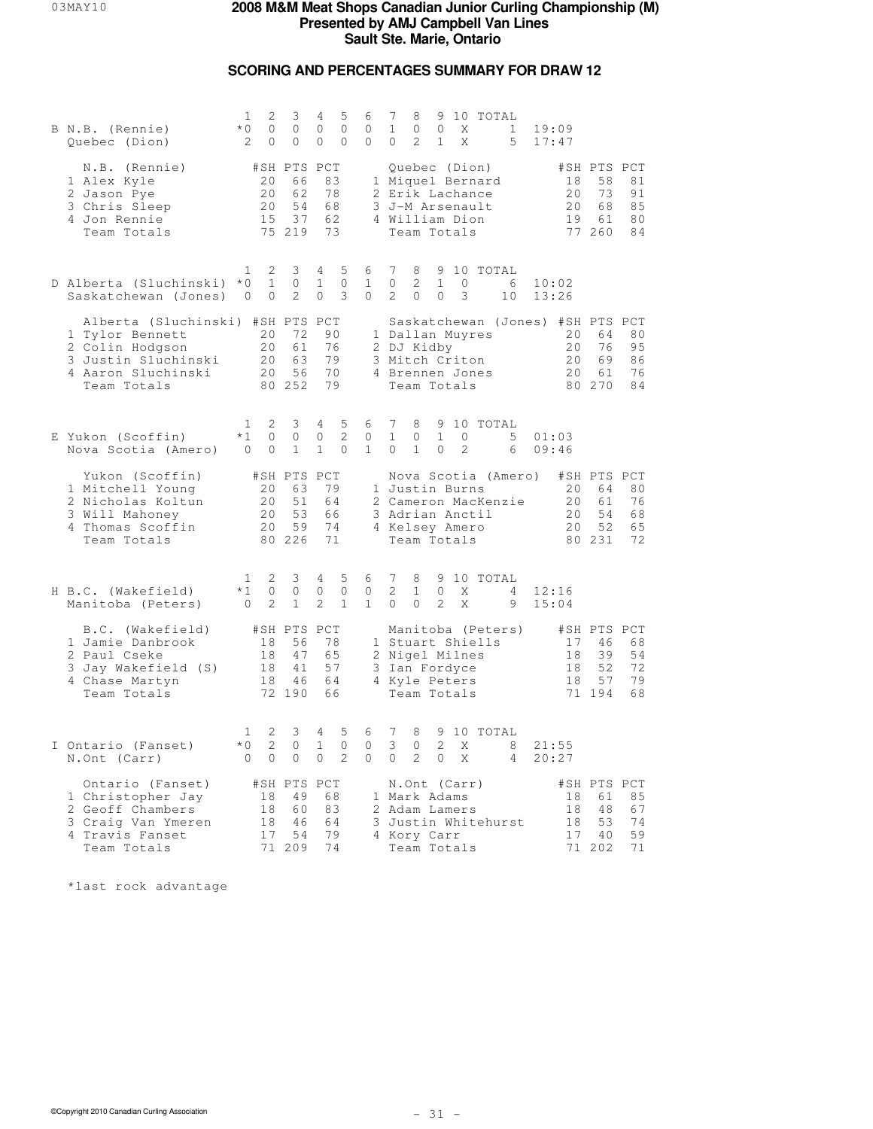## **SCORING AND PERCENTAGES SUMMARY FOR DRAW 12**

| B N.B. (Rennie)<br>Quebec (Dion)                                                                                                   | 1<br>2<br>$*0$<br>$\circ$<br>2<br>0                          | 3<br>$\circ$<br>0                             | 4<br>5<br>$\circ$<br>$\circ$<br>0<br>0                         | 6<br>$\circ$<br>$\mathbf{0}$      | 9 10 TOTAL<br>7<br>8<br>$\mathbf{1}$<br>$\circ$<br>$\circ$<br>X<br>$\mathbf{1}$<br>19:09<br>2<br>5<br>$\mathbf{1}$<br>X<br>17:47<br>0                                                                                   |
|------------------------------------------------------------------------------------------------------------------------------------|--------------------------------------------------------------|-----------------------------------------------|----------------------------------------------------------------|-----------------------------------|-------------------------------------------------------------------------------------------------------------------------------------------------------------------------------------------------------------------------|
| N.B. (Rennie)<br>1 Alex Kyle<br>2 Jason Pye<br>3 Chris Sleep<br>4 Jon Rennie<br>Team Totals                                        | 20<br>20<br>20<br>15                                         | #SH PTS PCT<br>66<br>62<br>54<br>37<br>75 219 | 83<br>78<br>68<br>62<br>73                                     |                                   | Quebec (Dion)<br>#SH PTS PCT<br>1 Miquel Bernard<br>81<br>18<br>58<br>2 Erik Lachance<br>20<br>73<br>91<br>3 J-M Arsenault<br>20<br>68<br>85<br>4 William Dion<br>19<br>61<br>80<br>77 260<br>84<br>Team Totals         |
| D Alberta (Sluchinski)<br>Saskatchewan (Jones)                                                                                     | 2<br>1<br>$*0$<br>$\mathbf{1}$<br>0<br>0                     | 3<br>$\circ$<br>2                             | 5<br>4<br>1<br>0<br>3<br>$\Omega$                              | 6<br>$\mathbf{1}$<br>$\mathbf{0}$ | 7<br>8<br>9 10 TOTAL<br>2<br>0<br>$\mathbf{1}$<br>$\circ$<br>- 6<br>10:02<br>2<br>$\Omega$<br>$\Omega$<br>3<br>10<br>13:26                                                                                              |
| Alberta (Sluchinski) #SH PTS PCT<br>1 Tylor Bennett<br>2 Colin Hodgson<br>3 Justin Sluchinski<br>4 Aaron Sluchinski<br>Team Totals | 20<br>20<br>20<br>20                                         | 72<br>61<br>63<br>56<br>80 252                | 90<br>76<br>79<br>70<br>79                                     |                                   | Saskatchewan (Jones) #SH PTS PCT<br>1 Dallan Muyres<br>20<br>64<br>80<br>20<br>76<br>95<br>2 DJ Kidby<br>3 Mitch Criton<br>20<br>69<br>86<br>76<br>4 Brennen Jones<br>20<br>61<br>Team Totals<br>80 270<br>84           |
| E Yukon (Scoffin)<br>Nova Scotia (Amero)                                                                                           | 2<br>1<br>$*1$<br>0<br>0<br>$\overline{0}$                   | 3<br>$\circ$<br>$\mathbf{1}$                  | 5<br>4<br>$\overline{2}$<br>$\circ$<br>$\mathbf{1}$<br>$\circ$ | 6<br>$\mathbf{0}$<br>$\mathbf{1}$ | 7<br>8<br>9 10 TOTAL<br>$\mathbf{1}$<br>$\mathbf{1}$<br>5<br>$\circ$<br>$\circ$<br>01:03<br>$\mathbf{1}$<br>0<br>2<br>09:46<br>0<br>6                                                                                   |
| Yukon (Scoffin)<br>1 Mitchell Young<br>2 Nicholas Koltun<br>3 Will Mahoney<br>4 Thomas Scoffin<br>Team Totals                      | 20<br>20<br>20<br>20                                         | #SH PTS PCT<br>63<br>51<br>53<br>59<br>80 226 | 79<br>64<br>66<br>74<br>71                                     |                                   | Nova Scotia (Amero)<br>#SH PTS PCT<br>1 Justin Burns<br>80<br>20<br>64<br>76<br>2 Cameron MacKenzie<br>20<br>61<br>54<br>3 Adrian Anctil<br>20<br>68<br>4 Kelsey Amero<br>52<br>65<br>20<br>Team Totals<br>80 231<br>72 |
| H B.C. (Wakefield)<br>Manitoba (Peters)                                                                                            | 2<br>1<br>$*1$<br>0<br>2<br>$\circ$                          | 3<br>0<br>$\mathbf{1}$                        | 5<br>4<br>0<br>0<br>2<br>$\mathbf{1}$                          | 6<br>0<br>$\mathbf{1}$            | 7<br>8<br>9 10 TOTAL<br>2<br>$\mathbf{1}$<br>0<br>12:16<br>X<br>4<br>2<br>$\Omega$<br>$\Omega$<br>X<br>9<br>15:04                                                                                                       |
| B.C. (Wakefield)<br>1 Jamie Danbrook<br>2 Paul Cseke<br>3 Jay Wakefield (S)<br>4 Chase Martyn<br>Team Totals                       | 18<br>18<br>18<br>18                                         | #SH PTS PCT<br>56<br>47<br>41<br>46<br>72 190 | 78<br>65<br>57<br>64<br>66                                     |                                   | #SH PTS PCT<br>Manitoba (Peters)<br>1 Stuart Shiells<br>17<br>46<br>68<br>2 Nigel Milnes<br>39<br>54<br>18<br>52<br>72<br>3 Ian Fordyce<br>18<br>4 Kyle Peters<br>18<br>57<br>79<br>71 194<br>Team Totals<br>68         |
| I Ontario (Fanset)<br>N.Ont (Carr)                                                                                                 | 2<br>$\mathbf{1}$<br>$\overline{c}$<br>$*$ 0<br>$\circ$<br>0 | 3<br>$\Omega$<br>0                            | 5<br>4<br>$\mathbf{1}$<br>$\Omega$<br>2<br>$\circ$             | 6<br>0<br>$\mathbf{0}$            | 7<br>8<br>9 10 TOTAL<br>$\mathcal{L}$<br>3<br>$\Omega$<br>Χ<br>8<br>21:55<br>2<br>$\circ$<br>$\circ$<br>X<br>$\overline{4}$<br>20:27                                                                                    |
| Ontario (Fanset)<br>1 Christopher Jay<br>2 Geoff Chambers<br>3 Craig Van Ymeren<br>4 Travis Fanset<br>Team Totals                  | 18<br>18<br>18<br>17                                         | #SH PTS PCT<br>49<br>60<br>46<br>54<br>71 209 | 68<br>83<br>64<br>79<br>74                                     |                                   | #SH PTS PCT<br>N.Ont (Carr)<br>85<br>1 Mark Adams<br>18<br>61<br>2 Adam Lamers<br>18<br>48<br>67<br>74<br>3 Justin Whitehurst<br>18<br>53<br>4 Kory Carr<br>17<br>40<br>59<br>Team Totals<br>71 202<br>71               |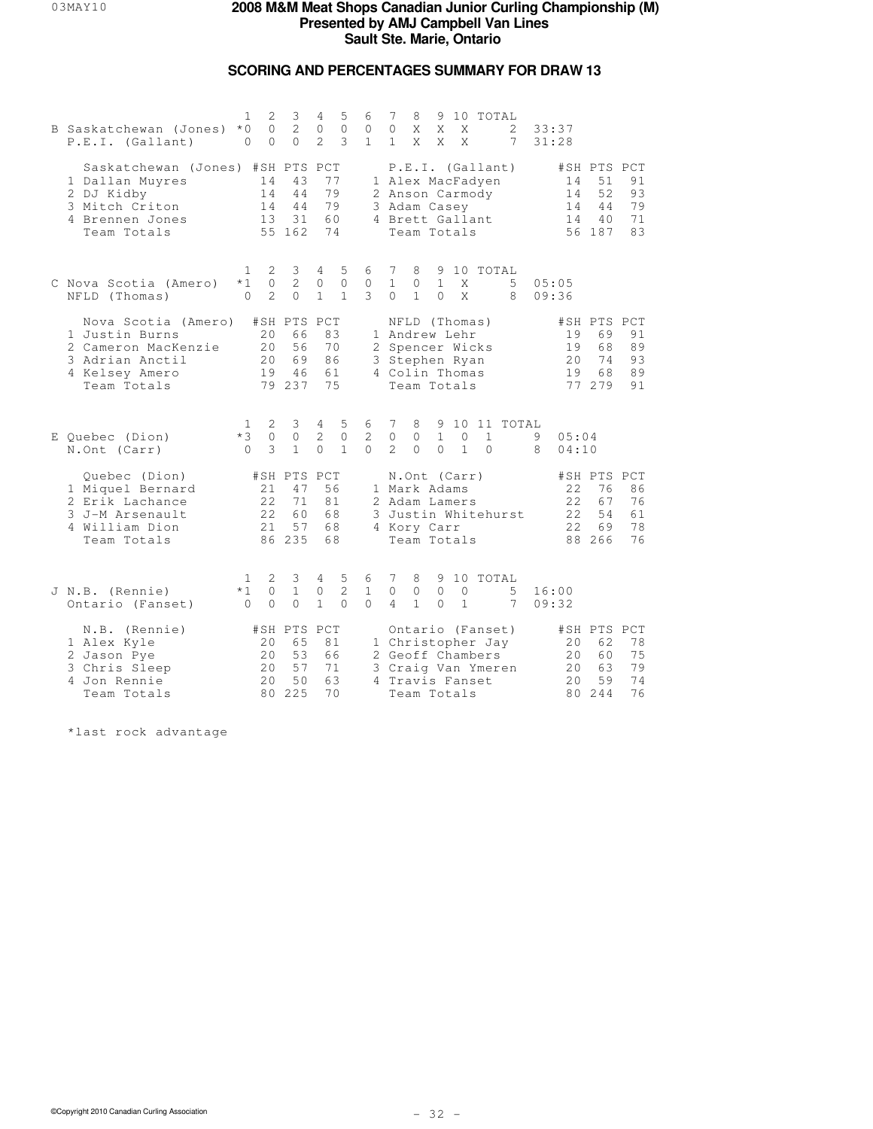## **SCORING AND PERCENTAGES SUMMARY FOR DRAW 13**

| B Saskatchewan (Jones)<br>P.E.I. (Gallant)                                                                            | 1<br>$*$ 0<br>$\circ$            | 2<br>$\Omega$<br>$\Omega$   | 3<br>2<br>$\Omega$                            | 4<br>$\circ$<br>$\mathfrak{D}$  | 5<br>$\mathbf{0}$<br>3        | 6<br>0<br>$\mathbf{1}$        | 7<br>$\circ$<br>$\mathbf{1}$  | 8<br>X<br>X                                                                                          | 9<br>X<br>X                 | X<br>$\mathsf{X}$            | 10 TOTAL                                                                        | 2<br>7              |        | 33:37<br>31:28              |                                               |                                   |
|-----------------------------------------------------------------------------------------------------------------------|----------------------------------|-----------------------------|-----------------------------------------------|---------------------------------|-------------------------------|-------------------------------|-------------------------------|------------------------------------------------------------------------------------------------------|-----------------------------|------------------------------|---------------------------------------------------------------------------------|---------------------|--------|-----------------------------|-----------------------------------------------|-----------------------------------|
| Saskatchewan (Jones) #SH PTS PCT<br>1 Dallan Muyres<br>2 DJ Kidby<br>3 Mitch Criton<br>4 Brennen Jones<br>Team Totals |                                  | 14<br>14<br>14<br>13        | 43<br>44<br>44<br>31<br>55 162                | 77<br>79<br>79<br>60<br>74      |                               |                               |                               | 3 Adam Casey<br>4 Brett Gallant<br>Team Totals                                                       |                             |                              | P.E.I. (Gallant)<br>1 Alex MacFadyen<br>2 Anson Carmody                         |                     |        | 14<br>14<br>14<br>14        | #SH PTS PCT<br>51<br>52<br>44<br>40<br>56 187 | 91<br>93<br>79<br>71<br>83        |
| C Nova Scotia (Amero)<br>NFLD (Thomas)                                                                                | 1<br>$*1$<br>$\Omega$            | 2<br>$\circ$<br>2           | 3<br>$\overline{c}$<br>$\Omega$               | 4<br>$\circ$<br>$\mathbf{1}$    | 5<br>$\circ$<br>$\mathbf{1}$  | 6<br>$\circ$<br>3             | 7<br>$\mathbf{1}$<br>$\Omega$ | 8<br>$\circ$<br>$\mathbf{1}$                                                                         | $\mathbf{1}$<br>$\Omega$    | X<br>X                       | 9 10 TOTAL                                                                      | 5<br>8              |        | 05:05<br>09:36              |                                               |                                   |
| Nova Scotia (Amero)<br>1 Justin Burns<br>2 Cameron MacKenzie<br>3 Adrian Anctil<br>4 Kelsey Amero<br>Team Totals      |                                  | 20<br>20<br>20<br>19        | #SH PTS PCT<br>66<br>56<br>69<br>46<br>79 237 | 83<br>70<br>86<br>61<br>75      |                               |                               |                               | NFLD (Thomas)<br>1 Andrew Lehr<br>2 Spencer Wicks<br>3 Stephen Ryan<br>4 Colin Thomas<br>Team Totals |                             |                              |                                                                                 |                     |        | 19<br>19<br>20<br>19        | #SH PTS PCT<br>69<br>68<br>74<br>68<br>77 279 | 91<br>89<br>93<br>89<br>91        |
| E Quebec (Dion)<br>N.Ont (Carr)                                                                                       | $\mathbf{1}$<br>$*3$<br>$\Omega$ | 2<br>$\circ$<br>3           | 3<br>$\mathbf{0}$<br>$\mathbf{1}$             | $4\phantom{0}$<br>2<br>$\Omega$ | 5<br>$\circ$<br>$\mathbf{1}$  | 6<br>2<br>$\cap$              | 7<br>$\circ$<br>$\mathcal{L}$ | 8<br>$\mathbf{0}$<br>$\Omega$                                                                        | $\mathbf{1}$<br>$\Omega$    | $\mathbf{0}$<br>$\mathbf{1}$ | 1<br>$\Omega$                                                                   | 9 10 11 TOTAL       | 9<br>8 | 05:04<br>04:10              |                                               |                                   |
| Quebec (Dion)<br>1 Miquel Bernard<br>2 Erik Lachance<br>3 J-M Arsenault<br>4 William Dion<br>Team Totals              |                                  | 21<br>22<br>22<br>21        | #SH PTS PCT<br>47<br>71<br>60<br>57<br>86 235 | 56<br>81<br>68<br>68<br>68      |                               |                               |                               | N.Ont (Carr)<br>1 Mark Adams<br>2 Adam Lamers<br>4 Kory Carr<br>Team Totals                          |                             |                              |                                                                                 | 3 Justin Whitehurst |        | 22<br>22<br>22<br>22        | #SH PTS<br>76<br>67<br>54<br>69<br>88 266     | PCT<br>86<br>76<br>61<br>78<br>76 |
| J N.B. (Rennie)<br>Ontario (Fanset)                                                                                   | 1<br>$*1$<br>$\Omega$            | 2<br>0<br>$\Omega$          | 3<br>$\mathbf{1}$<br>$\circ$                  | 4<br>0<br>$\mathbf{1}$          | 5<br>$\mathbf{2}$<br>$\Omega$ | 6<br>$\mathbf{1}$<br>$\Omega$ | 7<br>$\circ$<br>4             | 8<br>$\circledcirc$<br>$\mathbf{1}$                                                                  | 9<br>$\mathbf 0$<br>$\circ$ | $\circ$<br>$\mathbf{1}$      | 10 TOTAL                                                                        | 5<br>7              |        | 16:00<br>09:32              |                                               |                                   |
| N.B. (Rennie)<br>1 Alex Kyle<br>2 Jason Pye<br>3 Chris Sleep<br>4 Jon Rennie<br>Team Totals                           |                                  | 20<br>20<br>20<br>2.0<br>80 | #SH PTS PCT<br>65<br>53<br>57<br>50<br>225    | 81<br>66<br>71<br>63<br>70      |                               |                               |                               | 4 Travis Fanset<br>Team Totals                                                                       |                             |                              | Ontario (Fanset)<br>1 Christopher Jay<br>2 Geoff Chambers<br>3 Craig Van Ymeren |                     |        | 20<br>20<br>20<br>2.0<br>80 | #SH PTS PCT<br>62<br>60<br>63<br>59<br>244    | 78<br>75<br>79<br>74<br>76        |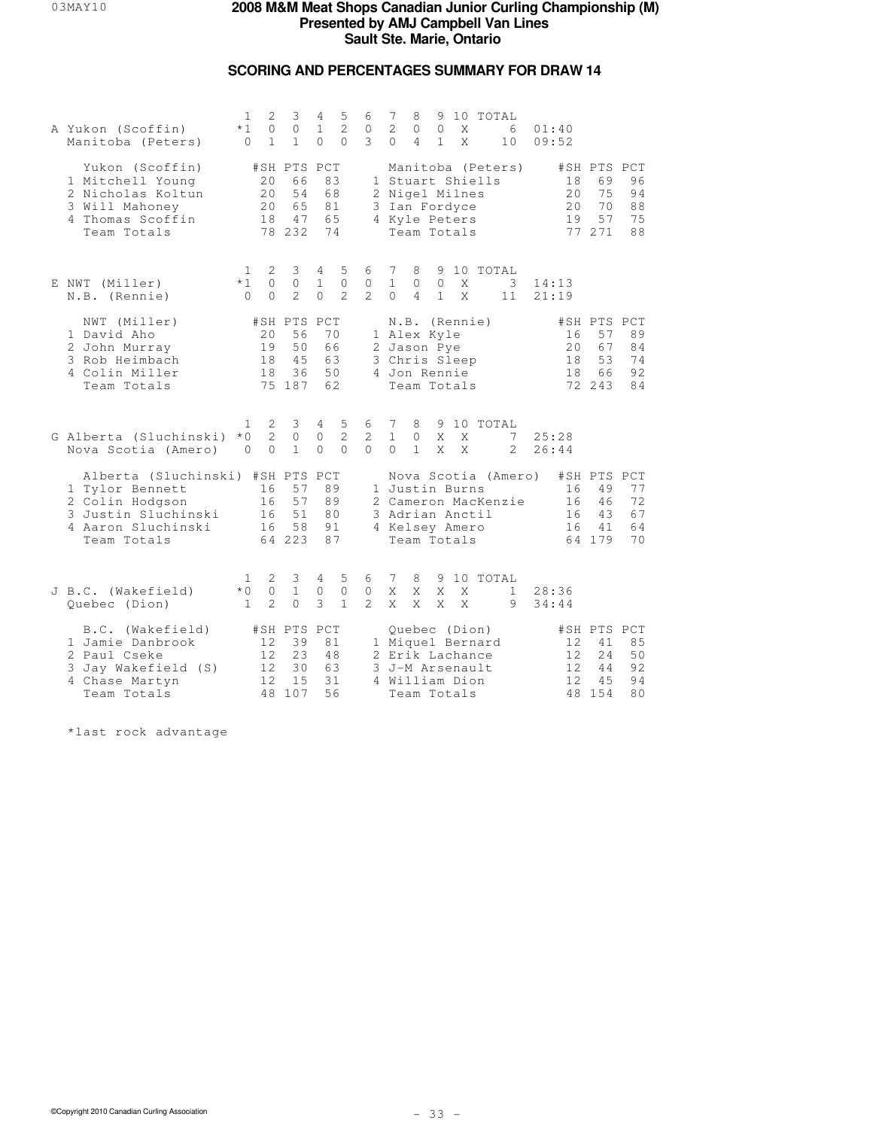## **SCORING AND PERCENTAGES SUMMARY FOR DRAW 14**

| A Yukon (Scoffin)<br>Manitoba (Peters)                                                                                             | 1<br>$*1$<br>$\Omega$                 | 2<br>$\circ$<br>$\mathbf{1}$   | 3<br>$\circ$<br>$\mathbf{1}$                   | 4<br>$\mathbf 1$<br>$\Omega$  | 5<br>$\overline{2}$<br>$\Omega$ | 6<br>$\circ$<br>3                   | 7<br>$\mathbf{2}$<br>$\Omega$                                            | 8<br>$\circ$<br>$\overline{4}$ | $\circ$<br>$\mathbf{1}$ | X<br>X            | 9 10 TOTAL<br>6<br>10                      | 01:40<br>09:52        |                                                |                            |
|------------------------------------------------------------------------------------------------------------------------------------|---------------------------------------|--------------------------------|------------------------------------------------|-------------------------------|---------------------------------|-------------------------------------|--------------------------------------------------------------------------|--------------------------------|-------------------------|-------------------|--------------------------------------------|-----------------------|------------------------------------------------|----------------------------|
| Yukon (Scoffin)<br>1 Mitchell Young<br>2 Nicholas Koltun<br>3 Will Mahoney<br>4 Thomas Scoffin<br>Team Totals                      |                                       | 20<br>20<br>20<br>18           | #SH PTS PCT<br>66<br>54<br>65<br>47<br>78 232  | 83<br>68<br>81<br>65<br>74    |                                 |                                     | 1 Stuart Shiells<br>2 Nigel Milnes<br>3 Ian Fordyce<br>4 Kyle Peters     | Team Totals                    |                         |                   | Manitoba (Peters)                          | 18<br>20<br>20<br>19  | #SH PTS PCT<br>69<br>75<br>70<br>57<br>77 271  | 96<br>94<br>88<br>75<br>88 |
| E NWT (Miller)<br>N.B. (Rennie)                                                                                                    | 1<br>$*1$<br>$\bigcap$                | 2<br>$\circ$<br>$\Omega$       | 3<br>$\circ$<br>$\mathcal{L}$                  | 4<br>$\mathbf{1}$<br>$\Omega$ | 5<br>$\circ$<br>$\mathfrak{D}$  | 6<br>$\circ$<br>$2^{1}$             | 7<br>$\mathbf{1}$<br>$\Omega$                                            | 8<br>$\circ$<br>$\overline{4}$ | $\circ$<br>$\mathbf{1}$ | X<br>X            | 9 10 TOTAL<br>3<br>11                      | 14:13<br>21:19        |                                                |                            |
| NWT (Miller)<br>1 David Aho<br>2 John Murray<br>3 Rob Heimbach<br>4 Colin Miller<br>Team Totals                                    |                                       | 20<br>19<br>18<br>18           | #SH PTS PCT<br>56<br>50<br>45<br>36<br>75 187  | 70<br>66<br>63<br>50<br>62    |                                 |                                     | 1 Alex Kyle<br>2 Jason Pye<br>3 Chris Sleep<br>4 Jon Rennie              | N.B. (Rennie)<br>Team Totals   |                         |                   |                                            | 16<br>20<br>18<br>18  | #SH PTS PCT<br>57<br>67<br>53<br>66<br>72 243  | 89<br>84<br>74<br>92<br>84 |
| G Alberta (Sluchinski)<br>Nova Scotia (Amero)                                                                                      | 1.<br>$*$ 0<br>$\Omega$               | 2<br>2<br>$\Omega$             | 3<br>0<br>$\mathbf{1}$                         | $4 -$<br>$\circ$<br>$\Omega$  | 5<br>$\mathbf{2}$<br>$\Omega$   | 6<br>$\overline{c}$<br>$\Omega$     | 7<br>$\mathbf{1}$<br>$\Omega$                                            | 8<br>$\circ$<br>$\mathbf{1}$   | X<br>X                  | X<br>$\mathsf{X}$ | 9 10 TOTAL<br>7<br>$\mathfrak{D}$          | 25:28<br>26:44        |                                                |                            |
| Alberta (Sluchinski) #SH PTS PCT<br>1 Tylor Bennett<br>2 Colin Hodgson<br>3 Justin Sluchinski<br>4 Aaron Sluchinski<br>Team Totals |                                       | 16<br>16<br>16<br>16           | 57<br>57<br>51<br>58<br>64 223                 | 89<br>89<br>80<br>91<br>87    |                                 |                                     | 1 Justin Burns<br>3 Adrian Anctil<br>4 Kelsey Amero                      | Team Totals                    |                         |                   | Nova Scotia (Amero)<br>2 Cameron MacKenzie | 16<br>16<br>16<br>16  | #SH PTS PCT<br>49<br>46<br>43<br>41<br>64 179  | 77<br>72<br>67<br>64<br>70 |
| J B.C. (Wakefield)<br>Quebec (Dion)                                                                                                | $\mathbf{1}$<br>$*$ 0<br>$\mathbf{1}$ | 2<br>$\circ$<br>$\overline{2}$ | 3<br>$\mathbf{1}$<br>$\Omega$                  | 4<br>$\circ$<br>3             | 5<br>$\circ$<br>$\mathbf{1}$    | 6<br>$\mathbf{0}$<br>$\overline{2}$ | 7<br>Χ<br>X                                                              | 8<br>Χ<br>X                    | X<br>X                  | Χ<br>$\mathsf{X}$ | 9 10 TOTAL<br>$\mathbf{1}$<br>9            | 28:36<br>34:44        |                                                |                            |
| B.C. (Wakefield)<br>1 Jamie Danbrook<br>2 Paul Cseke<br>3 Jay Wakefield (S)<br>4 Chase Martyn<br>Team Totals                       |                                       | 12<br>12<br>12<br>12.          | #SH PTS PCT<br>39<br>23<br>30<br>1.5<br>48 107 | 81<br>48<br>63<br>31<br>56    |                                 |                                     | 1 Miquel Bernard<br>2 Erik Lachance<br>3 J-M Arsenault<br>4 William Dion | Quebec (Dion)<br>Team Totals   |                         |                   |                                            | 12<br>12<br>12<br>12. | #SH PTS PCT<br>41<br>24<br>44<br>4.5<br>48 154 | 85<br>50<br>92<br>94<br>80 |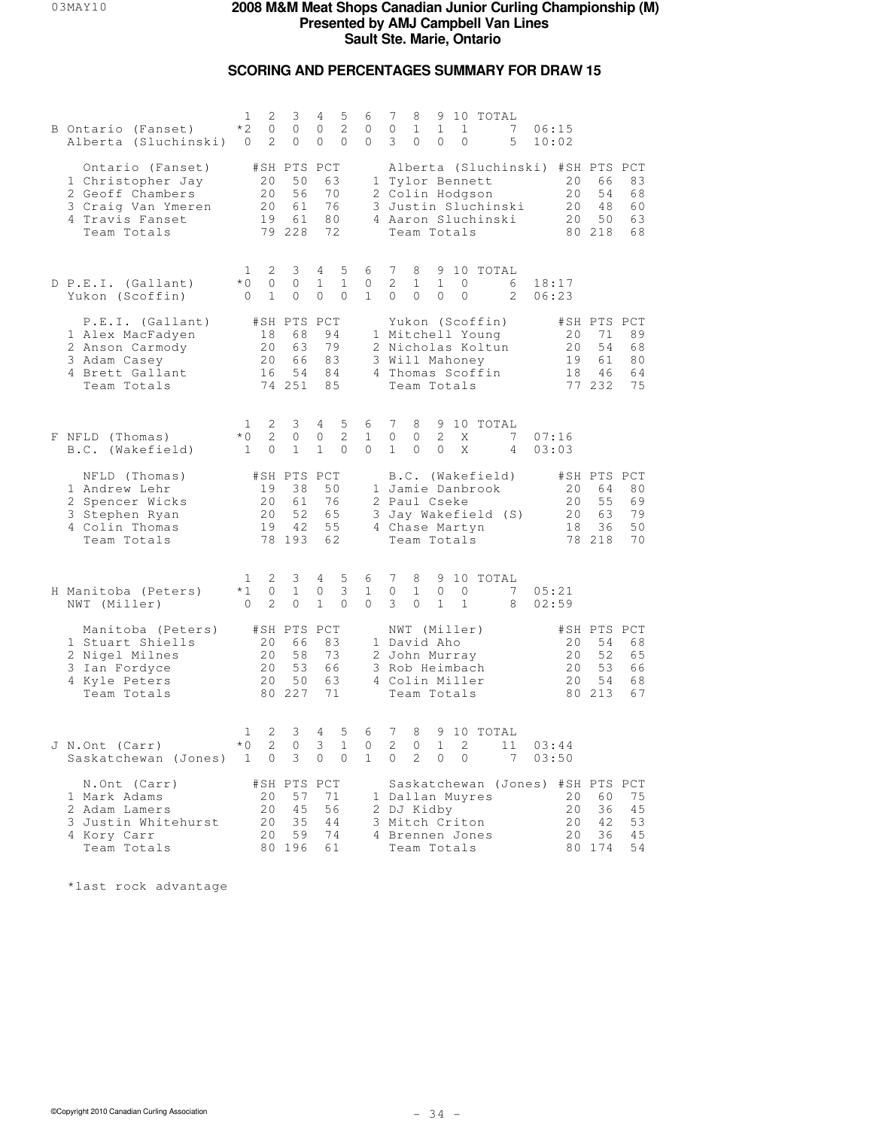## **SCORING AND PERCENTAGES SUMMARY FOR DRAW 15**

| B Ontario (Fanset)<br>Alberta (Sluchinski) 0                                                                      | 1<br>2<br>$*2$<br>$\circ$<br>2                                          | 3<br>$\circ$<br>$\circ$                       | 4<br>5<br>2<br>0<br>0<br>$\mathbf{0}$                          | 6<br>$\mathbf{0}$<br>$\circ$ | 7<br>9 10 TOTAL<br>8<br>7<br>$\circ$<br>$\mathbf{1}$<br>$\mathbf{1}$<br>$\mathbf{1}$<br>06:15<br>3<br>5<br>0<br>0<br>$\circ$<br>10:02                                                                                      |
|-------------------------------------------------------------------------------------------------------------------|-------------------------------------------------------------------------|-----------------------------------------------|----------------------------------------------------------------|------------------------------|----------------------------------------------------------------------------------------------------------------------------------------------------------------------------------------------------------------------------|
| Ontario (Fanset)<br>1 Christopher Jay<br>2 Geoff Chambers<br>3 Craig Van Ymeren<br>4 Travis Fanset<br>Team Totals | #SH PTS PCT<br>20<br>20<br>20<br>19                                     | 50<br>56<br>61<br>61<br>79 228                | 63<br>70<br>76<br>80<br>72                                     |                              | Alberta (Sluchinski) #SH PTS PCT<br>1 Tylor Bennett<br>20<br>83<br>66<br>2 Colin Hodgson<br>20<br>54<br>68<br>3 Justin Sluchinski<br>20<br>48<br>60<br>4 Aaron Sluchinski<br>50<br>20<br>63<br>Team Totals<br>80 218<br>68 |
| D P.E.I. (Gallant)<br>Yukon (Scoffin)                                                                             | 2<br>$\mathbf{1}$<br>$*$ 0<br>$\circ$<br>$\overline{0}$<br>$\mathbf{1}$ | 3<br>$\circ$<br>0                             | $4 -$<br>5<br>$\mathbf 1$<br>$\mathbf{1}$<br>0<br>$\mathbf{0}$ | 6<br>0<br>$\mathbf{1}$       | 7<br>8<br>9 10 TOTAL<br>2<br>$\mathbf{1}$<br>$\circ$<br>$\mathbf{1}$<br>6<br>18:17<br>$\circ$<br>$\circ$<br>$\circ$<br>2<br>0<br>06:23                                                                                     |
| P.E.I. (Gallant)<br>1 Alex MacFadyen<br>2 Anson Carmody<br>3 Adam Casey<br>4 Brett Gallant<br>Team Totals         | 18<br>20<br>20<br>16                                                    | #SH PTS PCT<br>68<br>63<br>66<br>54<br>74 251 | 94<br>79<br>83<br>84<br>85                                     |                              | Yukon (Scoffin)<br>#SH PTS PCT<br>1 Mitchell Young<br>89<br>20<br>71<br>2 Nicholas Koltun<br>20<br>54<br>68<br>19<br>3 Will Mahoney<br>61<br>80<br>4 Thomas Scoffin<br>18<br>64<br>46<br>Team Totals<br>77 232<br>75       |
| F NFLD (Thomas)<br>B.C. (Wakefield)                                                                               | 2<br>$\mathbf{1}$<br>2<br>$*0$<br>$\circ$<br>$\overline{1}$             | 3<br>$\circ$<br>$\mathbf{1}$                  | 4<br>5<br>$\overline{c}$<br>0<br>$\mathbf{1}$<br>$\circ$       | 6<br>$\mathbf{1}$<br>$\circ$ | $7\phantom{.0}$<br>8<br>9 10 TOTAL<br>$\mathbf{2}$<br>$7\phantom{.0}$<br>$\circ$<br>$\circ$<br>X<br>07:16<br>$\mathbf{1}$<br>$\circ$<br>X<br>$\Omega$<br>$\overline{4}$<br>03:03                                           |
| NFLD (Thomas)<br>1 Andrew Lehr<br>2 Spencer Wicks<br>3 Stephen Ryan<br>4 Colin Thomas<br>Team Totals              | #SH PTS PCT<br>19<br>20<br>20<br>19                                     | 38<br>61<br>52<br>42<br>78 193                | 50<br>76<br>65<br>55<br>62                                     |                              | B.C. (Wakefield)<br>#SH PTS PCT<br>1 Jamie Danbrook<br>20<br>64<br>80<br>2 Paul Cseke<br>20<br>55<br>69<br>79<br>3 Jay Wakefield (S)<br>20<br>63<br>4 Chase Martyn<br>18<br>36<br>50<br>Team Totals<br>78 218<br>70        |
| H Manitoba (Peters)<br>NWT (Miller)                                                                               | $\mathbf{1}$<br>2<br>$*1$<br>0<br>2<br>$\overline{0}$                   | 3<br>$\mathbf{1}$<br>$\circ$                  | $4 -$<br>5<br>3<br>0<br>$\mathbf{1}$<br>$\mathbf{0}$           | 6<br>$\mathbf{1}$<br>$\circ$ | 7<br>8<br>9 10 TOTAL<br>$7\phantom{.}$<br>0<br>$\mathbf{1}$<br>0<br>0<br>05:21<br>3<br>$\mathbf{1}$<br>$\mathbf{1}$<br>0<br>8<br>02:59                                                                                     |
| Manitoba (Peters)<br>1 Stuart Shiells<br>2 Nigel Milnes<br>3 Ian Fordyce<br>4 Kyle Peters<br>Team Totals          | 20<br>20<br>20<br>20                                                    | #SH PTS PCT<br>66<br>58<br>53<br>50<br>80 227 | 83<br>73<br>66<br>63<br>71                                     |                              | NWT (Miller)<br>#SH PTS PCT<br>54<br>1 David Aho<br>20<br>68<br>2 John Murray<br>20<br>52<br>65<br>53<br>3 Rob Heimbach<br>20<br>66<br>4 Colin Miller<br>20<br>54<br>68<br>Team Totals<br>80 213<br>67                     |
| J N.Ont (Carr)<br>Saskatchewan (Jones) 1                                                                          | 2<br>1<br>$*0$<br>2<br>$\circ$                                          | 3<br>$\circ$<br>3                             | 4<br>5<br>3<br>$\mathbf{1}$<br>$\circ$<br>$\mathbf{0}$         | 6<br>0<br>1                  | 7<br>8<br>9 10 TOTAL<br>$\mathbf{2}^{\prime}$<br>$\overline{2}$<br>$\circ$<br>$\mathbf{1}$<br>11<br>03:44<br>2<br>$\circ$<br>7<br>$\circ$<br>$\circ$<br>03:50                                                              |
| N.Ont (Carr)<br>1 Mark Adams<br>2 Adam Lamers<br>3 Justin Whitehurst<br>4 Kory Carr<br>Team Totals                | #SH PTS PCT<br>20<br>20<br>20<br>20                                     | 57<br>45<br>35<br>59<br>80 196                | 71<br>56<br>44<br>74<br>61                                     |                              | Saskatchewan (Jones) #SH PTS PCT<br>1 Dallan Muyres<br>20<br>60<br>75<br>2 DJ Kidby<br>20<br>36<br>45<br>3 Mitch Criton<br>20<br>42<br>53<br>20<br>36<br>45<br>4 Brennen Jones<br>80 174<br>54<br>Team Totals              |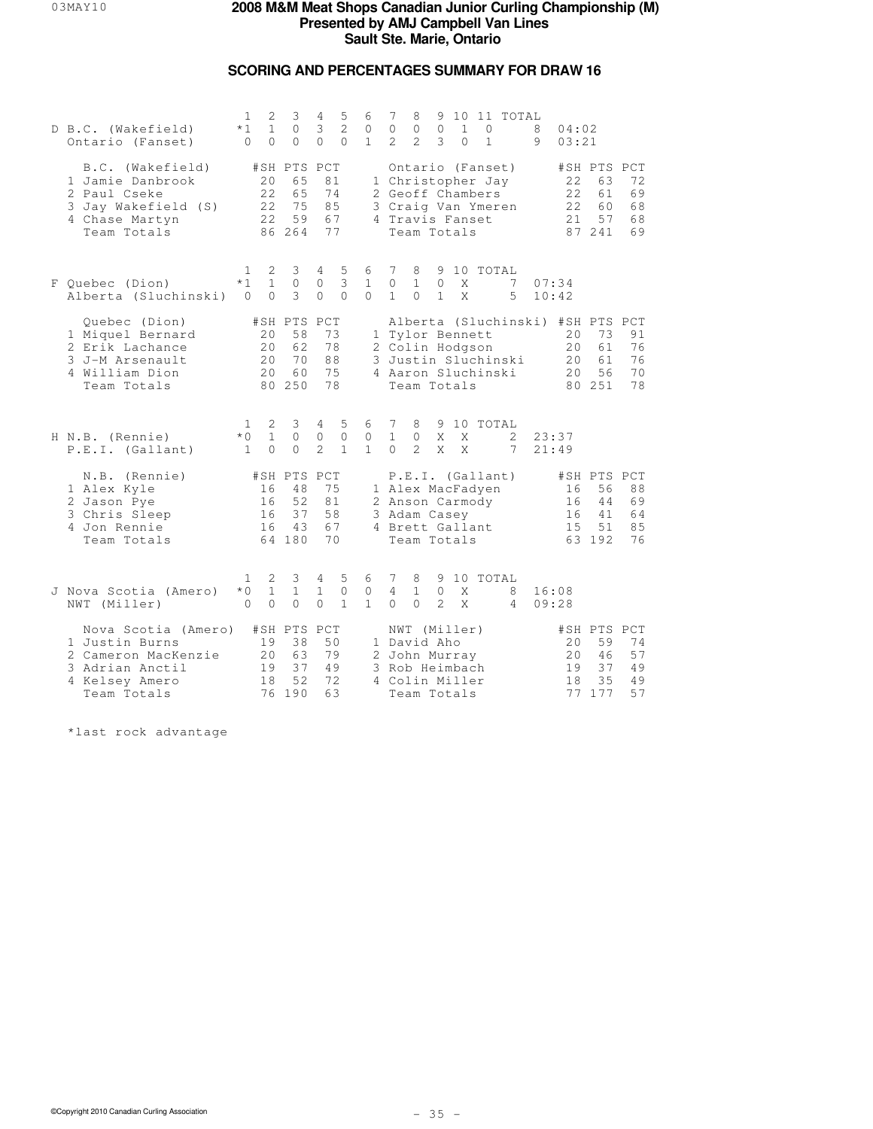## **SCORING AND PERCENTAGES SUMMARY FOR DRAW 16**

| D B.C. (Wakefield)<br>Ontario (Fanset)                                                                           | 1<br>$*1$<br>$\Omega$                | 2<br>$\mathbf{1}$<br>$\Omega$ | 3<br>$\Omega$<br>$\Omega$                     | 4<br>3<br>$\Omega$                    | 5<br>2<br>$\Omega$                | 6<br>$\mathbf{0}$<br>$\mathbf{1}$ | 7<br>$\circ$<br>$\mathcal{L}$ | 8<br>$\mathbb O$<br>$\mathcal{L}$                                                               | 9<br>$\mathbb O$<br>3   | 10<br>$\mathbf{1}$<br>$\Omega$ | $\Omega$<br>$\mathbf{1}$                                                        | 11 TOTAL            | 8<br>9         | 04:02<br>03:21                                            |                                               |                            |
|------------------------------------------------------------------------------------------------------------------|--------------------------------------|-------------------------------|-----------------------------------------------|---------------------------------------|-----------------------------------|-----------------------------------|-------------------------------|-------------------------------------------------------------------------------------------------|-------------------------|--------------------------------|---------------------------------------------------------------------------------|---------------------|----------------|-----------------------------------------------------------|-----------------------------------------------|----------------------------|
| B.C. (Wakefield)<br>1 Jamie Danbrook<br>2 Paul Cseke<br>3 Jay Wakefield (S)<br>4 Chase Martyn<br>Team Totals     |                                      | 20<br>22<br>22<br>22          | #SH PTS PCT<br>65<br>65<br>75<br>59<br>86 264 | 81<br>74<br>85<br>67<br>77            |                                   |                                   |                               | 4 Travis Fanset<br>Team Totals                                                                  |                         |                                | Ontario (Fanset)<br>1 Christopher Jay<br>2 Geoff Chambers<br>3 Craig Van Ymeren |                     |                | 22<br>22<br>22<br>2.1                                     | #SH PTS PCT<br>63<br>61<br>60<br>57<br>87 241 | 72<br>69<br>68<br>68<br>69 |
| F Ouebec (Dion)<br>Alberta (Sluchinski)                                                                          | 1.<br>$*1$<br>$\Omega$               | 2<br>$\mathbf{1}$<br>$\Omega$ | 3<br>$\circ$<br>3                             | $\overline{4}$<br>$\circ$<br>$\Omega$ | 5<br>3<br>$\Omega$                | 6<br>$\mathbf{1}$<br>$\Omega$     | 7<br>$\circ$<br>$\mathbf{1}$  | 8<br>$\mathbf{1}$<br>$\Omega$                                                                   | $\circ$<br>$\mathbf{1}$ | Χ<br>$\mathsf{X}$              | 9 10 TOTAL                                                                      | 7<br>5              | 07:34          | 10:42                                                     |                                               |                            |
| Quebec (Dion)<br>1 Miquel Bernard<br>2 Erik Lachance<br>3 J-M Arsenault<br>4 William Dion<br>Team Totals         |                                      | 20<br>20<br>20<br>2.0         | #SH PTS PCT<br>58<br>62<br>70<br>60<br>80 250 | 73<br>78<br>88<br>75<br>78            |                                   |                                   |                               | 1 Tylor Bennett<br>2 Colin Hodgson<br>Team Totals                                               |                         |                                | 4 Aaron Sluchinski                                                              | 3 Justin Sluchinski |                | Alberta (Sluchinski) #SH PTS PCT<br>20<br>20<br>20<br>2.0 | 73<br>61<br>61<br>56<br>80 251                | 91<br>76<br>76<br>70<br>78 |
| H N.B. (Rennie)<br>P.E.I. (Gallant)                                                                              | $\mathbf{1}$<br>$*0$<br>$\mathbf{1}$ | 2<br>$\mathbf{1}$<br>$\Omega$ | 3<br>$\circ$<br>$\Omega$                      | 4<br>$\circ$<br>$\mathcal{L}$         | 5<br>$\circ$<br>$\mathbf{1}$      | 6<br>$\circ$<br>$\mathbf{1}$      | 7<br>$\mathbf{1}$<br>$\Omega$ | 8<br>$\circ$<br>$\mathcal{L}$                                                                   | X<br>X                  | X<br>$\mathsf{X}$              | 9 10 TOTAL                                                                      | 2<br>7              | 21:49          | 23:37                                                     |                                               |                            |
| N.B. (Rennie)<br>1 Alex Kyle<br>2 Jason Pye<br>3 Chris Sleep<br>4 Jon Rennie<br>Team Totals                      |                                      | 16<br>16<br>16<br>16          | #SH PTS PCT<br>48<br>52<br>37<br>43<br>64 180 | 75<br>81<br>58<br>67<br>70            |                                   |                                   |                               | 3 Adam Casey<br>4 Brett Gallant<br>Team Totals                                                  |                         |                                | P.E.I. (Gallant)<br>1 Alex MacFadyen<br>2 Anson Carmody                         |                     |                | 16<br>16<br>16<br>15                                      | #SH PTS PCT<br>56<br>44<br>41<br>51<br>63 192 | 88<br>69<br>64<br>85<br>76 |
| J Nova Scotia (Amero)<br>NWT (Miller)                                                                            | $\mathbf{1}$<br>$*0$<br>$\Omega$     | 2<br>$\mathbf{1}$<br>$\Omega$ | 3<br>$\mathbf{1}$<br>$\circ$                  | 4<br>$\mathbf{1}$<br>$\Omega$         | 5<br>$\mathbf{0}$<br>$\mathbf{1}$ | 6<br>0<br>$\mathbf{1}$            | 7<br>4<br>$\Omega$            | 8<br>$\mathbf{1}$<br>$\Omega$                                                                   | 9<br>$\circ$<br>2       | Χ<br>$\mathsf{X}$              | 10 TOTAL                                                                        | 8<br>4              | 16:08<br>09:28 |                                                           |                                               |                            |
| Nova Scotia (Amero)<br>1 Justin Burns<br>2 Cameron MacKenzie<br>3 Adrian Anctil<br>4 Kelsey Amero<br>Team Totals |                                      | 19<br>20<br>19<br>18          | #SH PTS PCT<br>38<br>63<br>37<br>52<br>76 190 | 50<br>79<br>49<br>72<br>63            |                                   |                                   |                               | NWT (Miller)<br>1 David Aho<br>2 John Murray<br>3 Rob Heimbach<br>4 Colin Miller<br>Team Totals |                         |                                |                                                                                 |                     |                | 20<br>20<br>19<br>18                                      | #SH PTS PCT<br>59<br>46<br>37<br>35<br>77 177 | 74<br>57<br>49<br>49<br>57 |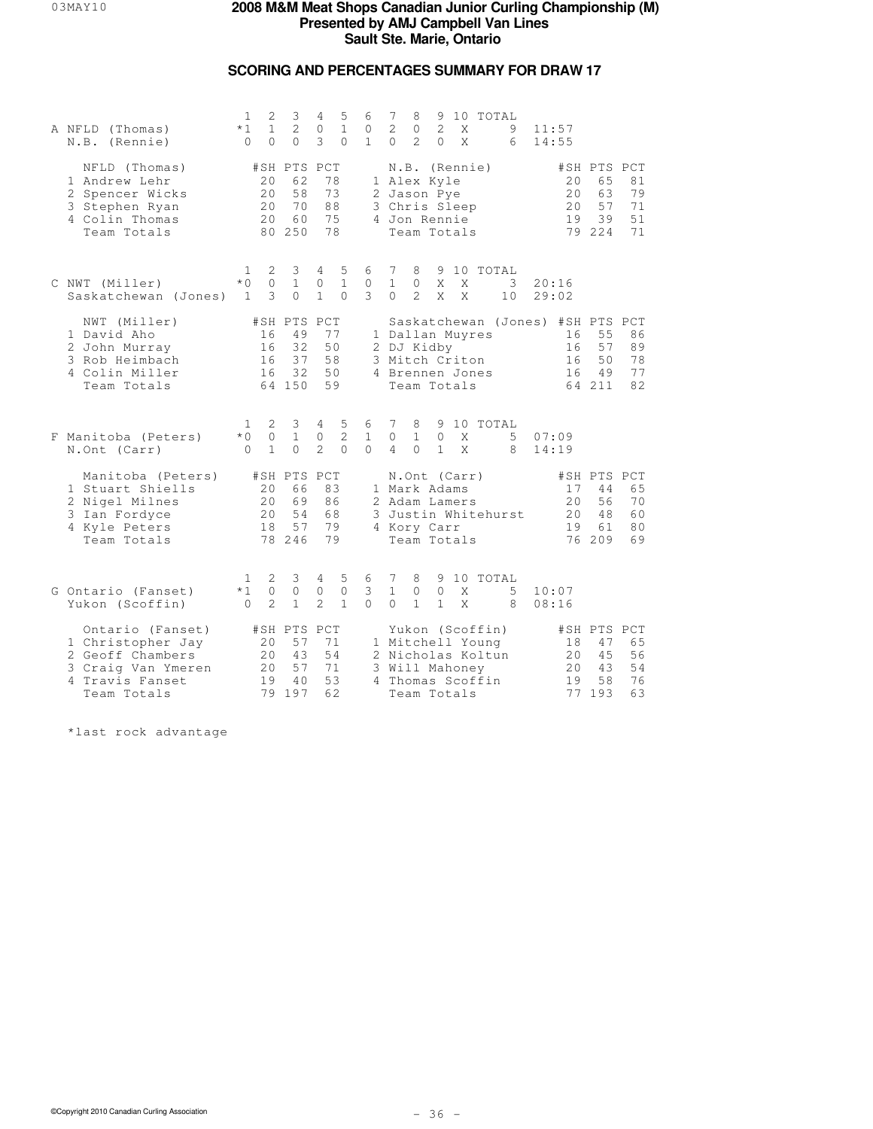## **SCORING AND PERCENTAGES SUMMARY FOR DRAW 17**

| A NFLD (Thomas)<br>N.B. (Rennie)                                                                                  | 1<br>$*1$<br>$\Omega$                 | 2<br>$\mathbf{1}$<br>$\Omega$  | 3<br>2<br>$\Omega$                            | 4<br>$\circ$<br>3                 | 5<br>$\mathbf{1}$<br>$\Omega$                  | 6<br>0<br>$\mathbf{1}$        | 7<br>2<br>$\Omega$             | 8<br>$\mathbf{0}$<br>$\mathcal{L}$                                                          | 2<br>$\Omega$                 | X<br>X | 9 10 TOTAL                                                                   | 9<br>6                           | 11:57<br>14:55 |                      |                                               |                            |
|-------------------------------------------------------------------------------------------------------------------|---------------------------------------|--------------------------------|-----------------------------------------------|-----------------------------------|------------------------------------------------|-------------------------------|--------------------------------|---------------------------------------------------------------------------------------------|-------------------------------|--------|------------------------------------------------------------------------------|----------------------------------|----------------|----------------------|-----------------------------------------------|----------------------------|
| NFLD (Thomas)<br>1 Andrew Lehr<br>2 Spencer Wicks<br>3 Stephen Ryan<br>4 Colin Thomas<br>Team Totals              |                                       | 20<br>20<br>20<br>2.0          | #SH PTS PCT<br>62<br>58<br>70<br>60<br>80 250 | 78<br>73<br>88<br>75<br>78        |                                                |                               |                                | N.B. (Rennie)<br>1 Alex Kyle<br>2 Jason Pye<br>3 Chris Sleep<br>4 Jon Rennie<br>Team Totals |                               |        |                                                                              |                                  |                | 20<br>20<br>20<br>19 | #SH PTS PCT<br>65<br>63<br>57<br>39<br>79 224 | 81<br>79<br>71<br>51<br>71 |
| C NWT (Miller)<br>Saskatchewan (Jones)                                                                            | $\mathbf{1}$<br>$*$ 0<br>$\mathbf{1}$ | 2<br>$\Omega$<br>3             | 3<br>$\mathbf{1}$<br>$\Omega$                 | 4<br>0<br>$\mathbf{1}$            | 5<br>$\mathbf{1}$<br>$\Omega$                  | 6<br>$\circ$<br>3             | 7<br>$\mathbf{1}$<br>$\Omega$  | 8<br>$\Omega$<br>$\mathcal{L}$                                                              | X<br>X                        | X<br>X | 9 10 TOTAL                                                                   | 3<br>10                          | 20:16<br>29:02 |                      |                                               |                            |
| NWT (Miller)<br>1 David Aho<br>2 John Murray<br>3 Rob Heimbach<br>4 Colin Miller<br>Team Totals                   |                                       | 16<br>16<br>16<br>16           | #SH PTS<br>49<br>32<br>37<br>32<br>64 150     | PCT<br>77<br>50<br>58<br>50<br>59 |                                                |                               |                                | 2 DJ Kidby<br>3 Mitch Criton<br>Team Totals                                                 |                               |        | 1 Dallan Muyres<br>4 Brennen Jones                                           | Saskatchewan (Jones) #SH PTS PCT |                | 16<br>16<br>16<br>16 | 55<br>57<br>50<br>49<br>64 211                | 86<br>89<br>78<br>77<br>82 |
| F Manitoba (Peters)<br>N.Ont (Carr)                                                                               | 1.<br>$*$ 0<br>$\Omega$               | 2<br>$\circ$<br>$\mathbf{1}$   | 3<br>$\mathbf{1}$<br>$\Omega$                 | 4<br>0<br>$\mathfrak{D}$          | 5<br>$\overline{c}$<br>$\Omega$                | 6<br>$\mathbf{1}$<br>$\Omega$ | 7<br>$\circ$<br>$\overline{4}$ | 8<br>$\mathbf{1}$<br>$\Omega$                                                               | $\mathbf{0}$<br>$\mathbf{1}$  | X<br>X | 9 10 TOTAL                                                                   | 5<br>8                           | 07:09<br>14:19 |                      |                                               |                            |
| Manitoba (Peters)<br>1 Stuart Shiells<br>2 Nigel Milnes<br>3 Ian Fordyce<br>4 Kyle Peters<br>Team Totals          |                                       | 20<br>20<br>20<br>18           | #SH PTS PCT<br>66<br>69<br>54<br>57<br>78 246 | 83<br>86<br>68<br>79<br>79        |                                                |                               |                                | N.Ont (Carr)<br>1 Mark Adams<br>2 Adam Lamers<br>4 Kory Carr<br>Team Totals                 |                               |        |                                                                              | 3 Justin Whitehurst              |                | 17<br>20<br>20<br>19 | #SH PTS PCT<br>44<br>56<br>48<br>61<br>76 209 | 65<br>70<br>60<br>80<br>69 |
| G Ontario (Fanset)<br>Yukon (Scoffin)                                                                             | 1<br>$*1$<br>$\Omega$                 | 2<br>$\Omega$<br>$\mathcal{D}$ | 3<br>$\mathbf{0}$<br>$\mathbf{1}$             | 4<br>0<br>$\mathcal{D}$           | $\overline{5}$<br>$\mathbf{0}$<br>$\mathbf{1}$ | 6<br>3<br>$\Omega$            | 7<br>$\mathbf{1}$<br>$\Omega$  | 8<br>$\circ$<br>$\mathbf{1}$                                                                | 9<br>$\Omega$<br>$\mathbf{1}$ | X<br>X | 10 TOTAL                                                                     | 5<br>8                           | 10:07<br>08:16 |                      |                                               |                            |
| Ontario (Fanset)<br>1 Christopher Jay<br>2 Geoff Chambers<br>3 Craig Van Ymeren<br>4 Travis Fanset<br>Team Totals |                                       | 20<br>20<br>20<br>19           | #SH PTS PCT<br>57<br>43<br>57<br>40<br>79 197 | 71<br>54<br>71<br>53<br>62        |                                                |                               |                                | 3 Will Mahoney<br>Team Totals                                                               |                               |        | Yukon (Scoffin)<br>1 Mitchell Young<br>2 Nicholas Koltun<br>4 Thomas Scoffin |                                  |                | 18<br>20<br>20<br>19 | #SH PTS PCT<br>47<br>45<br>43<br>58<br>77 193 | 65<br>56<br>54<br>76<br>63 |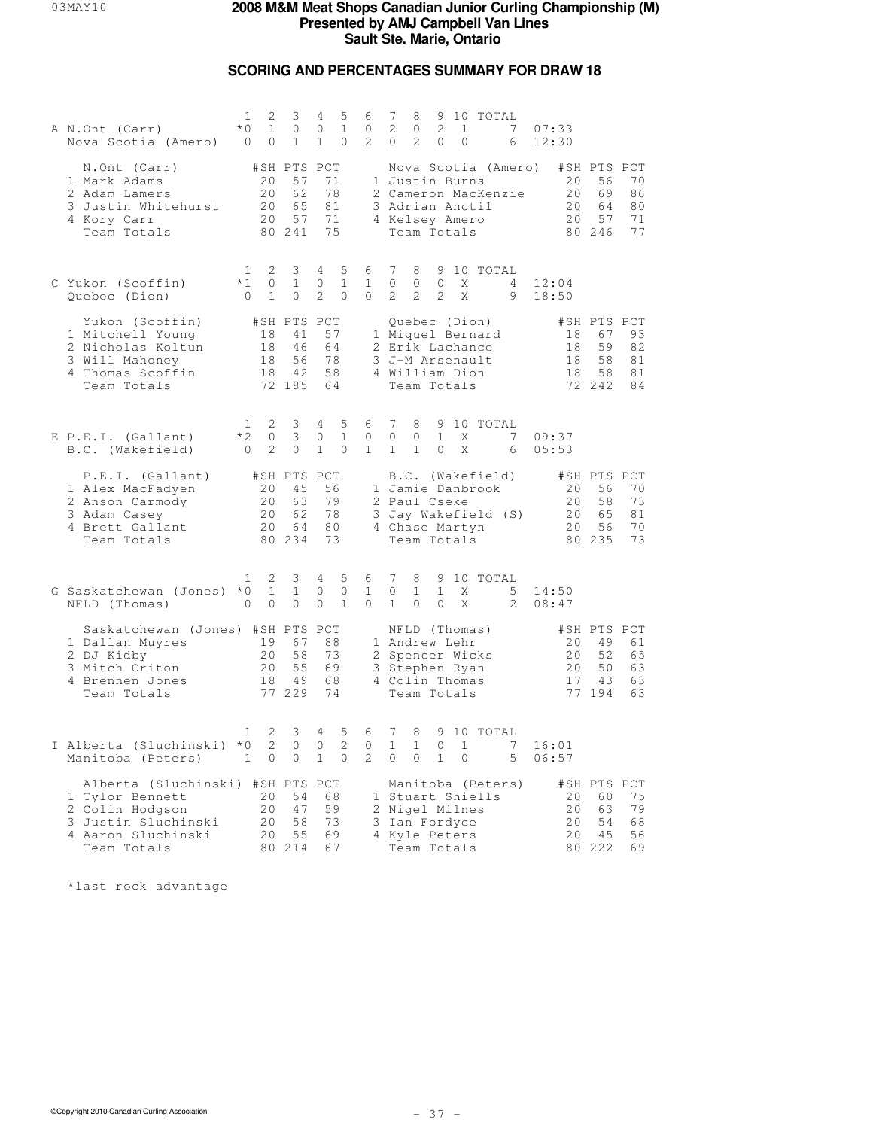## **SCORING AND PERCENTAGES SUMMARY FOR DRAW 18**

| A N.Ont (Carr)<br>Nova Scotia (Amero) 0                                                                                            | 1<br>2<br>$*$ 0<br>$\mathbf{1}$<br>$\circ$                             | 3<br>$\circ$<br>$\mathbf{1}$                     | 4<br>5<br>$\mathbf{1}$<br>0<br>$\mathbf{1}$<br>0                | 6<br>$\circ$<br>$\overline{2}$ | 7<br>9 10 TOTAL<br>8<br>$\mathbf{2}$<br>2<br>7<br>$\circ$<br>$\mathbf{1}$<br>07:33<br>2<br>12:30<br>$\overline{0}$<br>0<br>$\overline{0}$<br>6                                                                          |
|------------------------------------------------------------------------------------------------------------------------------------|------------------------------------------------------------------------|--------------------------------------------------|-----------------------------------------------------------------|--------------------------------|-------------------------------------------------------------------------------------------------------------------------------------------------------------------------------------------------------------------------|
| N.Ont (Carr)<br>1 Mark Adams<br>2 Adam Lamers<br>3 Justin Whitehurst<br>4 Kory Carr<br>Team Totals                                 | #SH PTS PCT<br>20<br>20<br>20<br>20                                    | 57<br>62<br>65<br>57<br>80 241                   | 71<br>78<br>81<br>71<br>75                                      |                                | Nova Scotia (Amero)<br>#SH PTS PCT<br>20<br>1 Justin Burns<br>56<br>70<br>2 Cameron MacKenzie<br>20<br>69<br>86<br>3 Adrian Anctil<br>20<br>64<br>80<br>4 Kelsey Amero<br>20<br>57<br>71<br>Team Totals<br>80 246<br>77 |
| C Yukon (Scoffin)<br>Quebec (Dion)                                                                                                 | $\mathbf{1}$<br>2<br>$*1$<br>$\circ$<br>$\mathbf{1}$<br>$\overline{0}$ | 3<br>$\mathbf{1}$<br>$\circ$                     | 5<br>4<br>$\mathbf{1}$<br>0<br>$\overline{2}$<br>$\circ$        | 6<br>$\mathbf{1}$<br>0         | $7\phantom{.0}$<br>9 10 TOTAL<br>8<br>$\circ$<br>$\circ$<br>$\circ$<br>Χ<br>12:04<br>4<br>$\overline{2}$<br>2<br>2<br>X<br>9<br>18:50                                                                                   |
| Yukon (Scoffin)<br>1 Mitchell Young<br>2 Nicholas Koltun<br>3 Will Mahoney<br>4 Thomas Scoffin<br>Team Totals                      | 18<br>18<br>18                                                         | #SH PTS PCT<br>41<br>46<br>56<br>18 42<br>72 185 | 57<br>64<br>78<br>58<br>64                                      |                                | Quebec (Dion)<br>#SH PTS PCT<br>1 Miquel Bernard<br>18<br>67<br>93<br>59<br>82<br>2 Erik Lachance<br>18<br>3 J-M Arsenault<br>58<br>18<br>81<br>4 William Dion<br>18<br>58<br>81<br>Team Totals<br>72 242<br>84         |
| E P.E.I. (Gallant)<br>B.C. (Wakefield)                                                                                             | 2<br>$\mathbf{1}$<br>$*2$<br>$\circ$<br>2<br>$\overline{0}$            | 3<br>3<br>$\circ$                                | $4 -$<br>5<br>$\mathbf{1}$<br>0<br>$\mathbf{1}$<br>$\mathbf{0}$ | 6<br>$\circ$<br>$\mathbf{1}$   | 7<br>8<br>9 10 TOTAL<br>$\circ$<br>$\mathbf{1}$<br>X<br>7<br>$\circ$<br>09:37<br>$\mathbf{1}$<br>$\mathbf{1}$<br>$\circ$<br>X<br>05:53<br>- 6                                                                           |
| P.E.I. (Gallant)<br>1 Alex MacFadyen<br>2 Anson Carmody<br>3 Adam Casey<br>4 Brett Gallant<br>Team Totals                          | #SH PTS PCT<br>20<br>20<br>20<br>20                                    | 45<br>63<br>62<br>64<br>80 234                   | 56<br>79<br>78<br>80<br>73                                      |                                | B.C. (Wakefield)<br>#SH PTS PCT<br>20<br>56<br>70<br>1 Jamie Danbrook<br>73<br>2 Paul Cseke<br>20<br>58<br>3 Jay Wakefield (S)<br>20<br>65<br>81<br>20<br>56<br>70<br>4 Chase Martyn<br>Team Totals<br>80 235<br>73     |
| G Saskatchewan (Jones) *0<br>NFLD (Thomas)                                                                                         | 2<br>1<br>$\mathbf{1}$<br>$\circ$<br>$\Omega$                          | 3<br>$\mathbf{1}$<br>$\Omega$                    | 5<br>4<br>0<br>$\mathbf{0}$<br>$\Omega$<br>$\mathbf{1}$         | 6<br>$\mathbf{1}$<br>$\Omega$  | $7\phantom{.0}$<br>8<br>9 10 TOTAL<br>0<br>$\mathbf{1}$<br>$\mathbf{1}$<br>X<br>5<br>14:50<br>$\mathbf{1}$<br>$\Omega$<br>$\Omega$<br>X<br>$\overline{2}$<br>08:47                                                      |
| Saskatchewan (Jones) #SH PTS PCT<br>1 Dallan Muyres 19<br>2 DJ Kidby<br>3 Mitch Criton<br>4 Brennen Jones<br>Team Totals           | 20<br>20<br>18                                                         | 67<br>58<br>55<br>49<br>77 229                   | 88<br>73<br>69<br>68<br>74                                      |                                | #SH PTS PCT<br>NFLD (Thomas)<br>49<br>1 Andrew Lehr<br>20<br>61<br>20<br>52<br>65<br>2 Spencer Wicks<br>3 Stephen Ryan<br>20<br>50<br>63<br>4 Colin Thomas<br>17<br>43<br>63<br>Team Totals<br>77 194<br>63             |
| I Alberta (Sluchinski) *0<br>Manitoba (Peters)                                                                                     | 2<br>$\mathbf{1}$<br>2<br>$\mathbf{1}$<br>$\circ$                      | 3<br>$\Omega$<br>$\circ$                         | 4<br>5<br>2<br>0<br>$\mathbf{1}$<br>$\mathbf{0}$                | 6<br>$\circ$<br>$\mathbf{2}$   | $7\phantom{.0}$<br>8<br>9 10 TOTAL<br>1<br>$\mathbf{1}$<br>$\Omega$<br>$\mathbf{1}$<br>7<br>16:01<br>$\circ$<br>$\overline{0}$<br>$\mathbf{1}$<br>$\circ$<br>5<br>06:57                                                 |
| Alberta (Sluchinski) #SH PTS PCT<br>1 Tylor Bennett<br>2 Colin Hodgson<br>3 Justin Sluchinski<br>4 Aaron Sluchinski<br>Team Totals | 20<br>20<br>20<br>20                                                   | 54<br>47<br>58<br>55<br>80 214                   | 68<br>59<br>73<br>69<br>67                                      |                                | #SH PTS PCT<br>Manitoba (Peters)<br>75<br>1 Stuart Shiells<br>20<br>60<br>79<br>2 Nigel Milnes<br>20<br>63<br>3 Ian Fordyce<br>20<br>54<br>68<br>4 Kyle Peters<br>20<br>45<br>56<br>80 222<br>Team Totals<br>69         |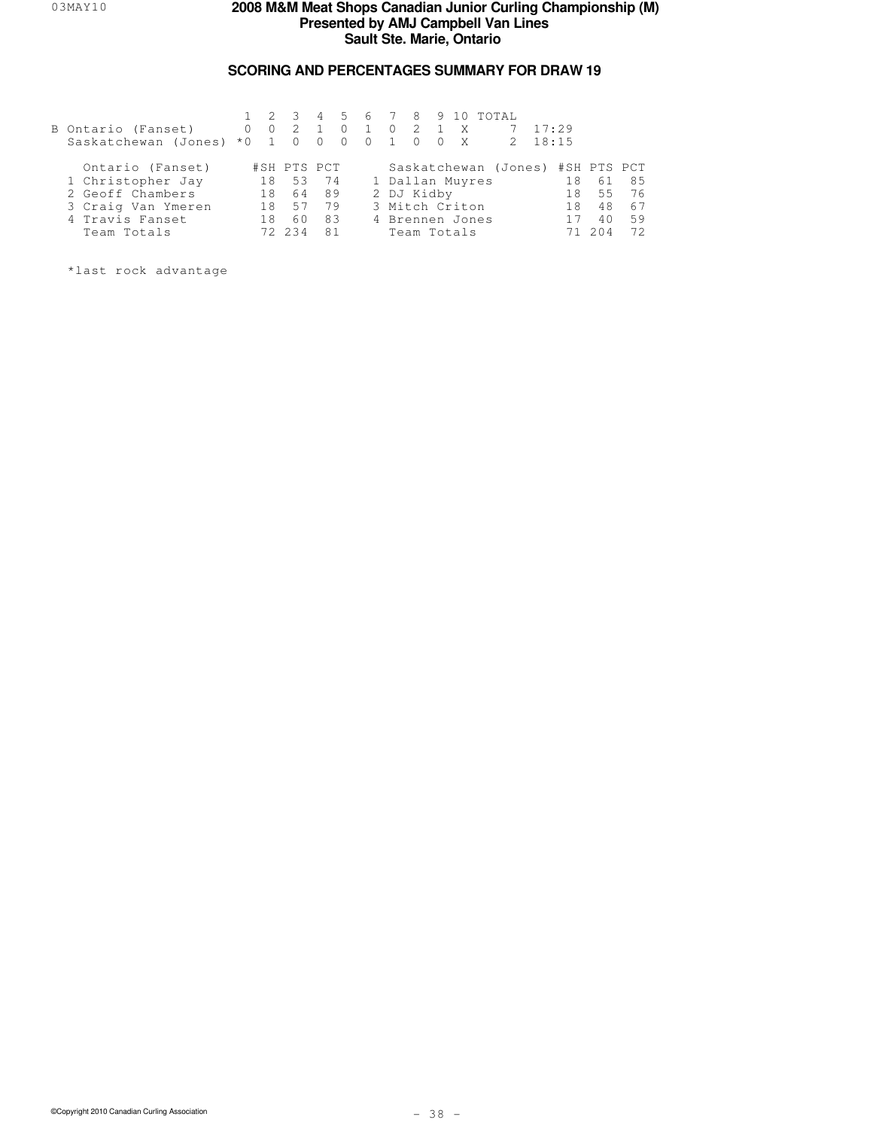## **SCORING AND PERCENTAGES SUMMARY FOR DRAW 19**

| B Ontario (Fanset)<br>Saskatchewan (Jones) | $\Omega$<br>$*0 \t1 \t0$ |    | $1 \t2 \t3$<br>$0\quad 2$ | $\bigcirc$     | $\Omega$<br>$\bigcirc$ | $\sim$ 1<br>$\Omega$ | $\sim$ 1 | $0 \quad 2 \quad 1$ | $0 \quad 0$ | X<br>$\mathsf{X}$ | 4 5 6 7 8 9 10 TOTAL | 2 | 17:29<br>18:15 |             |    |
|--------------------------------------------|--------------------------|----|---------------------------|----------------|------------------------|----------------------|----------|---------------------|-------------|-------------------|----------------------|---|----------------|-------------|----|
| Ontario (Fanset)                           |                          |    | #SH PTS PCT               |                |                        |                      |          |                     |             |                   | Saskatchewan (Jones) |   |                | #SH PTS PCT |    |
| 1 Christopher Jay                          |                          | 18 | 53                        | 74             |                        |                      |          |                     |             | 1 Dallan Muyres   |                      |   | 18             | 61          | 85 |
| 2 Geoff Chambers                           |                          | 18 | 64                        | 89             |                        |                      |          | 2 DJ Kidby          |             |                   |                      |   | 18             | 55          | 76 |
| 3 Craig Van Ymeren                         |                          | 18 | 57                        | 79             |                        |                      |          |                     |             | 3 Mitch Criton    |                      |   | 18             | 48          | 67 |
| 4 Travis Fanset                            |                          | 18 | 60                        | 83             |                        |                      |          |                     |             | 4 Brennen Jones   |                      |   |                | 4 O         | 59 |
| Team Totals                                |                          |    |                           | R <sub>1</sub> |                        |                      |          |                     |             | Team Totals       |                      |   |                |             | 72 |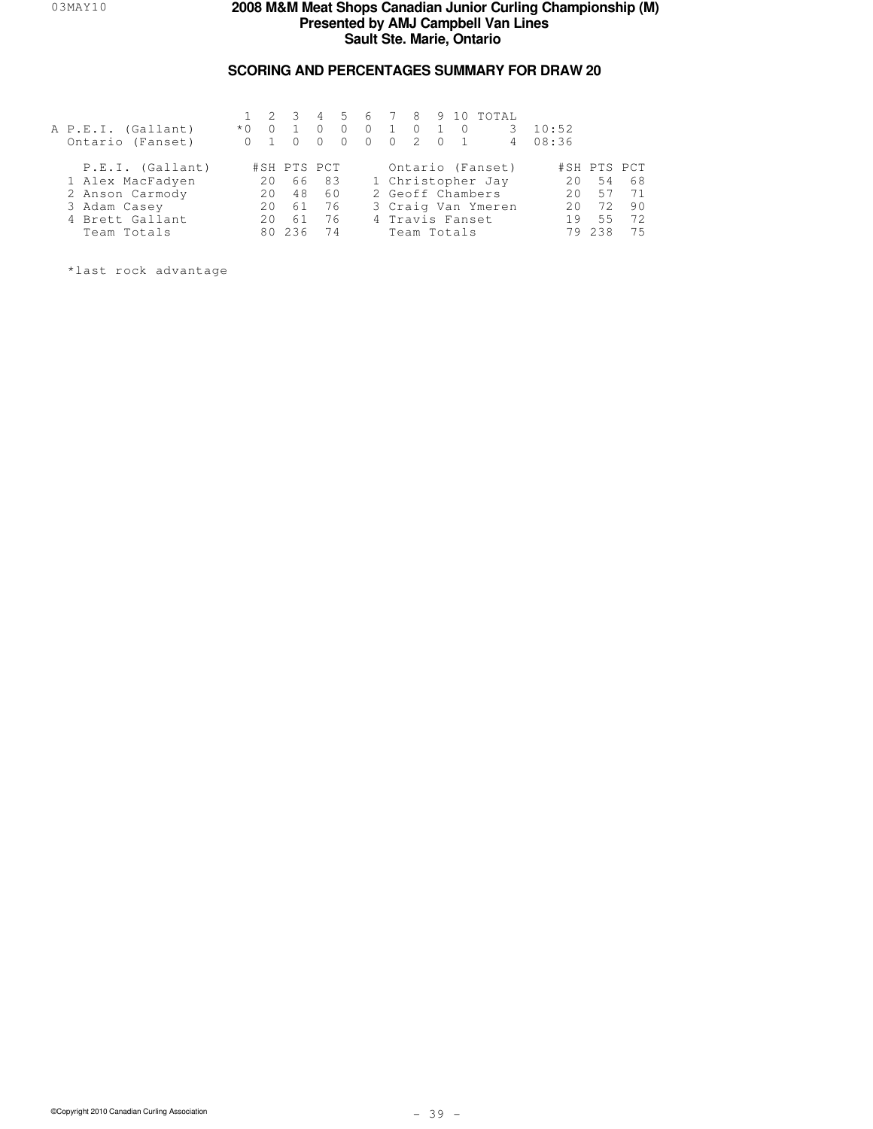## **SCORING AND PERCENTAGES SUMMARY FOR DRAW 20**

| A P.E.I. (Gallant)<br>Ontario (Fanset) | $*$ $\cap$ |     | $1 \t2 \t3$ |       | $\Omega$<br>$\Omega$ | $\Omega$<br>$\bigcirc$ | $\sim$ 1<br>$\overline{0}$ | $\bigcirc$<br>$2 \ 0$ | $\bigcirc$      | 4 5 6 7 8 9 10 TOTAL<br>3<br>$\overline{4}$ | 10:52<br>08:36 |             |    |
|----------------------------------------|------------|-----|-------------|-------|----------------------|------------------------|----------------------------|-----------------------|-----------------|---------------------------------------------|----------------|-------------|----|
| P.E.I. (Gallant)                       |            |     | #SH PTS PCT |       |                      |                        |                            |                       |                 | Ontario (Fanset)                            |                | #SH PTS PCT |    |
| 1 Alex MacFadyen                       |            | 2.0 |             | 66 83 |                      |                        |                            |                       |                 | 1 Christopher Jay                           | 20             | 54          | 68 |
| 2 Anson Carmody                        |            | 2.0 | 48          | 60    |                      |                        |                            |                       |                 | 2 Geoff Chambers                            | 20             | 57          | 71 |
| 3 Adam Casey                           |            | 2.0 | 61          | 76    |                      |                        |                            |                       |                 | 3 Craig Van Ymeren                          | 20             | 72          | 90 |
| 4 Brett Gallant                        |            |     | 61          | 76    |                      |                        |                            |                       | 4 Travis Fanset |                                             | 19             | 5.5         | 72 |
| Team Totals                            |            | RΛ  | 236         | 74    |                      |                        |                            |                       | Team Totals     |                                             | 79             | 238         | 75 |